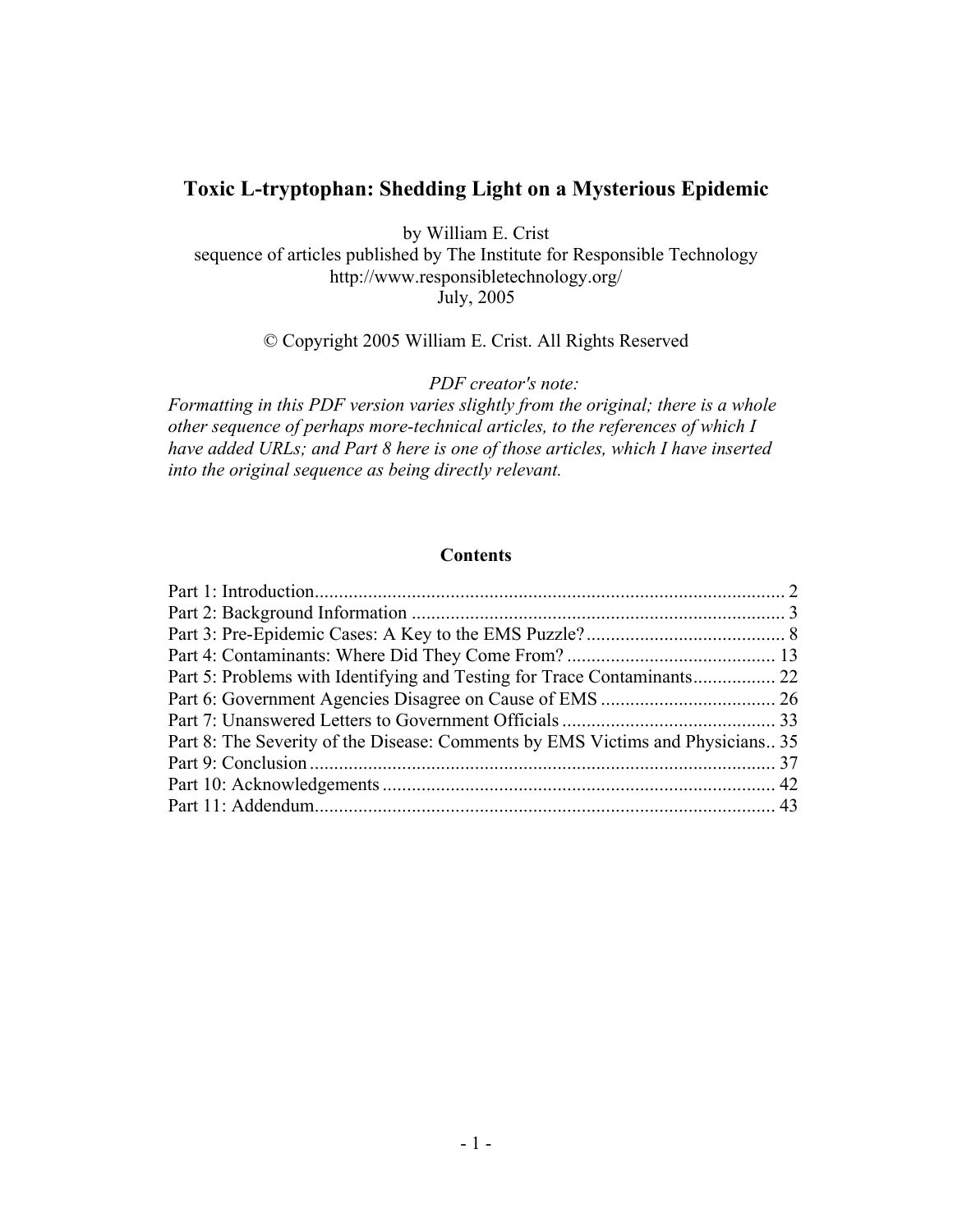## **Toxic L-tryptophan: Shedding Light on a Mysterious Epidemic**

by William E. Crist

sequence of articles published by The Institute for Responsible Technology http://www.responsibletechnology.org/ July, 2005

#### © Copyright 2005 William E. Crist. All Rights Reserved

*PDF creator's note:*

*Formatting in this PDF version varies slightly from the original; there is a whole other sequence of perhaps more-technical articles, to the references of which I have added URLs; and Part 8 here is one of those articles, which I have inserted into the original sequence as being directly relevant.*

#### **Contents**

| Part 8: The Severity of the Disease: Comments by EMS Victims and Physicians 35 |  |
|--------------------------------------------------------------------------------|--|
|                                                                                |  |
|                                                                                |  |
|                                                                                |  |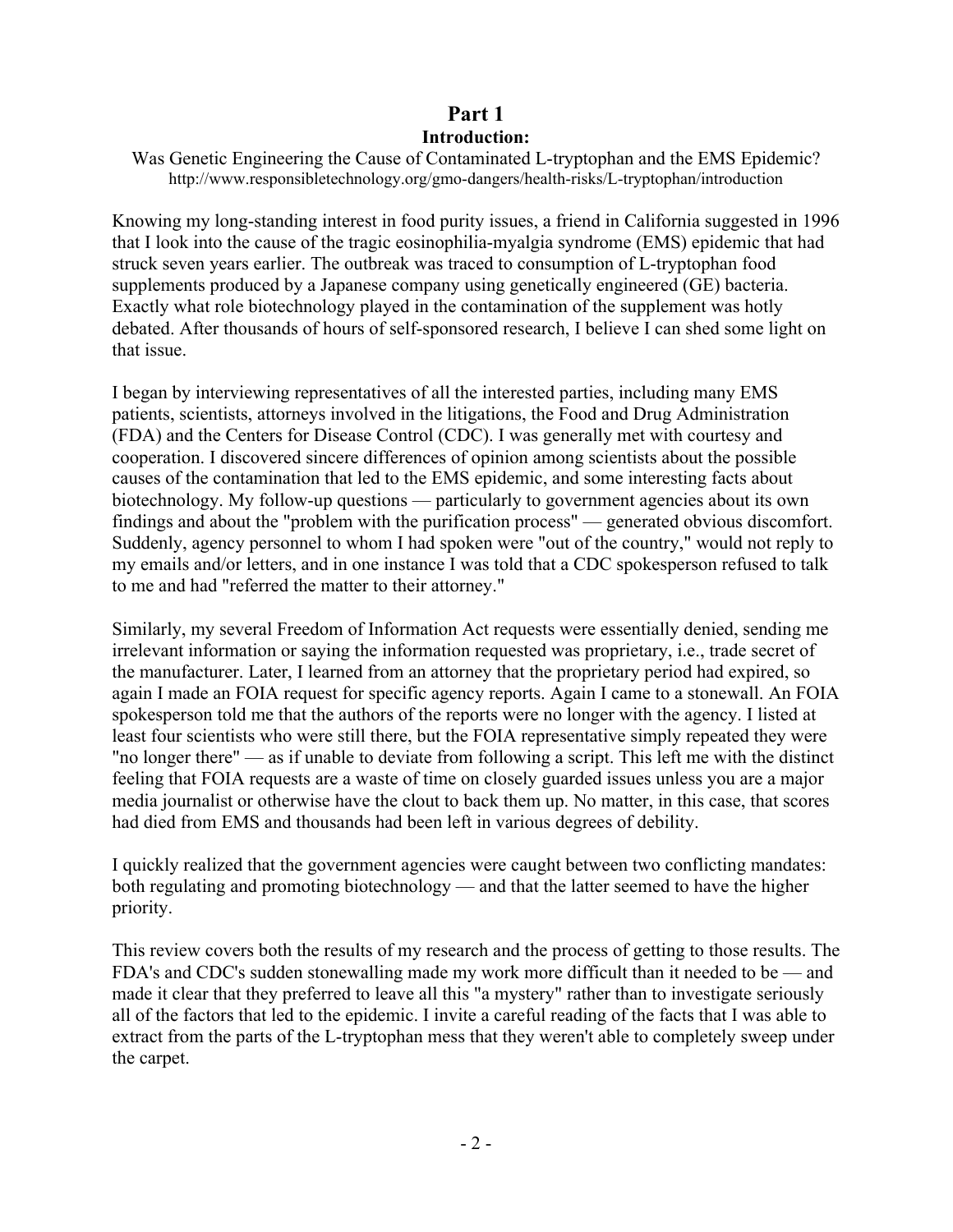## **Part 1 Introduction:**

Was Genetic Engineering the Cause of Contaminated L-tryptophan and the EMS Epidemic? http://www.responsibletechnology.org/gmo-dangers/health-risks/L-tryptophan/introduction

Knowing my long-standing interest in food purity issues, a friend in California suggested in 1996 that I look into the cause of the tragic eosinophilia-myalgia syndrome (EMS) epidemic that had struck seven years earlier. The outbreak was traced to consumption of L-tryptophan food supplements produced by a Japanese company using genetically engineered (GE) bacteria. Exactly what role biotechnology played in the contamination of the supplement was hotly debated. After thousands of hours of self-sponsored research, I believe I can shed some light on that issue.

I began by interviewing representatives of all the interested parties, including many EMS patients, scientists, attorneys involved in the litigations, the Food and Drug Administration (FDA) and the Centers for Disease Control (CDC). I was generally met with courtesy and cooperation. I discovered sincere differences of opinion among scientists about the possible causes of the contamination that led to the EMS epidemic, and some interesting facts about biotechnology. My follow-up questions — particularly to government agencies about its own findings and about the "problem with the purification process" — generated obvious discomfort. Suddenly, agency personnel to whom I had spoken were "out of the country," would not reply to my emails and/or letters, and in one instance I was told that a CDC spokesperson refused to talk to me and had "referred the matter to their attorney."

Similarly, my several Freedom of Information Act requests were essentially denied, sending me irrelevant information or saying the information requested was proprietary, i.e., trade secret of the manufacturer. Later, I learned from an attorney that the proprietary period had expired, so again I made an FOIA request for specific agency reports. Again I came to a stonewall. An FOIA spokesperson told me that the authors of the reports were no longer with the agency. I listed at least four scientists who were still there, but the FOIA representative simply repeated they were "no longer there" — as if unable to deviate from following a script. This left me with the distinct feeling that FOIA requests are a waste of time on closely guarded issues unless you are a major media journalist or otherwise have the clout to back them up. No matter, in this case, that scores had died from EMS and thousands had been left in various degrees of debility.

I quickly realized that the government agencies were caught between two conflicting mandates: both regulating and promoting biotechnology — and that the latter seemed to have the higher priority.

This review covers both the results of my research and the process of getting to those results. The FDA's and CDC's sudden stonewalling made my work more difficult than it needed to be — and made it clear that they preferred to leave all this "a mystery" rather than to investigate seriously all of the factors that led to the epidemic. I invite a careful reading of the facts that I was able to extract from the parts of the L-tryptophan mess that they weren't able to completely sweep under the carpet.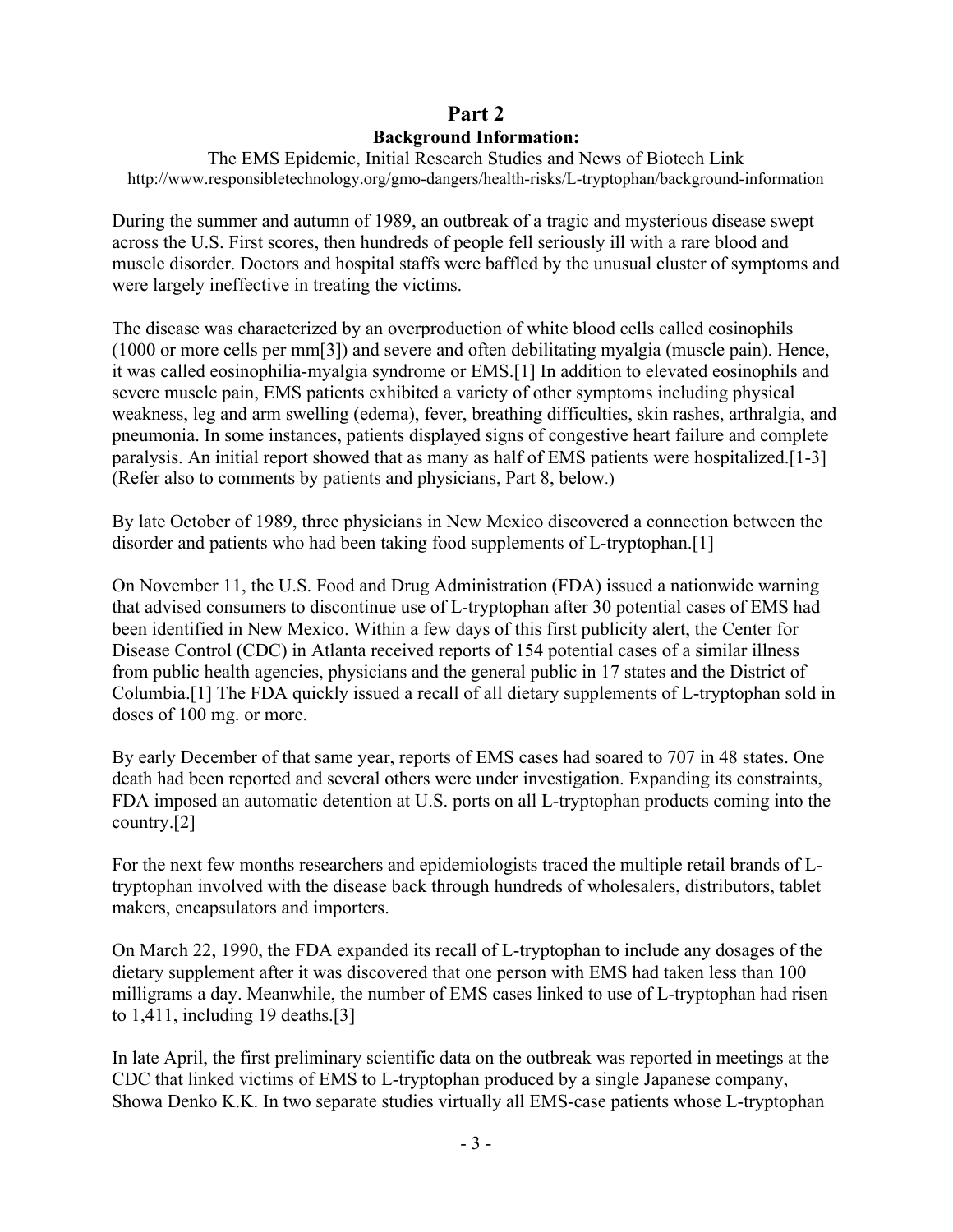## **Part 2 Background Information:**

The EMS Epidemic, Initial Research Studies and News of Biotech Link http://www.responsibletechnology.org/gmo-dangers/health-risks/L-tryptophan/background-information

During the summer and autumn of 1989, an outbreak of a tragic and mysterious disease swept across the U.S. First scores, then hundreds of people fell seriously ill with a rare blood and muscle disorder. Doctors and hospital staffs were baffled by the unusual cluster of symptoms and were largely ineffective in treating the victims.

The disease was characterized by an overproduction of white blood cells called eosinophils (1000 or more cells per mm[3]) and severe and often debilitating myalgia (muscle pain). Hence, it was called eosinophilia-myalgia syndrome or EMS.[1] In addition to elevated eosinophils and severe muscle pain, EMS patients exhibited a variety of other symptoms including physical weakness, leg and arm swelling (edema), fever, breathing difficulties, skin rashes, arthralgia, and pneumonia. In some instances, patients displayed signs of congestive heart failure and complete paralysis. An initial report showed that as many as half of EMS patients were hospitalized.[1-3] (Refer also to comments by patients and physicians, Part 8, below.)

By late October of 1989, three physicians in New Mexico discovered a connection between the disorder and patients who had been taking food supplements of L-tryptophan.[1]

On November 11, the U.S. Food and Drug Administration (FDA) issued a nationwide warning that advised consumers to discontinue use of L-tryptophan after 30 potential cases of EMS had been identified in New Mexico. Within a few days of this first publicity alert, the Center for Disease Control (CDC) in Atlanta received reports of 154 potential cases of a similar illness from public health agencies, physicians and the general public in 17 states and the District of Columbia.[1] The FDA quickly issued a recall of all dietary supplements of L-tryptophan sold in doses of 100 mg. or more.

By early December of that same year, reports of EMS cases had soared to 707 in 48 states. One death had been reported and several others were under investigation. Expanding its constraints, FDA imposed an automatic detention at U.S. ports on all L-tryptophan products coming into the country.[2]

For the next few months researchers and epidemiologists traced the multiple retail brands of Ltryptophan involved with the disease back through hundreds of wholesalers, distributors, tablet makers, encapsulators and importers.

On March 22, 1990, the FDA expanded its recall of L-tryptophan to include any dosages of the dietary supplement after it was discovered that one person with EMS had taken less than 100 milligrams a day. Meanwhile, the number of EMS cases linked to use of L-tryptophan had risen to 1,411, including 19 deaths.[3]

In late April, the first preliminary scientific data on the outbreak was reported in meetings at the CDC that linked victims of EMS to L-tryptophan produced by a single Japanese company, Showa Denko K.K. In two separate studies virtually all EMS-case patients whose L-tryptophan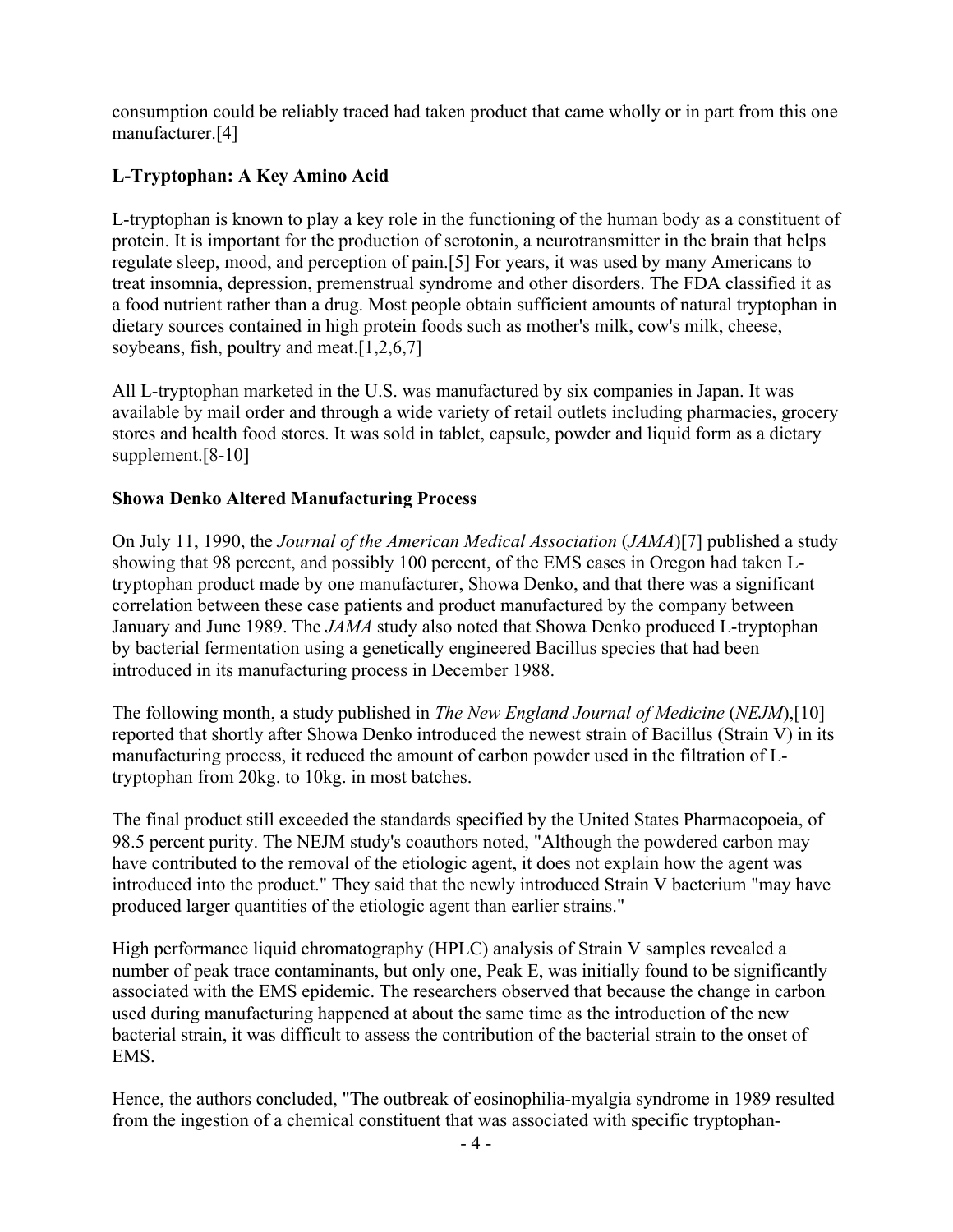consumption could be reliably traced had taken product that came wholly or in part from this one manufacturer.[4]

## **L-Tryptophan: A Key Amino Acid**

L-tryptophan is known to play a key role in the functioning of the human body as a constituent of protein. It is important for the production of serotonin, a neurotransmitter in the brain that helps regulate sleep, mood, and perception of pain.[5] For years, it was used by many Americans to treat insomnia, depression, premenstrual syndrome and other disorders. The FDA classified it as a food nutrient rather than a drug. Most people obtain sufficient amounts of natural tryptophan in dietary sources contained in high protein foods such as mother's milk, cow's milk, cheese, soybeans, fish, poultry and meat.<sup>[1,2,6,7]</sup>

All L-tryptophan marketed in the U.S. was manufactured by six companies in Japan. It was available by mail order and through a wide variety of retail outlets including pharmacies, grocery stores and health food stores. It was sold in tablet, capsule, powder and liquid form as a dietary supplement.<sup>[8-10]</sup>

### **Showa Denko Altered Manufacturing Process**

On July 11, 1990, the *Journal of the American Medical Association* (*JAMA*)[7] published a study showing that 98 percent, and possibly 100 percent, of the EMS cases in Oregon had taken Ltryptophan product made by one manufacturer, Showa Denko, and that there was a significant correlation between these case patients and product manufactured by the company between January and June 1989. The *JAMA* study also noted that Showa Denko produced L-tryptophan by bacterial fermentation using a genetically engineered Bacillus species that had been introduced in its manufacturing process in December 1988.

The following month, a study published in *The New England Journal of Medicine* (*NEJM*),[10] reported that shortly after Showa Denko introduced the newest strain of Bacillus (Strain V) in its manufacturing process, it reduced the amount of carbon powder used in the filtration of Ltryptophan from 20kg. to 10kg. in most batches.

The final product still exceeded the standards specified by the United States Pharmacopoeia, of 98.5 percent purity. The NEJM study's coauthors noted, "Although the powdered carbon may have contributed to the removal of the etiologic agent, it does not explain how the agent was introduced into the product." They said that the newly introduced Strain V bacterium "may have produced larger quantities of the etiologic agent than earlier strains."

High performance liquid chromatography (HPLC) analysis of Strain V samples revealed a number of peak trace contaminants, but only one, Peak E, was initially found to be significantly associated with the EMS epidemic. The researchers observed that because the change in carbon used during manufacturing happened at about the same time as the introduction of the new bacterial strain, it was difficult to assess the contribution of the bacterial strain to the onset of EMS.

Hence, the authors concluded, "The outbreak of eosinophilia-myalgia syndrome in 1989 resulted from the ingestion of a chemical constituent that was associated with specific tryptophan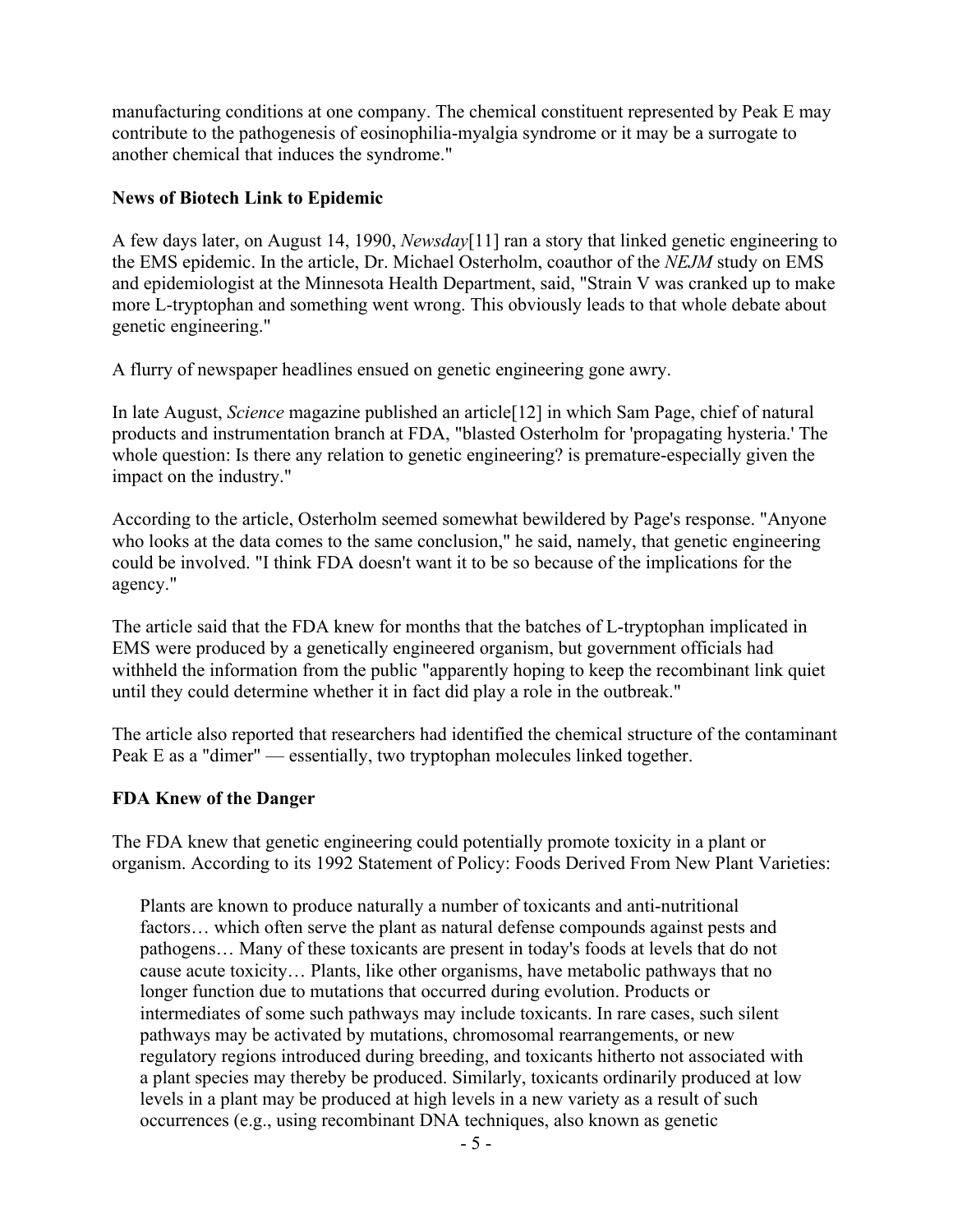manufacturing conditions at one company. The chemical constituent represented by Peak E may contribute to the pathogenesis of eosinophilia-myalgia syndrome or it may be a surrogate to another chemical that induces the syndrome."

#### **News of Biotech Link to Epidemic**

A few days later, on August 14, 1990, *Newsday*[11] ran a story that linked genetic engineering to the EMS epidemic. In the article, Dr. Michael Osterholm, coauthor of the *NEJM* study on EMS and epidemiologist at the Minnesota Health Department, said, "Strain V was cranked up to make more L-tryptophan and something went wrong. This obviously leads to that whole debate about genetic engineering."

A flurry of newspaper headlines ensued on genetic engineering gone awry.

In late August, *Science* magazine published an article[12] in which Sam Page, chief of natural products and instrumentation branch at FDA, "blasted Osterholm for 'propagating hysteria.' The whole question: Is there any relation to genetic engineering? is premature-especially given the impact on the industry."

According to the article, Osterholm seemed somewhat bewildered by Page's response. "Anyone who looks at the data comes to the same conclusion," he said, namely, that genetic engineering could be involved. "I think FDA doesn't want it to be so because of the implications for the agency."

The article said that the FDA knew for months that the batches of L-tryptophan implicated in EMS were produced by a genetically engineered organism, but government officials had withheld the information from the public "apparently hoping to keep the recombinant link quiet until they could determine whether it in fact did play a role in the outbreak."

The article also reported that researchers had identified the chemical structure of the contaminant Peak E as a "dimer" — essentially, two tryptophan molecules linked together.

### **FDA Knew of the Danger**

The FDA knew that genetic engineering could potentially promote toxicity in a plant or organism. According to its 1992 Statement of Policy: Foods Derived From New Plant Varieties:

Plants are known to produce naturally a number of toxicants and anti-nutritional factors… which often serve the plant as natural defense compounds against pests and pathogens… Many of these toxicants are present in today's foods at levels that do not cause acute toxicity… Plants, like other organisms, have metabolic pathways that no longer function due to mutations that occurred during evolution. Products or intermediates of some such pathways may include toxicants. In rare cases, such silent pathways may be activated by mutations, chromosomal rearrangements, or new regulatory regions introduced during breeding, and toxicants hitherto not associated with a plant species may thereby be produced. Similarly, toxicants ordinarily produced at low levels in a plant may be produced at high levels in a new variety as a result of such occurrences (e.g., using recombinant DNA techniques, also known as genetic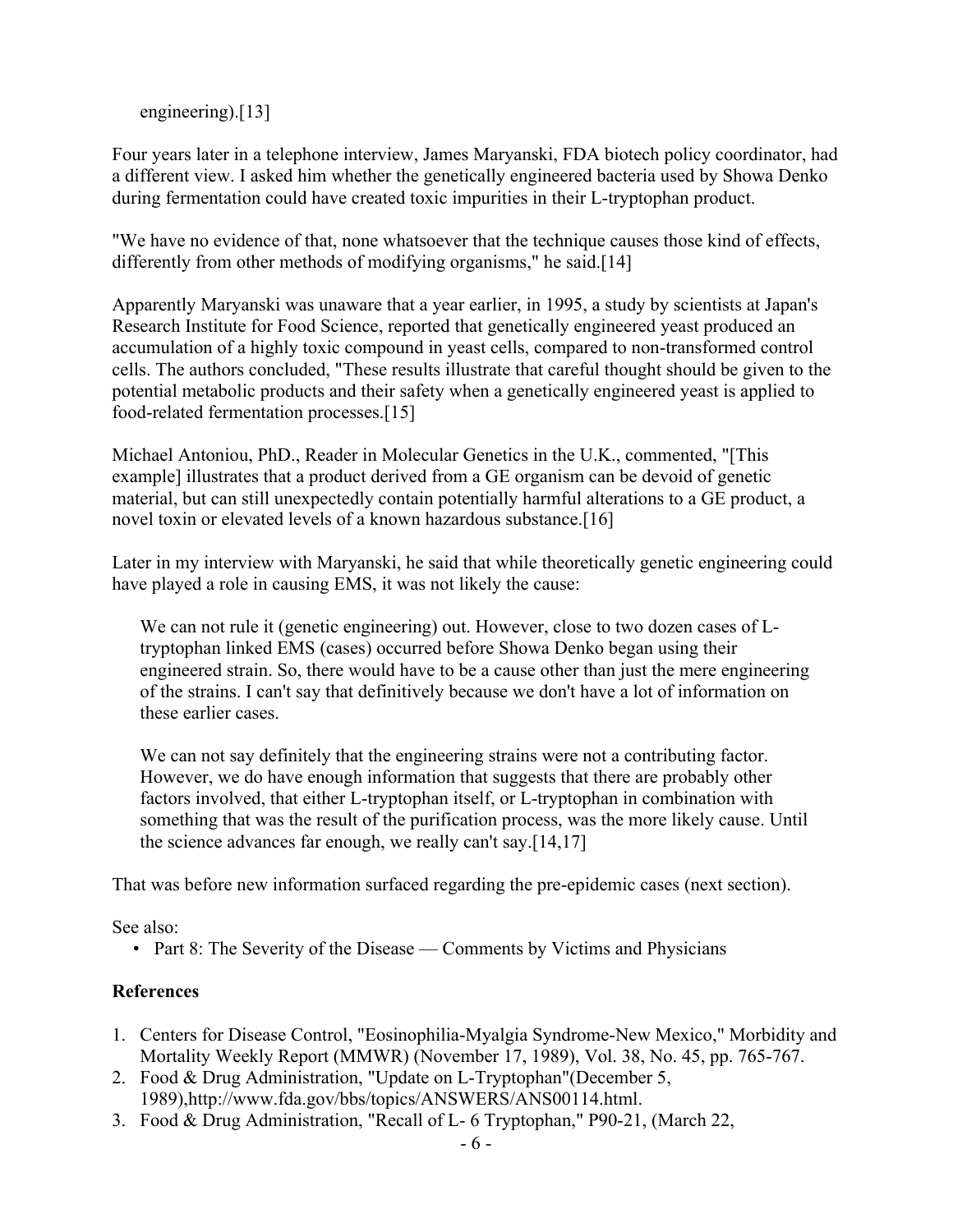engineering).[13]

Four years later in a telephone interview, James Maryanski, FDA biotech policy coordinator, had a different view. I asked him whether the genetically engineered bacteria used by Showa Denko during fermentation could have created toxic impurities in their L-tryptophan product.

"We have no evidence of that, none whatsoever that the technique causes those kind of effects, differently from other methods of modifying organisms," he said.[14]

Apparently Maryanski was unaware that a year earlier, in 1995, a study by scientists at Japan's Research Institute for Food Science, reported that genetically engineered yeast produced an accumulation of a highly toxic compound in yeast cells, compared to non-transformed control cells. The authors concluded, "These results illustrate that careful thought should be given to the potential metabolic products and their safety when a genetically engineered yeast is applied to food-related fermentation processes.[15]

Michael Antoniou, PhD., Reader in Molecular Genetics in the U.K., commented, "[This example] illustrates that a product derived from a GE organism can be devoid of genetic material, but can still unexpectedly contain potentially harmful alterations to a GE product, a novel toxin or elevated levels of a known hazardous substance.[16]

Later in my interview with Maryanski, he said that while theoretically genetic engineering could have played a role in causing EMS, it was not likely the cause:

We can not rule it (genetic engineering) out. However, close to two dozen cases of Ltryptophan linked EMS (cases) occurred before Showa Denko began using their engineered strain. So, there would have to be a cause other than just the mere engineering of the strains. I can't say that definitively because we don't have a lot of information on these earlier cases.

We can not say definitely that the engineering strains were not a contributing factor. However, we do have enough information that suggests that there are probably other factors involved, that either L-tryptophan itself, or L-tryptophan in combination with something that was the result of the purification process, was the more likely cause. Until the science advances far enough, we really can't say.[14,17]

That was before new information surfaced regarding the pre-epidemic cases (next section).

See also:

• Part 8: The Severity of the Disease — Comments by Victims and Physicians

## **References**

- 1. Centers for Disease Control, "Eosinophilia-Myalgia Syndrome-New Mexico," Morbidity and Mortality Weekly Report (MMWR) (November 17, 1989), Vol. 38, No. 45, pp. 765-767.
- 2. Food & Drug Administration, "Update on L-Tryptophan"(December 5, 1989),http://www.fda.gov/bbs/topics/ANSWERS/ANS00114.html.
- 3. Food & Drug Administration, "Recall of L- 6 Tryptophan," P90-21, (March 22,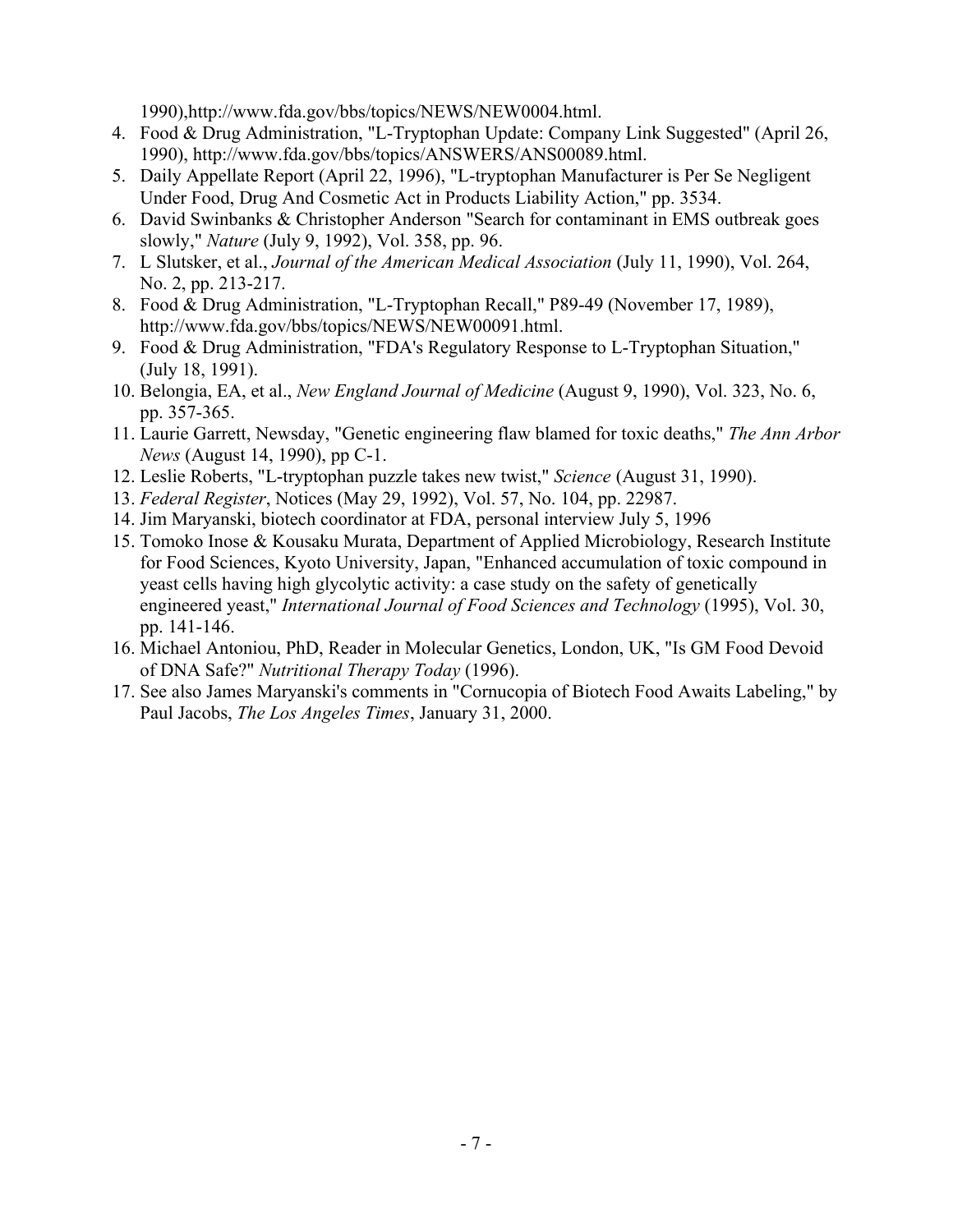1990),http://www.fda.gov/bbs/topics/NEWS/NEW0004.html.

- 4. Food & Drug Administration, "L-Tryptophan Update: Company Link Suggested" (April 26, 1990), http://www.fda.gov/bbs/topics/ANSWERS/ANS00089.html.
- 5. Daily Appellate Report (April 22, 1996), "L-tryptophan Manufacturer is Per Se Negligent Under Food, Drug And Cosmetic Act in Products Liability Action," pp. 3534.
- 6. David Swinbanks & Christopher Anderson "Search for contaminant in EMS outbreak goes slowly," *Nature* (July 9, 1992), Vol. 358, pp. 96.
- 7. L Slutsker, et al., *Journal of the American Medical Association* (July 11, 1990), Vol. 264, No. 2, pp. 213-217.
- 8. Food & Drug Administration, "L-Tryptophan Recall," P89-49 (November 17, 1989), http://www.fda.gov/bbs/topics/NEWS/NEW00091.html.
- 9. Food & Drug Administration, "FDA's Regulatory Response to L-Tryptophan Situation," (July 18, 1991).
- 10. Belongia, EA, et al., *New England Journal of Medicine* (August 9, 1990), Vol. 323, No. 6, pp. 357-365.
- 11. Laurie Garrett, Newsday, "Genetic engineering flaw blamed for toxic deaths," *The Ann Arbor News* (August 14, 1990), pp C-1.
- 12. Leslie Roberts, "L-tryptophan puzzle takes new twist," *Science* (August 31, 1990).
- 13. *Federal Register*, Notices (May 29, 1992), Vol. 57, No. 104, pp. 22987.
- 14. Jim Maryanski, biotech coordinator at FDA, personal interview July 5, 1996
- 15. Tomoko Inose & Kousaku Murata, Department of Applied Microbiology, Research Institute for Food Sciences, Kyoto University, Japan, "Enhanced accumulation of toxic compound in yeast cells having high glycolytic activity: a case study on the safety of genetically engineered yeast," *International Journal of Food Sciences and Technology* (1995), Vol. 30, pp. 141-146.
- 16. Michael Antoniou, PhD, Reader in Molecular Genetics, London, UK, "Is GM Food Devoid of DNA Safe?" *Nutritional Therapy Today* (1996).
- 17. See also James Maryanski's comments in "Cornucopia of Biotech Food Awaits Labeling," by Paul Jacobs, *The Los Angeles Times*, January 31, 2000.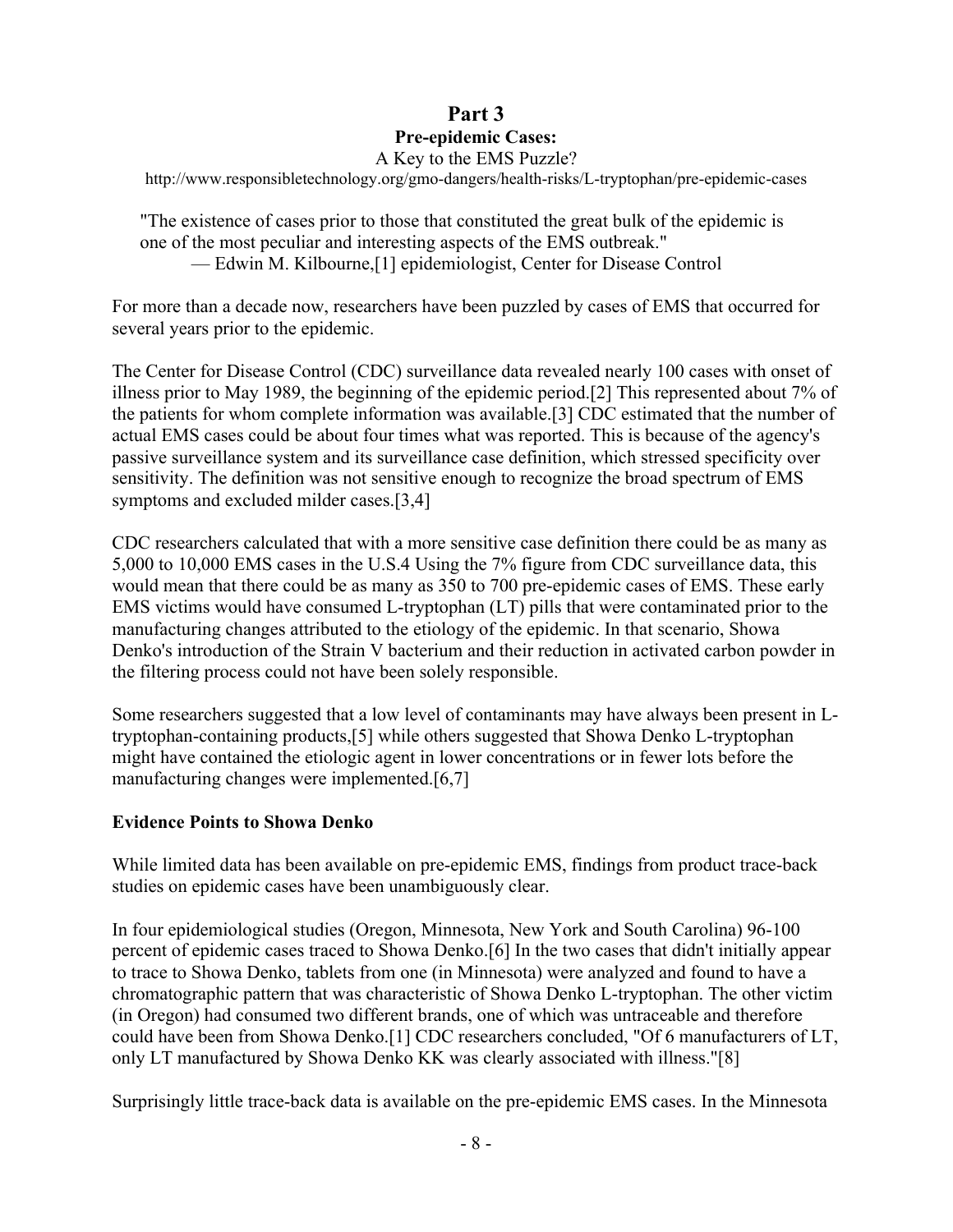### **Part 3 Pre-epidemic Cases:** A Key to the EMS Puzzle?

http://www.responsibletechnology.org/gmo-dangers/health-risks/L-tryptophan/pre-epidemic-cases

"The existence of cases prior to those that constituted the great bulk of the epidemic is one of the most peculiar and interesting aspects of the EMS outbreak." — Edwin M. Kilbourne,[1] epidemiologist, Center for Disease Control

For more than a decade now, researchers have been puzzled by cases of EMS that occurred for several years prior to the epidemic.

The Center for Disease Control (CDC) surveillance data revealed nearly 100 cases with onset of illness prior to May 1989, the beginning of the epidemic period.[2] This represented about 7% of the patients for whom complete information was available.[3] CDC estimated that the number of actual EMS cases could be about four times what was reported. This is because of the agency's passive surveillance system and its surveillance case definition, which stressed specificity over sensitivity. The definition was not sensitive enough to recognize the broad spectrum of EMS symptoms and excluded milder cases.[3,4]

CDC researchers calculated that with a more sensitive case definition there could be as many as 5,000 to 10,000 EMS cases in the U.S.4 Using the 7% figure from CDC surveillance data, this would mean that there could be as many as 350 to 700 pre-epidemic cases of EMS. These early EMS victims would have consumed L-tryptophan (LT) pills that were contaminated prior to the manufacturing changes attributed to the etiology of the epidemic. In that scenario, Showa Denko's introduction of the Strain V bacterium and their reduction in activated carbon powder in the filtering process could not have been solely responsible.

Some researchers suggested that a low level of contaminants may have always been present in Ltryptophan-containing products,[5] while others suggested that Showa Denko L-tryptophan might have contained the etiologic agent in lower concentrations or in fewer lots before the manufacturing changes were implemented.[6,7]

### **Evidence Points to Showa Denko**

While limited data has been available on pre-epidemic EMS, findings from product trace-back studies on epidemic cases have been unambiguously clear.

In four epidemiological studies (Oregon, Minnesota, New York and South Carolina) 96-100 percent of epidemic cases traced to Showa Denko.[6] In the two cases that didn't initially appear to trace to Showa Denko, tablets from one (in Minnesota) were analyzed and found to have a chromatographic pattern that was characteristic of Showa Denko L-tryptophan. The other victim (in Oregon) had consumed two different brands, one of which was untraceable and therefore could have been from Showa Denko.[1] CDC researchers concluded, "Of 6 manufacturers of LT, only LT manufactured by Showa Denko KK was clearly associated with illness."[8]

Surprisingly little trace-back data is available on the pre-epidemic EMS cases. In the Minnesota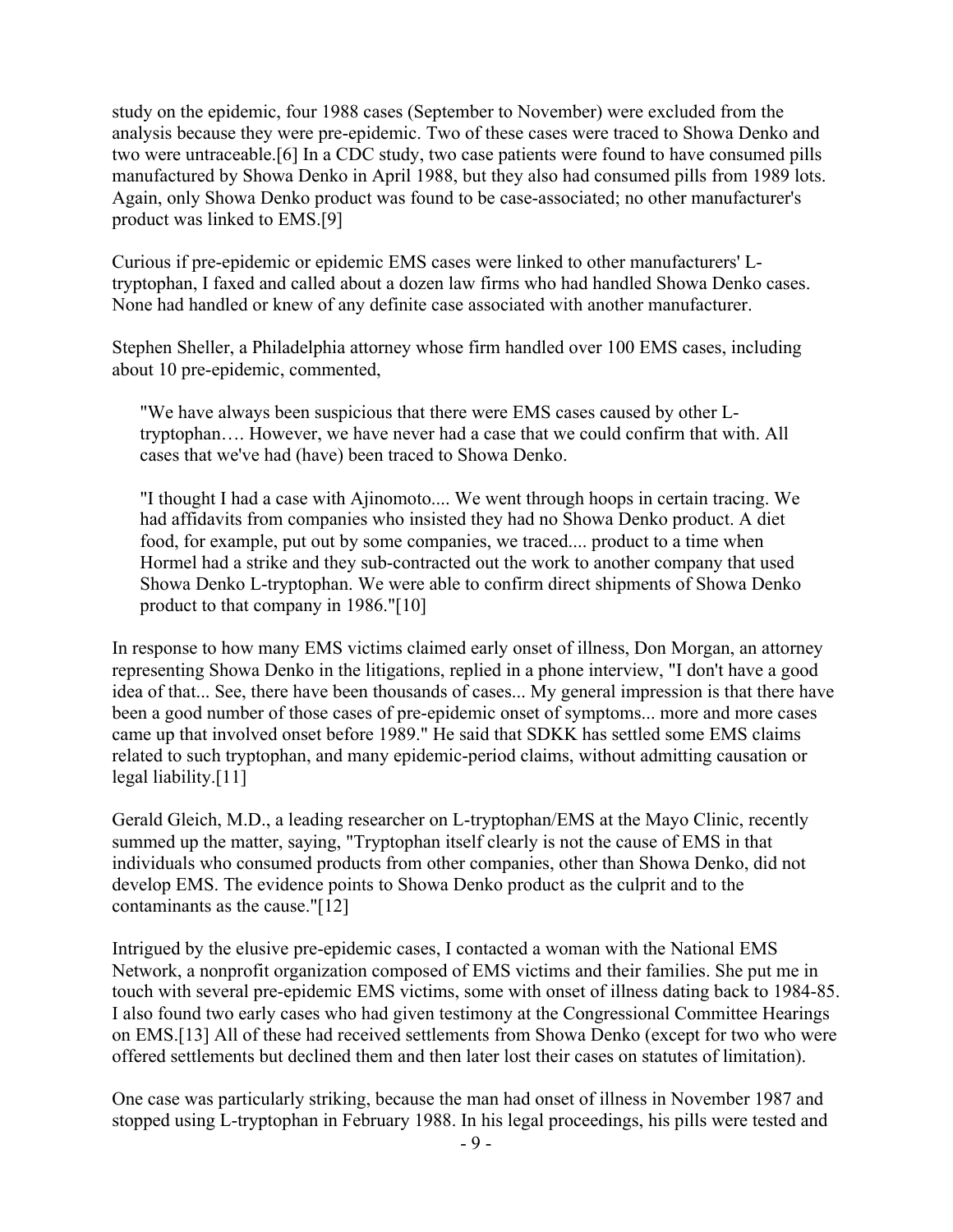study on the epidemic, four 1988 cases (September to November) were excluded from the analysis because they were pre-epidemic. Two of these cases were traced to Showa Denko and two were untraceable.[6] In a CDC study, two case patients were found to have consumed pills manufactured by Showa Denko in April 1988, but they also had consumed pills from 1989 lots. Again, only Showa Denko product was found to be case-associated; no other manufacturer's product was linked to EMS.[9]

Curious if pre-epidemic or epidemic EMS cases were linked to other manufacturers' Ltryptophan, I faxed and called about a dozen law firms who had handled Showa Denko cases. None had handled or knew of any definite case associated with another manufacturer.

Stephen Sheller, a Philadelphia attorney whose firm handled over 100 EMS cases, including about 10 pre-epidemic, commented,

"We have always been suspicious that there were EMS cases caused by other Ltryptophan…. However, we have never had a case that we could confirm that with. All cases that we've had (have) been traced to Showa Denko.

"I thought I had a case with Ajinomoto.... We went through hoops in certain tracing. We had affidavits from companies who insisted they had no Showa Denko product. A diet food, for example, put out by some companies, we traced.... product to a time when Hormel had a strike and they sub-contracted out the work to another company that used Showa Denko L-tryptophan. We were able to confirm direct shipments of Showa Denko product to that company in 1986."[10]

In response to how many EMS victims claimed early onset of illness, Don Morgan, an attorney representing Showa Denko in the litigations, replied in a phone interview, "I don't have a good idea of that... See, there have been thousands of cases... My general impression is that there have been a good number of those cases of pre-epidemic onset of symptoms... more and more cases came up that involved onset before 1989." He said that SDKK has settled some EMS claims related to such tryptophan, and many epidemic-period claims, without admitting causation or legal liability.[11]

Gerald Gleich, M.D., a leading researcher on L-tryptophan/EMS at the Mayo Clinic, recently summed up the matter, saying, "Tryptophan itself clearly is not the cause of EMS in that individuals who consumed products from other companies, other than Showa Denko, did not develop EMS. The evidence points to Showa Denko product as the culprit and to the contaminants as the cause."[12]

Intrigued by the elusive pre-epidemic cases, I contacted a woman with the National EMS Network, a nonprofit organization composed of EMS victims and their families. She put me in touch with several pre-epidemic EMS victims, some with onset of illness dating back to 1984-85. I also found two early cases who had given testimony at the Congressional Committee Hearings on EMS.[13] All of these had received settlements from Showa Denko (except for two who were offered settlements but declined them and then later lost their cases on statutes of limitation).

One case was particularly striking, because the man had onset of illness in November 1987 and stopped using L-tryptophan in February 1988. In his legal proceedings, his pills were tested and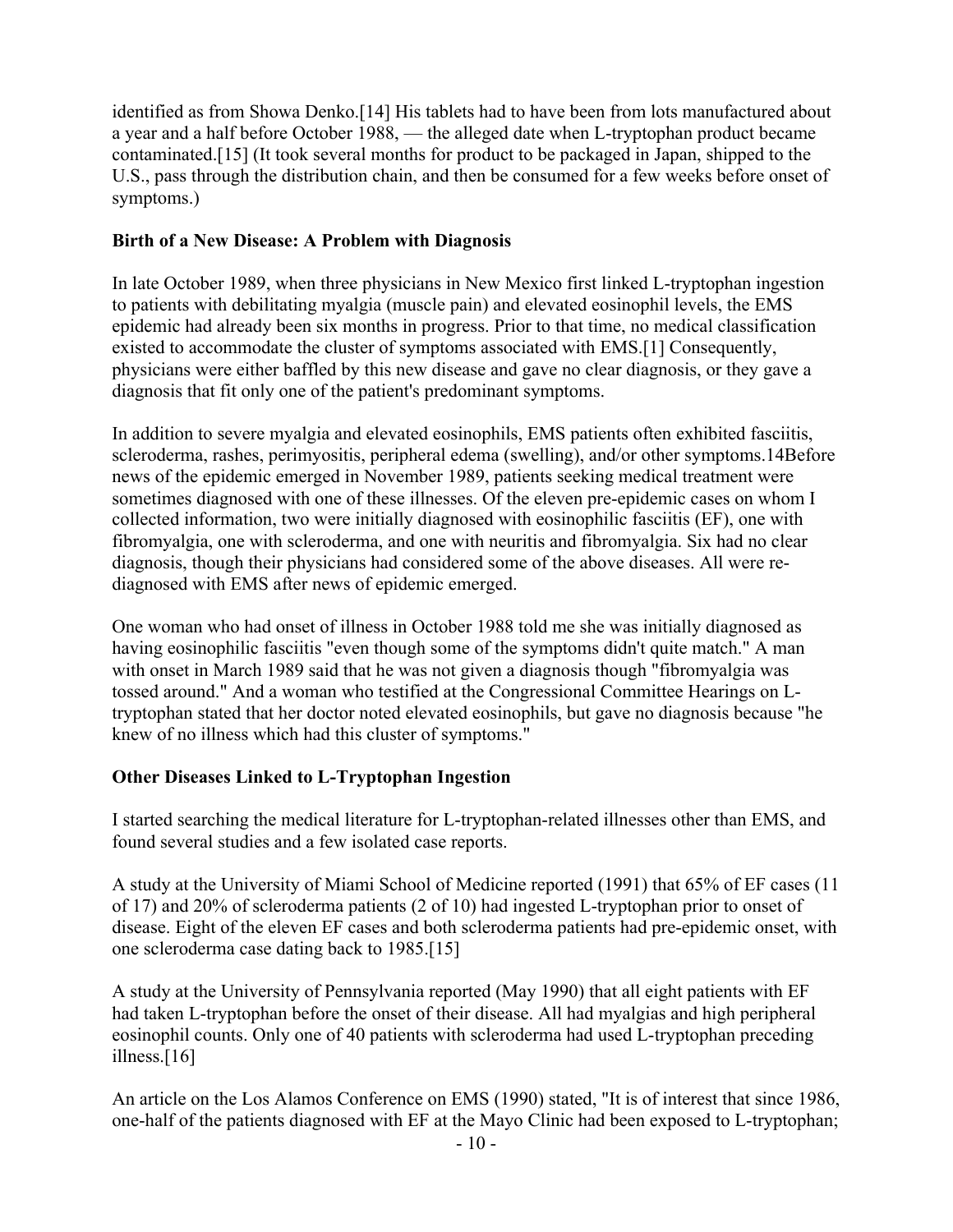identified as from Showa Denko.[14] His tablets had to have been from lots manufactured about a year and a half before October 1988, — the alleged date when L-tryptophan product became contaminated.[15] (It took several months for product to be packaged in Japan, shipped to the U.S., pass through the distribution chain, and then be consumed for a few weeks before onset of symptoms.)

### **Birth of a New Disease: A Problem with Diagnosis**

In late October 1989, when three physicians in New Mexico first linked L-tryptophan ingestion to patients with debilitating myalgia (muscle pain) and elevated eosinophil levels, the EMS epidemic had already been six months in progress. Prior to that time, no medical classification existed to accommodate the cluster of symptoms associated with EMS.[1] Consequently, physicians were either baffled by this new disease and gave no clear diagnosis, or they gave a diagnosis that fit only one of the patient's predominant symptoms.

In addition to severe myalgia and elevated eosinophils, EMS patients often exhibited fasciitis, scleroderma, rashes, perimyositis, peripheral edema (swelling), and/or other symptoms.14Before news of the epidemic emerged in November 1989, patients seeking medical treatment were sometimes diagnosed with one of these illnesses. Of the eleven pre-epidemic cases on whom I collected information, two were initially diagnosed with eosinophilic fasciitis (EF), one with fibromyalgia, one with scleroderma, and one with neuritis and fibromyalgia. Six had no clear diagnosis, though their physicians had considered some of the above diseases. All were rediagnosed with EMS after news of epidemic emerged.

One woman who had onset of illness in October 1988 told me she was initially diagnosed as having eosinophilic fasciitis "even though some of the symptoms didn't quite match." A man with onset in March 1989 said that he was not given a diagnosis though "fibromyalgia was tossed around." And a woman who testified at the Congressional Committee Hearings on Ltryptophan stated that her doctor noted elevated eosinophils, but gave no diagnosis because "he knew of no illness which had this cluster of symptoms."

## **Other Diseases Linked to L-Tryptophan Ingestion**

I started searching the medical literature for L-tryptophan-related illnesses other than EMS, and found several studies and a few isolated case reports.

A study at the University of Miami School of Medicine reported (1991) that 65% of EF cases (11 of 17) and 20% of scleroderma patients (2 of 10) had ingested L-tryptophan prior to onset of disease. Eight of the eleven EF cases and both scleroderma patients had pre-epidemic onset, with one scleroderma case dating back to 1985.[15]

A study at the University of Pennsylvania reported (May 1990) that all eight patients with EF had taken L-tryptophan before the onset of their disease. All had myalgias and high peripheral eosinophil counts. Only one of 40 patients with scleroderma had used L-tryptophan preceding illness.[16]

An article on the Los Alamos Conference on EMS (1990) stated, "It is of interest that since 1986, one-half of the patients diagnosed with EF at the Mayo Clinic had been exposed to L-tryptophan;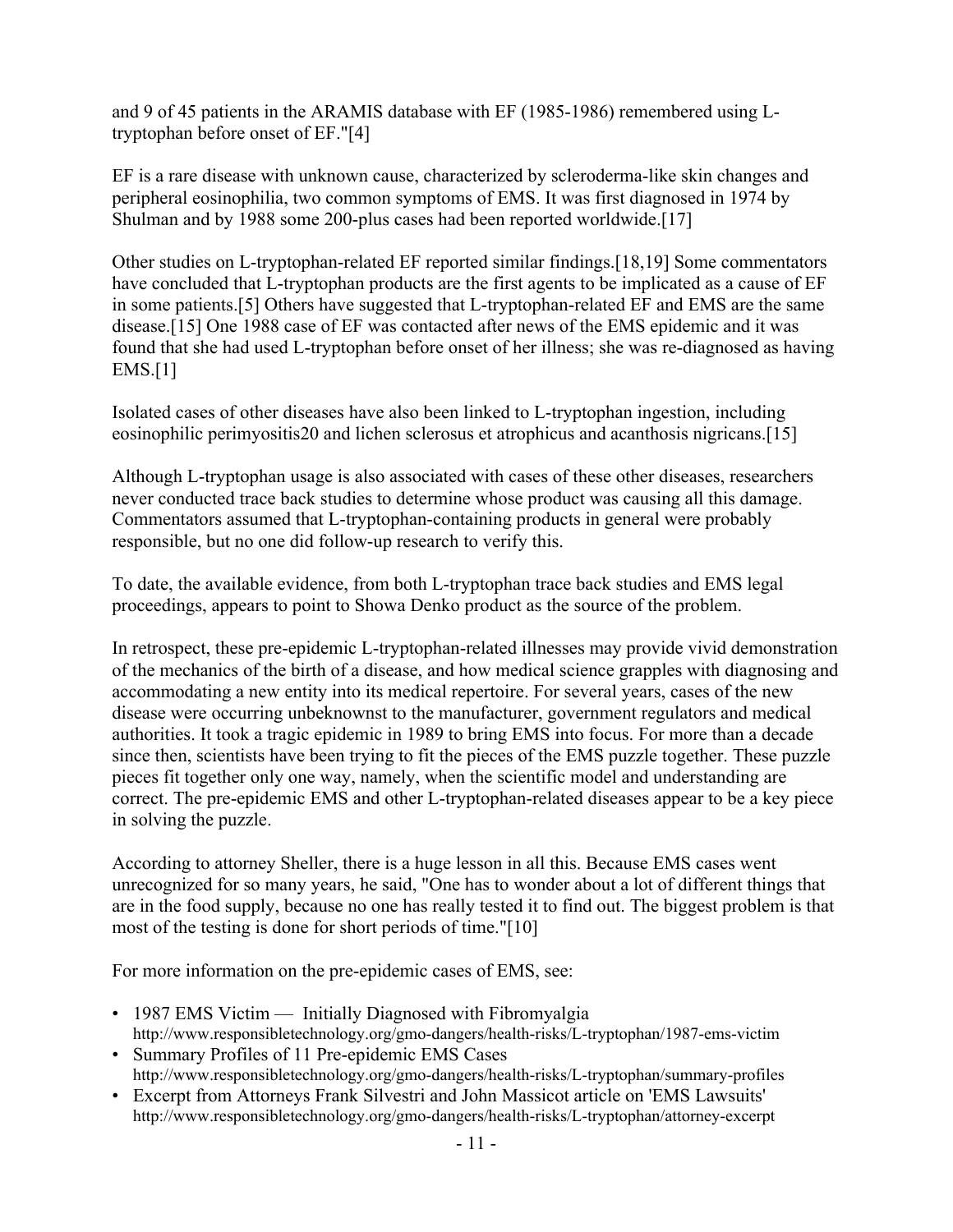and 9 of 45 patients in the ARAMIS database with EF (1985-1986) remembered using Ltryptophan before onset of EF."[4]

EF is a rare disease with unknown cause, characterized by scleroderma-like skin changes and peripheral eosinophilia, two common symptoms of EMS. It was first diagnosed in 1974 by Shulman and by 1988 some 200-plus cases had been reported worldwide.[17]

Other studies on L-tryptophan-related EF reported similar findings.[18,19] Some commentators have concluded that L-tryptophan products are the first agents to be implicated as a cause of EF in some patients.[5] Others have suggested that L-tryptophan-related EF and EMS are the same disease.[15] One 1988 case of EF was contacted after news of the EMS epidemic and it was found that she had used L-tryptophan before onset of her illness; she was re-diagnosed as having EMS.[1]

Isolated cases of other diseases have also been linked to L-tryptophan ingestion, including eosinophilic perimyositis20 and lichen sclerosus et atrophicus and acanthosis nigricans.[15]

Although L-tryptophan usage is also associated with cases of these other diseases, researchers never conducted trace back studies to determine whose product was causing all this damage. Commentators assumed that L-tryptophan-containing products in general were probably responsible, but no one did follow-up research to verify this.

To date, the available evidence, from both L-tryptophan trace back studies and EMS legal proceedings, appears to point to Showa Denko product as the source of the problem.

In retrospect, these pre-epidemic L-tryptophan-related illnesses may provide vivid demonstration of the mechanics of the birth of a disease, and how medical science grapples with diagnosing and accommodating a new entity into its medical repertoire. For several years, cases of the new disease were occurring unbeknownst to the manufacturer, government regulators and medical authorities. It took a tragic epidemic in 1989 to bring EMS into focus. For more than a decade since then, scientists have been trying to fit the pieces of the EMS puzzle together. These puzzle pieces fit together only one way, namely, when the scientific model and understanding are correct. The pre-epidemic EMS and other L-tryptophan-related diseases appear to be a key piece in solving the puzzle.

According to attorney Sheller, there is a huge lesson in all this. Because EMS cases went unrecognized for so many years, he said, "One has to wonder about a lot of different things that are in the food supply, because no one has really tested it to find out. The biggest problem is that most of the testing is done for short periods of time."[10]

For more information on the pre-epidemic cases of EMS, see:

- 1987 EMS Victim Initially Diagnosed with Fibromyalgia http://www.responsibletechnology.org/gmo-dangers/health-risks/L-tryptophan/1987-ems-victim
- Summary Profiles of 11 Pre-epidemic EMS Cases http://www.responsibletechnology.org/gmo-dangers/health-risks/L-tryptophan/summary-profiles
- Excerpt from Attorneys Frank Silvestri and John Massicot article on 'EMS Lawsuits' http://www.responsibletechnology.org/gmo-dangers/health-risks/L-tryptophan/attorney-excerpt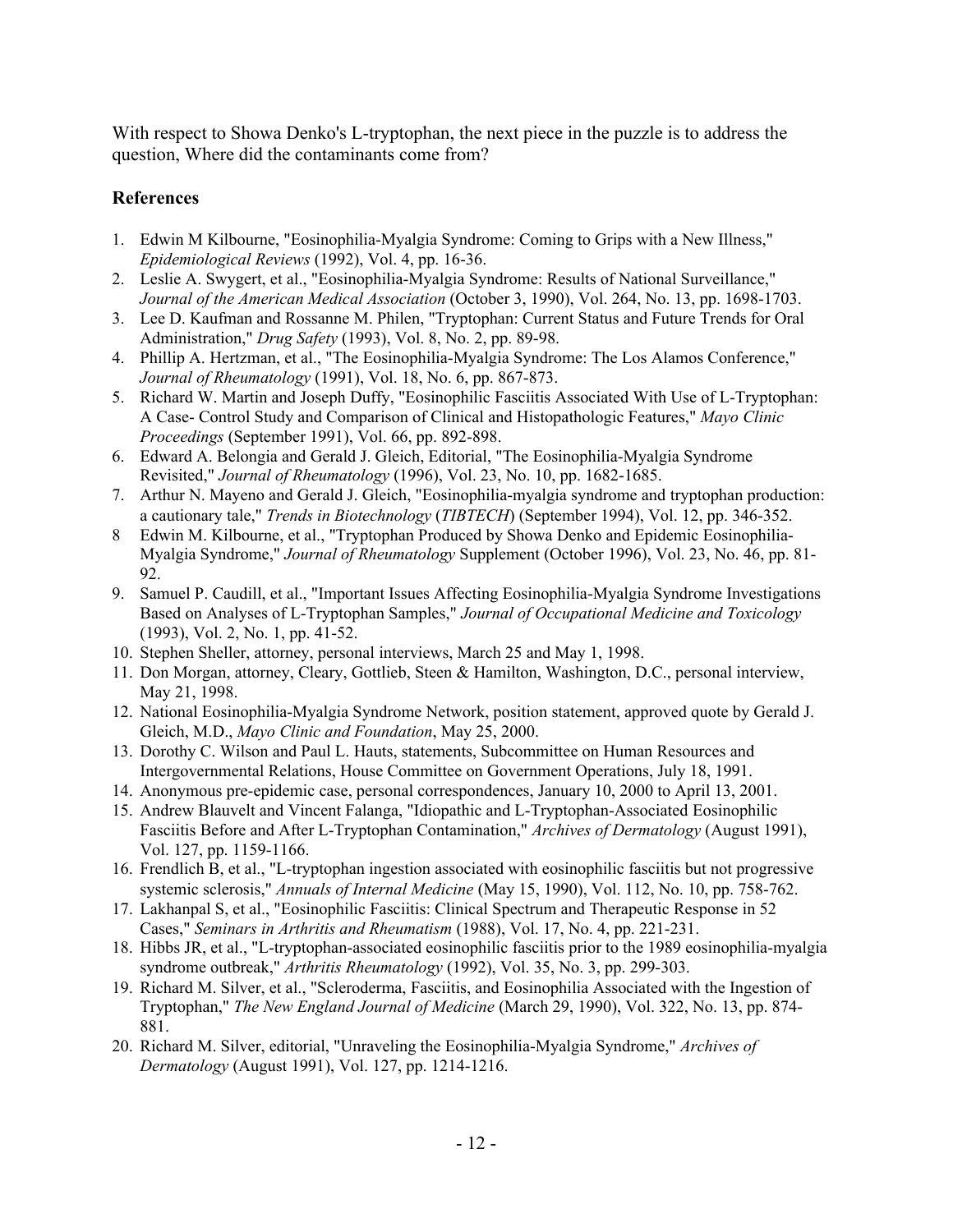With respect to Showa Denko's L-tryptophan, the next piece in the puzzle is to address the question, Where did the contaminants come from?

### **References**

- 1. Edwin M Kilbourne, "Eosinophilia-Myalgia Syndrome: Coming to Grips with a New Illness," *Epidemiological Reviews* (1992), Vol. 4, pp. 16-36.
- 2. Leslie A. Swygert, et al., "Eosinophilia-Myalgia Syndrome: Results of National Surveillance," *Journal of the American Medical Association* (October 3, 1990), Vol. 264, No. 13, pp. 1698-1703.
- 3. Lee D. Kaufman and Rossanne M. Philen, "Tryptophan: Current Status and Future Trends for Oral Administration," *Drug Safety* (1993), Vol. 8, No. 2, pp. 89-98.
- 4. Phillip A. Hertzman, et al., "The Eosinophilia-Myalgia Syndrome: The Los Alamos Conference," *Journal of Rheumatology* (1991), Vol. 18, No. 6, pp. 867-873.
- 5. Richard W. Martin and Joseph Duffy, "Eosinophilic Fasciitis Associated With Use of L-Tryptophan: A Case- Control Study and Comparison of Clinical and Histopathologic Features," *Mayo Clinic Proceedings* (September 1991), Vol. 66, pp. 892-898.
- 6. Edward A. Belongia and Gerald J. Gleich, Editorial, "The Eosinophilia-Myalgia Syndrome Revisited," *Journal of Rheumatology* (1996), Vol. 23, No. 10, pp. 1682-1685.
- 7. Arthur N. Mayeno and Gerald J. Gleich, "Eosinophilia-myalgia syndrome and tryptophan production: a cautionary tale," *Trends in Biotechnology* (*TIBTECH*) (September 1994), Vol. 12, pp. 346-352.
- 8 Edwin M. Kilbourne, et al., "Tryptophan Produced by Showa Denko and Epidemic Eosinophilia-Myalgia Syndrome," *Journal of Rheumatology* Supplement (October 1996), Vol. 23, No. 46, pp. 81- 92.
- 9. Samuel P. Caudill, et al., "Important Issues Affecting Eosinophilia-Myalgia Syndrome Investigations Based on Analyses of L-Tryptophan Samples," *Journal of Occupational Medicine and Toxicology* (1993), Vol. 2, No. 1, pp. 41-52.
- 10. Stephen Sheller, attorney, personal interviews, March 25 and May 1, 1998.
- 11. Don Morgan, attorney, Cleary, Gottlieb, Steen & Hamilton, Washington, D.C., personal interview, May 21, 1998.
- 12. National Eosinophilia-Myalgia Syndrome Network, position statement, approved quote by Gerald J. Gleich, M.D., *Mayo Clinic and Foundation*, May 25, 2000.
- 13. Dorothy C. Wilson and Paul L. Hauts, statements, Subcommittee on Human Resources and Intergovernmental Relations, House Committee on Government Operations, July 18, 1991.
- 14. Anonymous pre-epidemic case, personal correspondences, January 10, 2000 to April 13, 2001.
- 15. Andrew Blauvelt and Vincent Falanga, "Idiopathic and L-Tryptophan-Associated Eosinophilic Fasciitis Before and After L-Tryptophan Contamination," *Archives of Dermatology* (August 1991), Vol. 127, pp. 1159-1166.
- 16. Frendlich B, et al., "L-tryptophan ingestion associated with eosinophilic fasciitis but not progressive systemic sclerosis," *Annuals of Internal Medicine* (May 15, 1990), Vol. 112, No. 10, pp. 758-762.
- 17. Lakhanpal S, et al., "Eosinophilic Fasciitis: Clinical Spectrum and Therapeutic Response in 52 Cases," *Seminars in Arthritis and Rheumatism* (1988), Vol. 17, No. 4, pp. 221-231.
- 18. Hibbs JR, et al., "L-tryptophan-associated eosinophilic fasciitis prior to the 1989 eosinophilia-myalgia syndrome outbreak," *Arthritis Rheumatology* (1992), Vol. 35, No. 3, pp. 299-303.
- 19. Richard M. Silver, et al., "Scleroderma, Fasciitis, and Eosinophilia Associated with the Ingestion of Tryptophan," *The New England Journal of Medicine* (March 29, 1990), Vol. 322, No. 13, pp. 874- 881.
- 20. Richard M. Silver, editorial, "Unraveling the Eosinophilia-Myalgia Syndrome," *Archives of Dermatology* (August 1991), Vol. 127, pp. 1214-1216.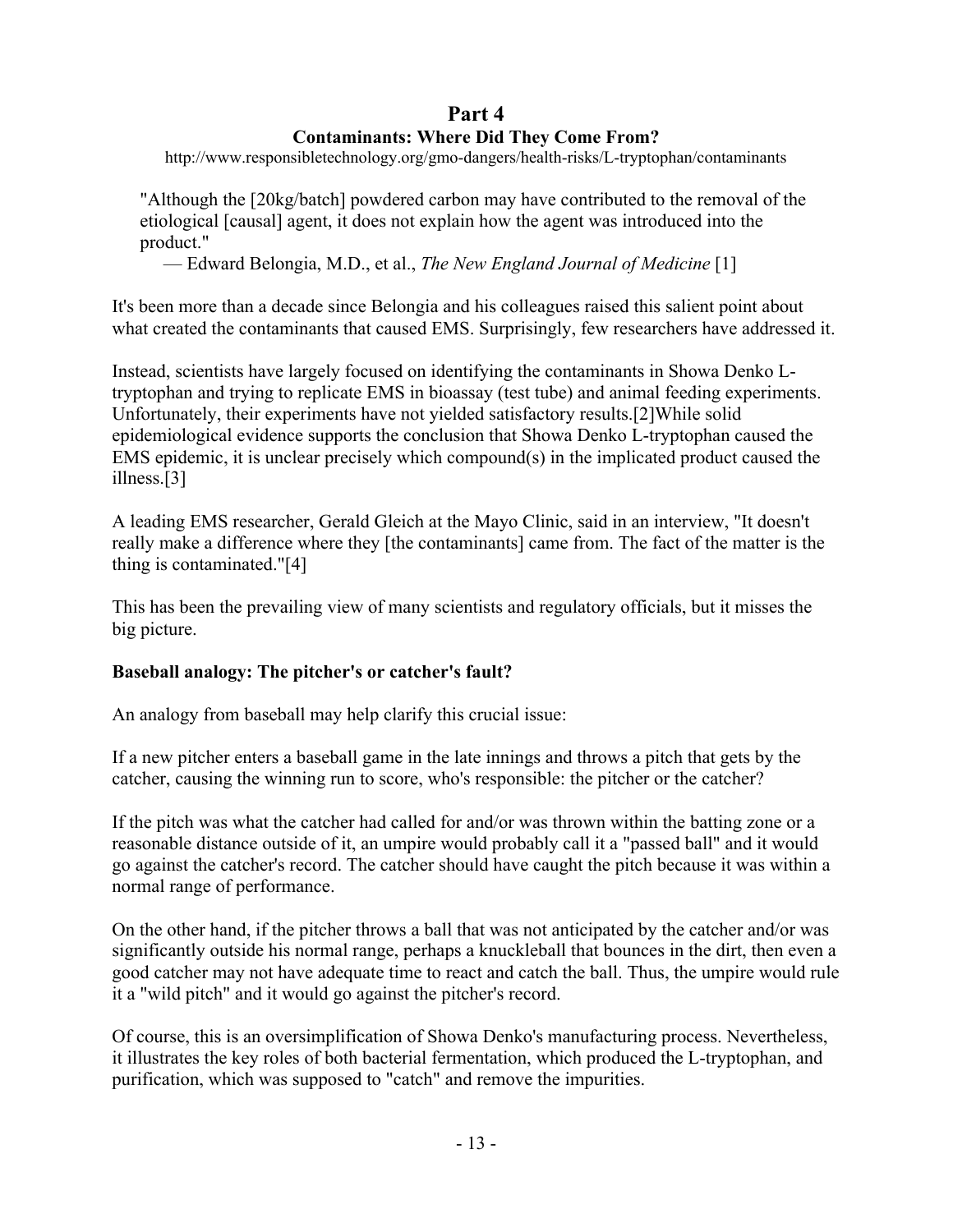## **Part 4**

## **Contaminants: Where Did They Come From?**

http://www.responsibletechnology.org/gmo-dangers/health-risks/L-tryptophan/contaminants

"Although the [20kg/batch] powdered carbon may have contributed to the removal of the etiological [causal] agent, it does not explain how the agent was introduced into the product."

— Edward Belongia, M.D., et al., *The New England Journal of Medicine* [1]

It's been more than a decade since Belongia and his colleagues raised this salient point about what created the contaminants that caused EMS. Surprisingly, few researchers have addressed it.

Instead, scientists have largely focused on identifying the contaminants in Showa Denko Ltryptophan and trying to replicate EMS in bioassay (test tube) and animal feeding experiments. Unfortunately, their experiments have not yielded satisfactory results.[2]While solid epidemiological evidence supports the conclusion that Showa Denko L-tryptophan caused the EMS epidemic, it is unclear precisely which compound(s) in the implicated product caused the illness.[3]

A leading EMS researcher, Gerald Gleich at the Mayo Clinic, said in an interview, "It doesn't really make a difference where they [the contaminants] came from. The fact of the matter is the thing is contaminated."[4]

This has been the prevailing view of many scientists and regulatory officials, but it misses the big picture.

## **Baseball analogy: The pitcher's or catcher's fault?**

An analogy from baseball may help clarify this crucial issue:

If a new pitcher enters a baseball game in the late innings and throws a pitch that gets by the catcher, causing the winning run to score, who's responsible: the pitcher or the catcher?

If the pitch was what the catcher had called for and/or was thrown within the batting zone or a reasonable distance outside of it, an umpire would probably call it a "passed ball" and it would go against the catcher's record. The catcher should have caught the pitch because it was within a normal range of performance.

On the other hand, if the pitcher throws a ball that was not anticipated by the catcher and/or was significantly outside his normal range, perhaps a knuckleball that bounces in the dirt, then even a good catcher may not have adequate time to react and catch the ball. Thus, the umpire would rule it a "wild pitch" and it would go against the pitcher's record.

Of course, this is an oversimplification of Showa Denko's manufacturing process. Nevertheless, it illustrates the key roles of both bacterial fermentation, which produced the L-tryptophan, and purification, which was supposed to "catch" and remove the impurities.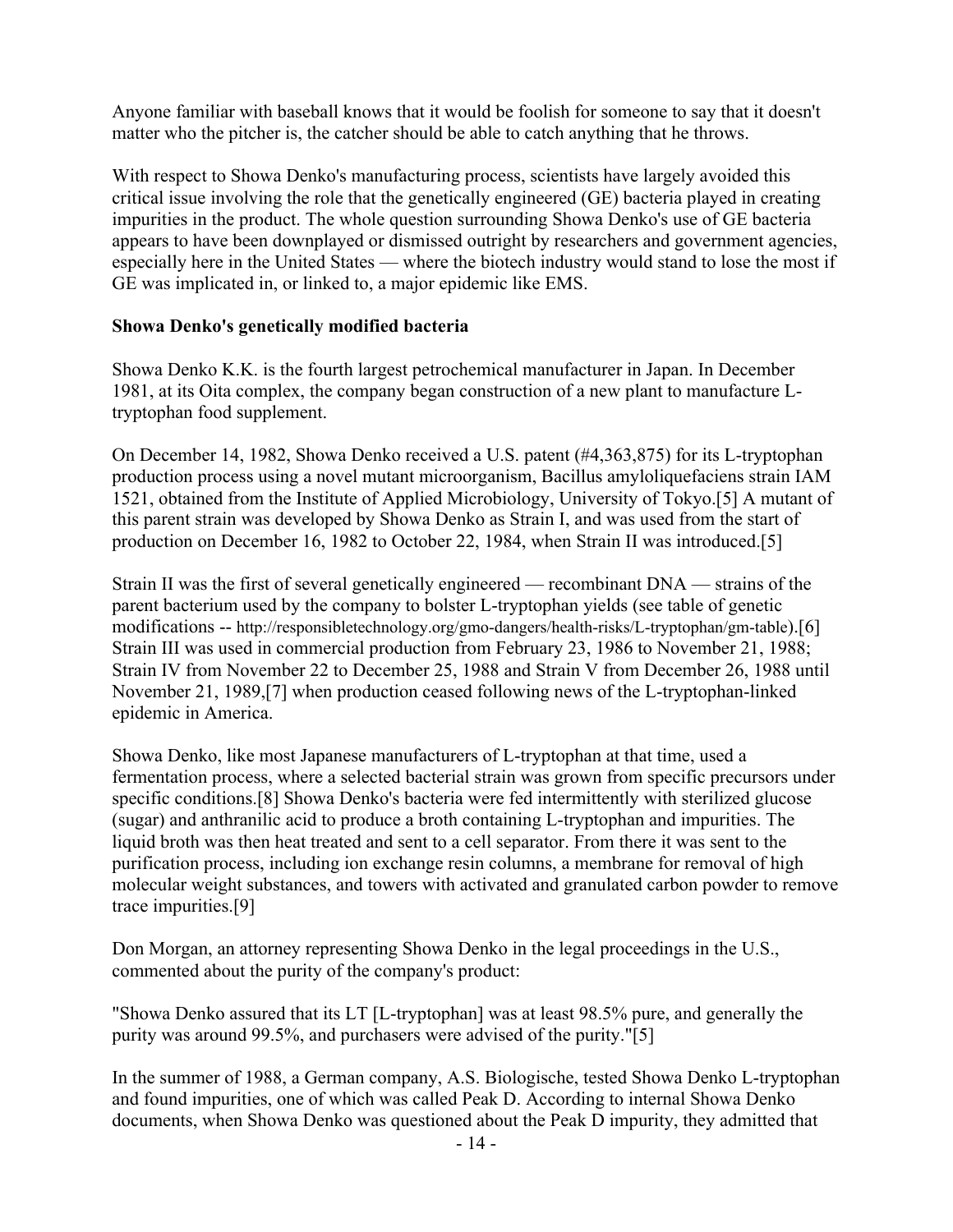Anyone familiar with baseball knows that it would be foolish for someone to say that it doesn't matter who the pitcher is, the catcher should be able to catch anything that he throws.

With respect to Showa Denko's manufacturing process, scientists have largely avoided this critical issue involving the role that the genetically engineered (GE) bacteria played in creating impurities in the product. The whole question surrounding Showa Denko's use of GE bacteria appears to have been downplayed or dismissed outright by researchers and government agencies, especially here in the United States — where the biotech industry would stand to lose the most if GE was implicated in, or linked to, a major epidemic like EMS.

### **Showa Denko's genetically modified bacteria**

Showa Denko K.K. is the fourth largest petrochemical manufacturer in Japan. In December 1981, at its Oita complex, the company began construction of a new plant to manufacture Ltryptophan food supplement.

On December 14, 1982, Showa Denko received a U.S. patent (#4,363,875) for its L-tryptophan production process using a novel mutant microorganism, Bacillus amyloliquefaciens strain IAM 1521, obtained from the Institute of Applied Microbiology, University of Tokyo.[5] A mutant of this parent strain was developed by Showa Denko as Strain I, and was used from the start of production on December 16, 1982 to October 22, 1984, when Strain II was introduced.[5]

Strain II was the first of several genetically engineered — recombinant DNA — strains of the parent bacterium used by the company to bolster L-tryptophan yields (see table of genetic modifications -- http://responsibletechnology.org/gmo-dangers/health-risks/L-tryptophan/gm-table).[6] Strain III was used in commercial production from February 23, 1986 to November 21, 1988; Strain IV from November 22 to December 25, 1988 and Strain V from December 26, 1988 until November 21, 1989,[7] when production ceased following news of the L-tryptophan-linked epidemic in America.

Showa Denko, like most Japanese manufacturers of L-tryptophan at that time, used a fermentation process, where a selected bacterial strain was grown from specific precursors under specific conditions.[8] Showa Denko's bacteria were fed intermittently with sterilized glucose (sugar) and anthranilic acid to produce a broth containing L-tryptophan and impurities. The liquid broth was then heat treated and sent to a cell separator. From there it was sent to the purification process, including ion exchange resin columns, a membrane for removal of high molecular weight substances, and towers with activated and granulated carbon powder to remove trace impurities.[9]

Don Morgan, an attorney representing Showa Denko in the legal proceedings in the U.S., commented about the purity of the company's product:

"Showa Denko assured that its LT [L-tryptophan] was at least 98.5% pure, and generally the purity was around 99.5%, and purchasers were advised of the purity."[5]

In the summer of 1988, a German company, A.S. Biologische, tested Showa Denko L-tryptophan and found impurities, one of which was called Peak D. According to internal Showa Denko documents, when Showa Denko was questioned about the Peak D impurity, they admitted that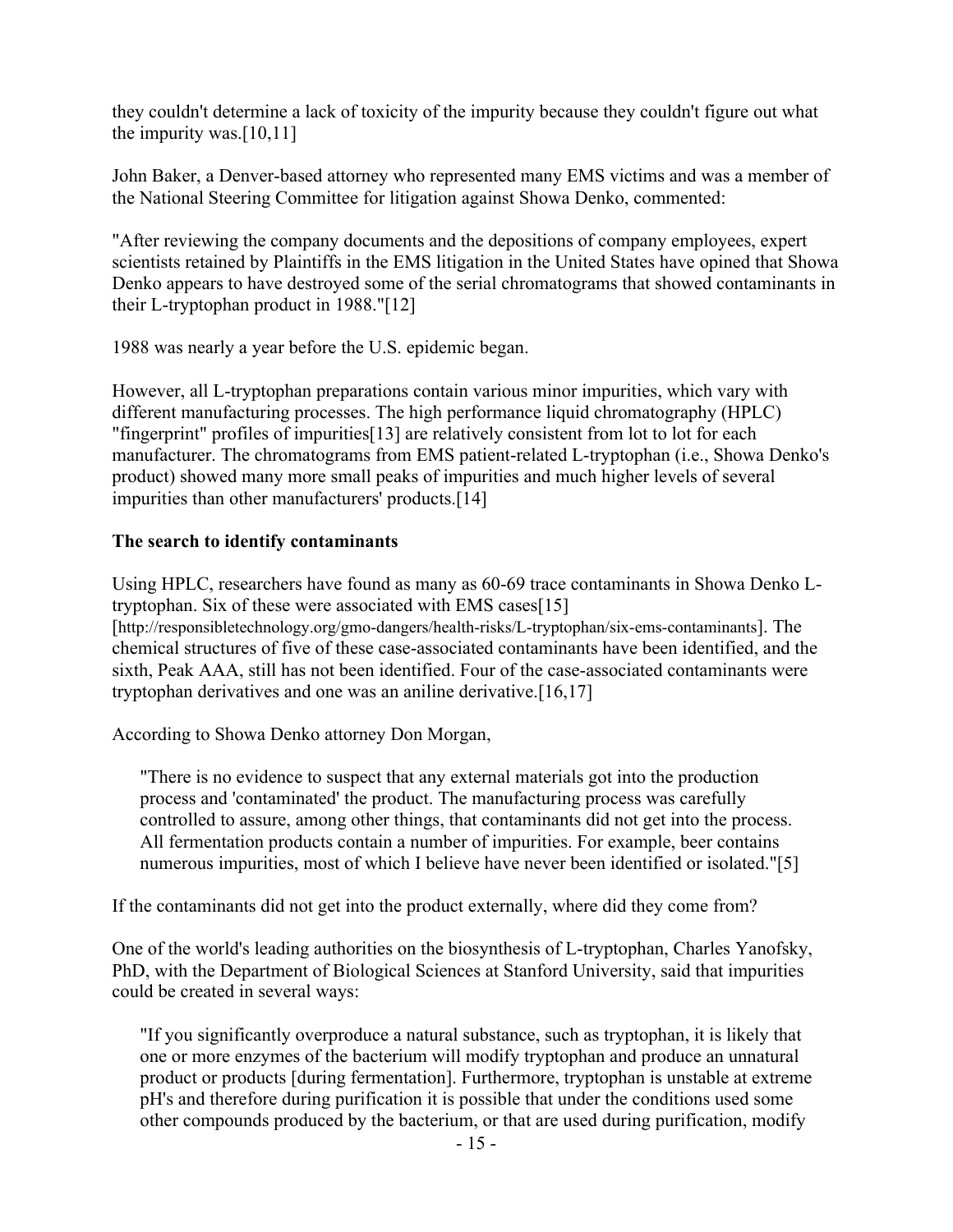they couldn't determine a lack of toxicity of the impurity because they couldn't figure out what the impurity was. $[10,11]$ 

John Baker, a Denver-based attorney who represented many EMS victims and was a member of the National Steering Committee for litigation against Showa Denko, commented:

"After reviewing the company documents and the depositions of company employees, expert scientists retained by Plaintiffs in the EMS litigation in the United States have opined that Showa Denko appears to have destroyed some of the serial chromatograms that showed contaminants in their L-tryptophan product in 1988."[12]

1988 was nearly a year before the U.S. epidemic began.

However, all L-tryptophan preparations contain various minor impurities, which vary with different manufacturing processes. The high performance liquid chromatography (HPLC) "fingerprint" profiles of impurities[13] are relatively consistent from lot to lot for each manufacturer. The chromatograms from EMS patient-related L-tryptophan (i.e., Showa Denko's product) showed many more small peaks of impurities and much higher levels of several impurities than other manufacturers' products.[14]

### **The search to identify contaminants**

Using HPLC, researchers have found as many as 60-69 trace contaminants in Showa Denko Ltryptophan. Six of these were associated with EMS cases[15] [http://responsibletechnology.org/gmo-dangers/health-risks/L-tryptophan/six-ems-contaminants]. The chemical structures of five of these case-associated contaminants have been identified, and the sixth, Peak AAA, still has not been identified. Four of the case-associated contaminants were tryptophan derivatives and one was an aniline derivative.[16,17]

According to Showa Denko attorney Don Morgan,

"There is no evidence to suspect that any external materials got into the production process and 'contaminated' the product. The manufacturing process was carefully controlled to assure, among other things, that contaminants did not get into the process. All fermentation products contain a number of impurities. For example, beer contains numerous impurities, most of which I believe have never been identified or isolated."[5]

If the contaminants did not get into the product externally, where did they come from?

One of the world's leading authorities on the biosynthesis of L-tryptophan, Charles Yanofsky, PhD, with the Department of Biological Sciences at Stanford University, said that impurities could be created in several ways:

"If you significantly overproduce a natural substance, such as tryptophan, it is likely that one or more enzymes of the bacterium will modify tryptophan and produce an unnatural product or products [during fermentation]. Furthermore, tryptophan is unstable at extreme pH's and therefore during purification it is possible that under the conditions used some other compounds produced by the bacterium, or that are used during purification, modify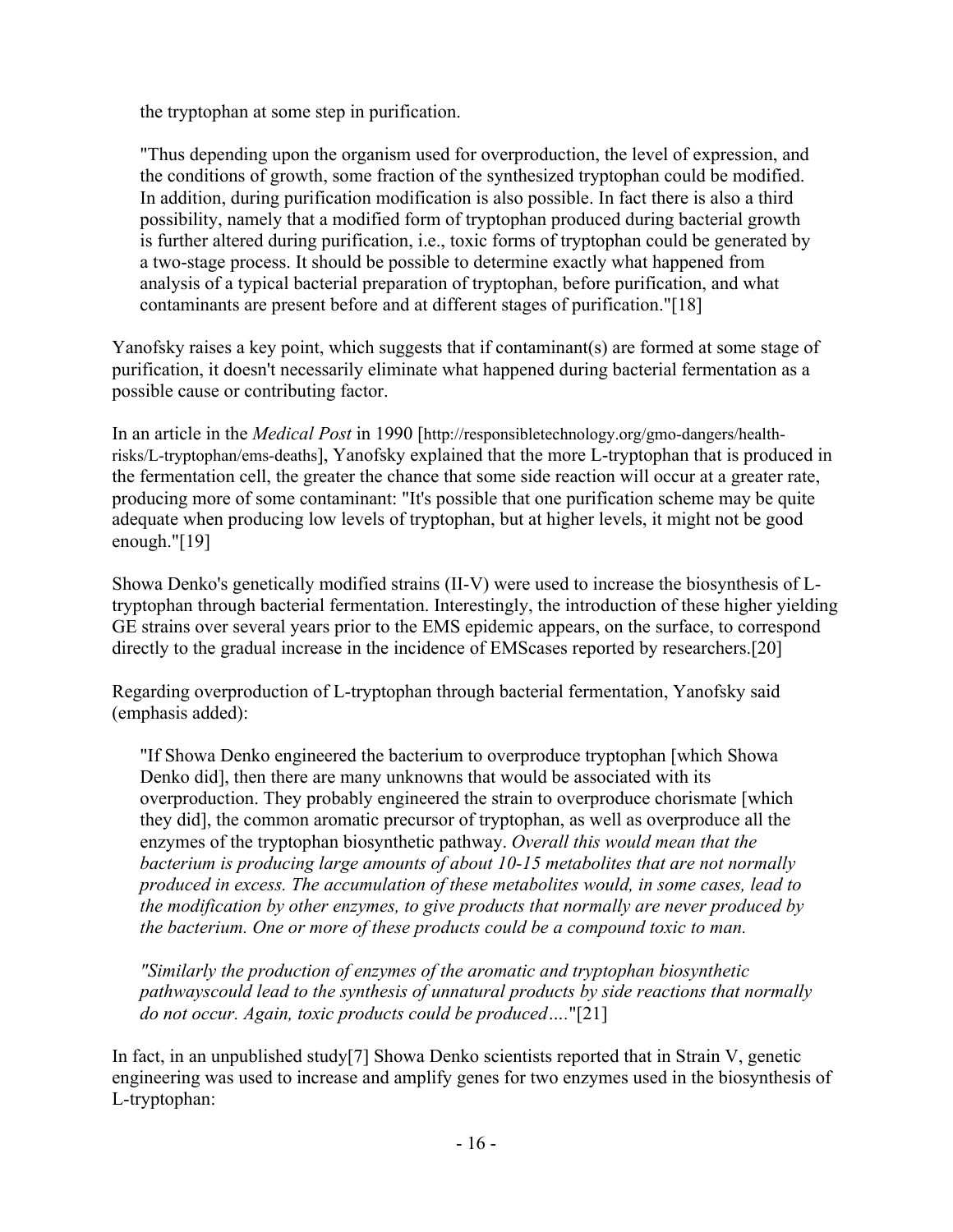the tryptophan at some step in purification.

"Thus depending upon the organism used for overproduction, the level of expression, and the conditions of growth, some fraction of the synthesized tryptophan could be modified. In addition, during purification modification is also possible. In fact there is also a third possibility, namely that a modified form of tryptophan produced during bacterial growth is further altered during purification, i.e., toxic forms of tryptophan could be generated by a two-stage process. It should be possible to determine exactly what happened from analysis of a typical bacterial preparation of tryptophan, before purification, and what contaminants are present before and at different stages of purification."[18]

Yanofsky raises a key point, which suggests that if contaminant(s) are formed at some stage of purification, it doesn't necessarily eliminate what happened during bacterial fermentation as a possible cause or contributing factor.

In an article in the *Medical Post* in 1990 [http://responsibletechnology.org/gmo-dangers/healthrisks/L-tryptophan/ems-deaths], Yanofsky explained that the more L-tryptophan that is produced in the fermentation cell, the greater the chance that some side reaction will occur at a greater rate, producing more of some contaminant: "It's possible that one purification scheme may be quite adequate when producing low levels of tryptophan, but at higher levels, it might not be good enough."[19]

Showa Denko's genetically modified strains (II-V) were used to increase the biosynthesis of Ltryptophan through bacterial fermentation. Interestingly, the introduction of these higher yielding GE strains over several years prior to the EMS epidemic appears, on the surface, to correspond directly to the gradual increase in the incidence of EMScases reported by researchers.[20]

Regarding overproduction of L-tryptophan through bacterial fermentation, Yanofsky said (emphasis added):

"If Showa Denko engineered the bacterium to overproduce tryptophan [which Showa Denko did], then there are many unknowns that would be associated with its overproduction. They probably engineered the strain to overproduce chorismate [which they did], the common aromatic precursor of tryptophan, as well as overproduce all the enzymes of the tryptophan biosynthetic pathway. *Overall this would mean that the bacterium is producing large amounts of about 10-15 metabolites that are not normally produced in excess. The accumulation of these metabolites would, in some cases, lead to the modification by other enzymes, to give products that normally are never produced by the bacterium. One or more of these products could be a compound toxic to man.*

*"Similarly the production of enzymes of the aromatic and tryptophan biosynthetic pathwayscould lead to the synthesis of unnatural products by side reactions that normally do not occur. Again, toxic products could be produced….*"[21]

In fact, in an unpublished study[7] Showa Denko scientists reported that in Strain V, genetic engineering was used to increase and amplify genes for two enzymes used in the biosynthesis of L-tryptophan: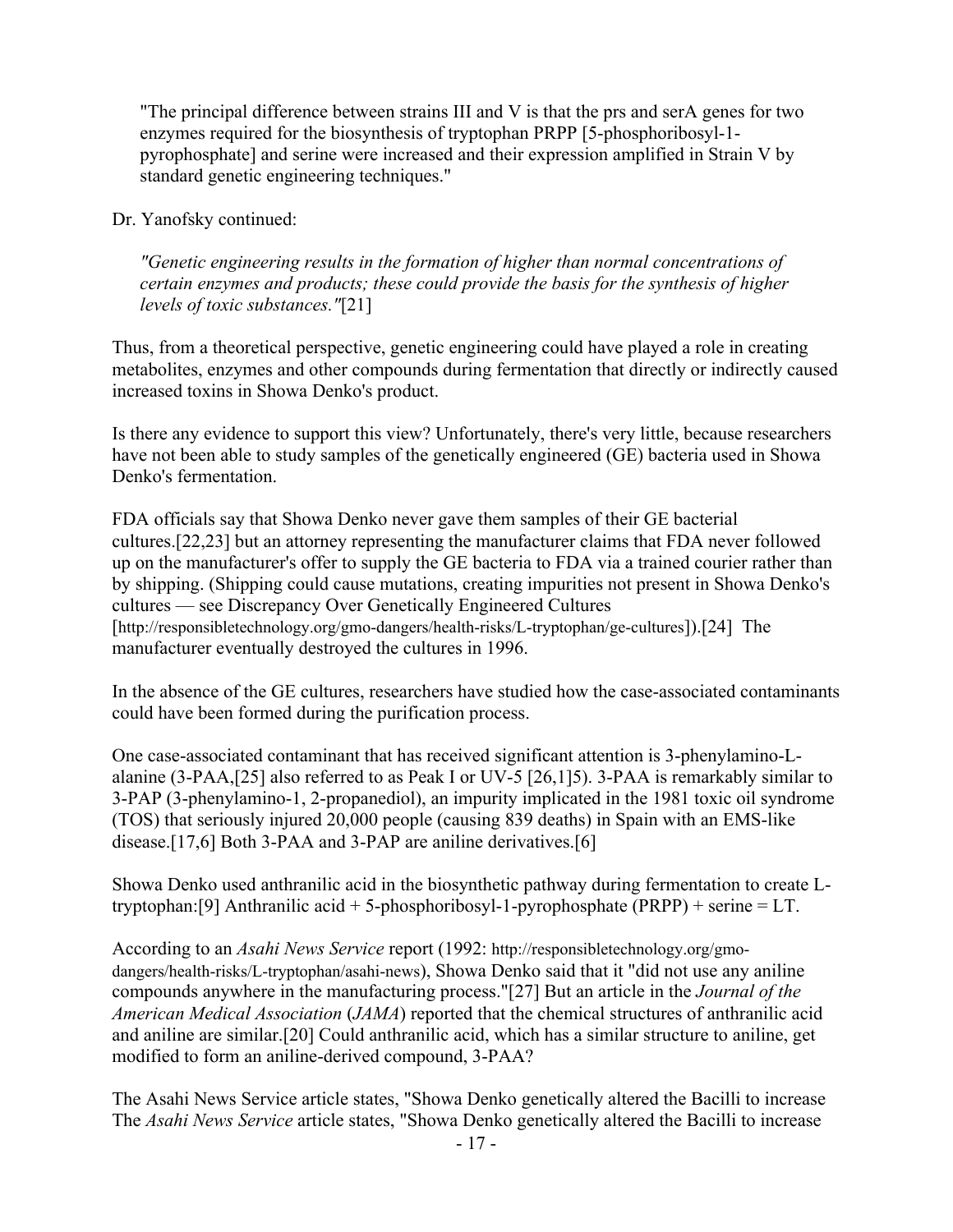"The principal difference between strains III and V is that the prs and serA genes for two enzymes required for the biosynthesis of tryptophan PRPP [5-phosphoribosyl-1 pyrophosphate] and serine were increased and their expression amplified in Strain V by standard genetic engineering techniques."

Dr. Yanofsky continued:

*"Genetic engineering results in the formation of higher than normal concentrations of certain enzymes and products; these could provide the basis for the synthesis of higher levels of toxic substances."*[21]

Thus, from a theoretical perspective, genetic engineering could have played a role in creating metabolites, enzymes and other compounds during fermentation that directly or indirectly caused increased toxins in Showa Denko's product.

Is there any evidence to support this view? Unfortunately, there's very little, because researchers have not been able to study samples of the genetically engineered (GE) bacteria used in Showa Denko's fermentation.

FDA officials say that Showa Denko never gave them samples of their GE bacterial cultures.[22,23] but an attorney representing the manufacturer claims that FDA never followed up on the manufacturer's offer to supply the GE bacteria to FDA via a trained courier rather than by shipping. (Shipping could cause mutations, creating impurities not present in Showa Denko's cultures — see Discrepancy Over Genetically Engineered Cultures [http://responsibletechnology.org/gmo-dangers/health-risks/L-tryptophan/ge-cultures]).[24] The manufacturer eventually destroyed the cultures in 1996.

In the absence of the GE cultures, researchers have studied how the case-associated contaminants could have been formed during the purification process.

One case-associated contaminant that has received significant attention is 3-phenylamino-Lalanine (3-PAA,[25] also referred to as Peak I or UV-5 [26,1]5). 3-PAA is remarkably similar to 3-PAP (3-phenylamino-1, 2-propanediol), an impurity implicated in the 1981 toxic oil syndrome (TOS) that seriously injured 20,000 people (causing 839 deaths) in Spain with an EMS-like disease.[17,6] Both 3-PAA and 3-PAP are aniline derivatives.[6]

Showa Denko used anthranilic acid in the biosynthetic pathway during fermentation to create Ltryptophan:[9] Anthranilic acid + 5-phosphoribosyl-1-pyrophosphate (PRPP) + serine = LT.

According to an *Asahi News Service* report (1992: http://responsibletechnology.org/gmodangers/health-risks/L-tryptophan/asahi-news), Showa Denko said that it "did not use any aniline compounds anywhere in the manufacturing process."[27] But an article in the *Journal of the American Medical Association* (*JAMA*) reported that the chemical structures of anthranilic acid and aniline are similar.[20] Could anthranilic acid, which has a similar structure to aniline, get modified to form an aniline-derived compound, 3-PAA?

The Asahi News Service article states, "Showa Denko genetically altered the Bacilli to increase The *Asahi News Service* article states, "Showa Denko genetically altered the Bacilli to increase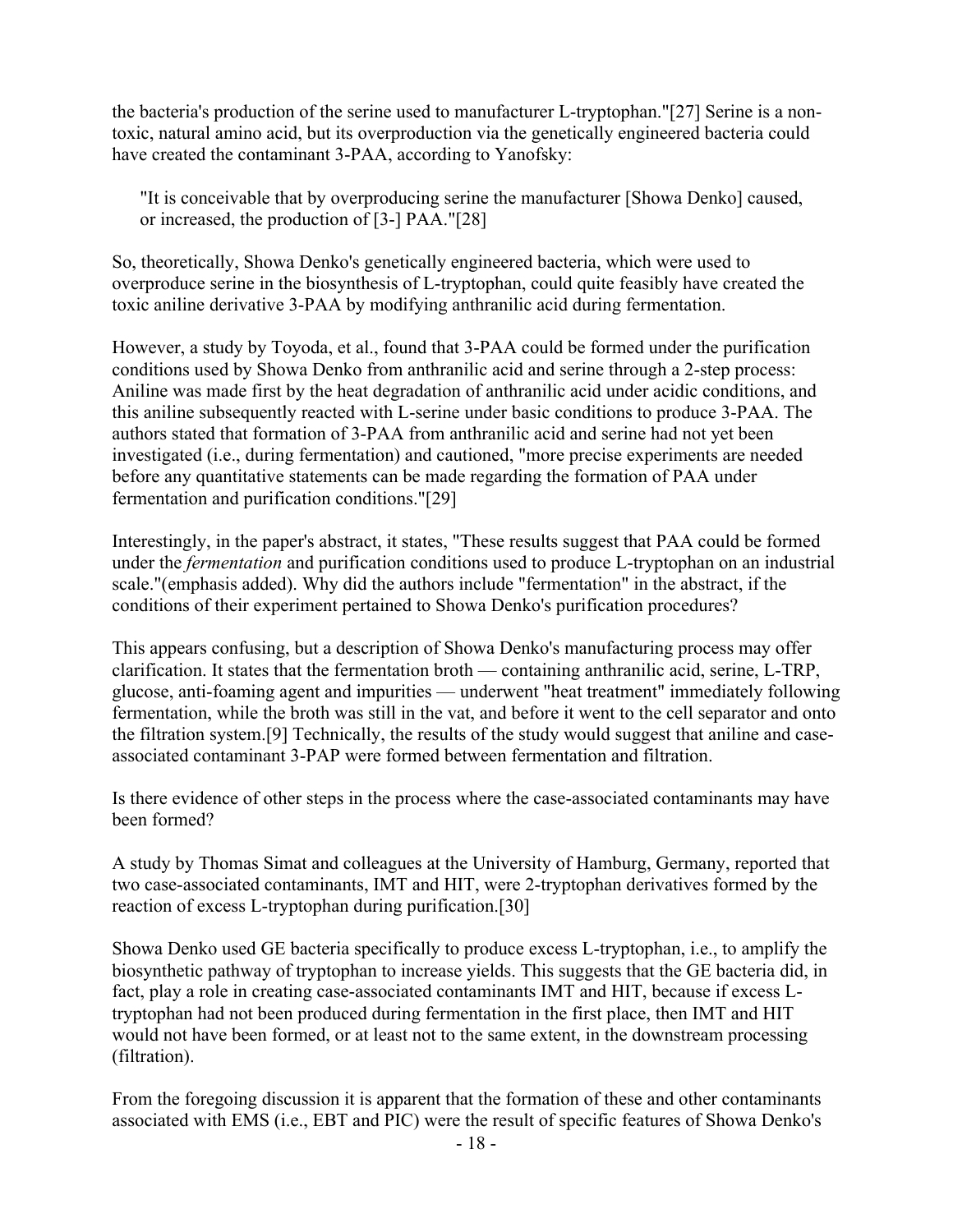the bacteria's production of the serine used to manufacturer L-tryptophan."[27] Serine is a nontoxic, natural amino acid, but its overproduction via the genetically engineered bacteria could have created the contaminant 3-PAA, according to Yanofsky:

"It is conceivable that by overproducing serine the manufacturer [Showa Denko] caused, or increased, the production of [3-] PAA."[28]

So, theoretically, Showa Denko's genetically engineered bacteria, which were used to overproduce serine in the biosynthesis of L-tryptophan, could quite feasibly have created the toxic aniline derivative 3-PAA by modifying anthranilic acid during fermentation.

However, a study by Toyoda, et al., found that 3-PAA could be formed under the purification conditions used by Showa Denko from anthranilic acid and serine through a 2-step process: Aniline was made first by the heat degradation of anthranilic acid under acidic conditions, and this aniline subsequently reacted with L-serine under basic conditions to produce 3-PAA. The authors stated that formation of 3-PAA from anthranilic acid and serine had not yet been investigated (i.e., during fermentation) and cautioned, "more precise experiments are needed before any quantitative statements can be made regarding the formation of PAA under fermentation and purification conditions."[29]

Interestingly, in the paper's abstract, it states, "These results suggest that PAA could be formed under the *fermentation* and purification conditions used to produce L-tryptophan on an industrial scale."(emphasis added). Why did the authors include "fermentation" in the abstract, if the conditions of their experiment pertained to Showa Denko's purification procedures?

This appears confusing, but a description of Showa Denko's manufacturing process may offer clarification. It states that the fermentation broth — containing anthranilic acid, serine, L-TRP, glucose, anti-foaming agent and impurities — underwent "heat treatment" immediately following fermentation, while the broth was still in the vat, and before it went to the cell separator and onto the filtration system.[9] Technically, the results of the study would suggest that aniline and caseassociated contaminant 3-PAP were formed between fermentation and filtration.

Is there evidence of other steps in the process where the case-associated contaminants may have been formed?

A study by Thomas Simat and colleagues at the University of Hamburg, Germany, reported that two case-associated contaminants, IMT and HIT, were 2-tryptophan derivatives formed by the reaction of excess L-tryptophan during purification.[30]

Showa Denko used GE bacteria specifically to produce excess L-tryptophan, i.e., to amplify the biosynthetic pathway of tryptophan to increase yields. This suggests that the GE bacteria did, in fact, play a role in creating case-associated contaminants IMT and HIT, because if excess Ltryptophan had not been produced during fermentation in the first place, then IMT and HIT would not have been formed, or at least not to the same extent, in the downstream processing (filtration).

From the foregoing discussion it is apparent that the formation of these and other contaminants associated with EMS (i.e., EBT and PIC) were the result of specific features of Showa Denko's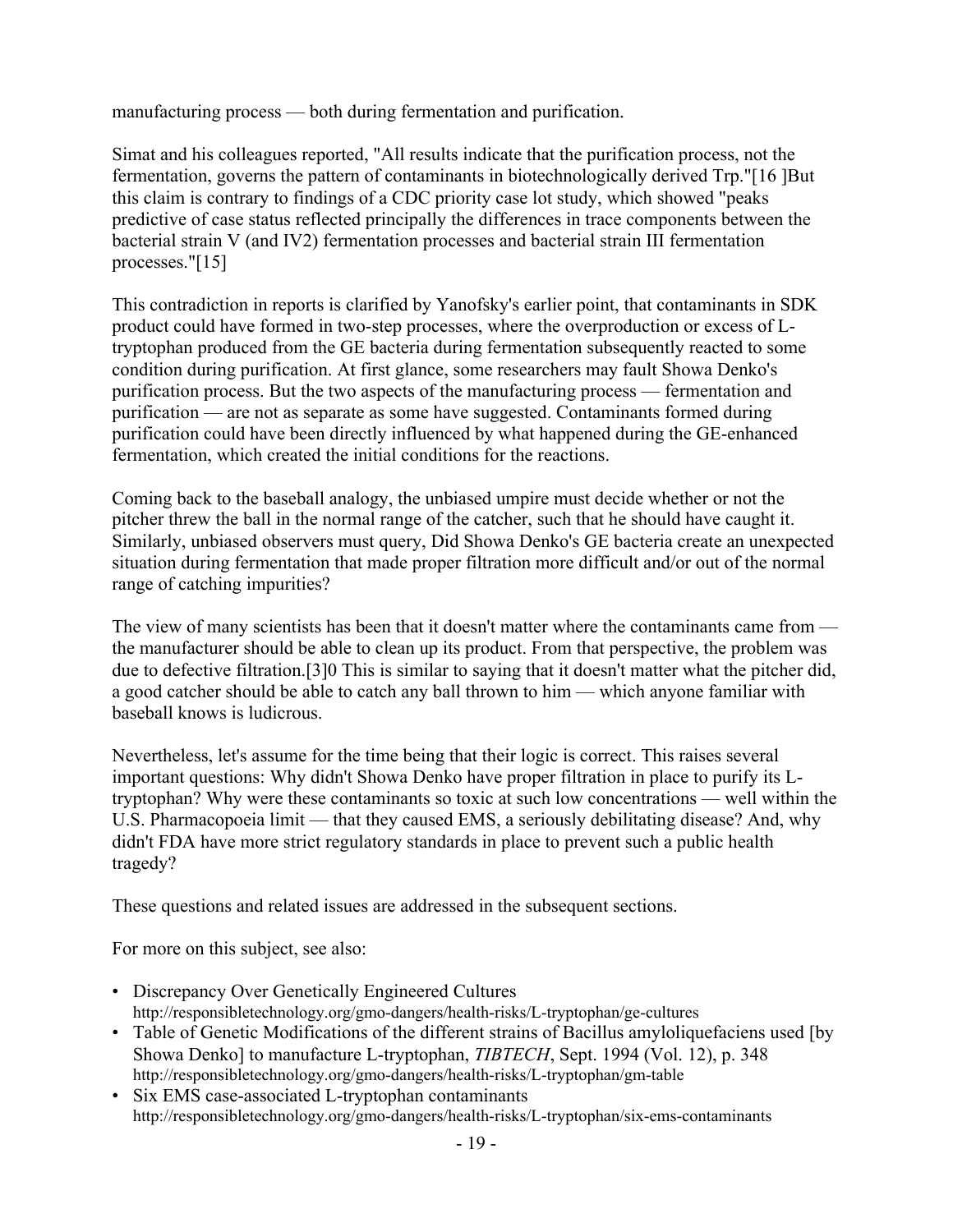manufacturing process — both during fermentation and purification.

Simat and his colleagues reported, "All results indicate that the purification process, not the fermentation, governs the pattern of contaminants in biotechnologically derived Trp."[16 ]But this claim is contrary to findings of a CDC priority case lot study, which showed "peaks predictive of case status reflected principally the differences in trace components between the bacterial strain V (and IV2) fermentation processes and bacterial strain III fermentation processes."[15]

This contradiction in reports is clarified by Yanofsky's earlier point, that contaminants in SDK product could have formed in two-step processes, where the overproduction or excess of Ltryptophan produced from the GE bacteria during fermentation subsequently reacted to some condition during purification. At first glance, some researchers may fault Showa Denko's purification process. But the two aspects of the manufacturing process — fermentation and purification — are not as separate as some have suggested. Contaminants formed during purification could have been directly influenced by what happened during the GE-enhanced fermentation, which created the initial conditions for the reactions.

Coming back to the baseball analogy, the unbiased umpire must decide whether or not the pitcher threw the ball in the normal range of the catcher, such that he should have caught it. Similarly, unbiased observers must query, Did Showa Denko's GE bacteria create an unexpected situation during fermentation that made proper filtration more difficult and/or out of the normal range of catching impurities?

The view of many scientists has been that it doesn't matter where the contaminants came from the manufacturer should be able to clean up its product. From that perspective, the problem was due to defective filtration.[3]0 This is similar to saying that it doesn't matter what the pitcher did, a good catcher should be able to catch any ball thrown to him — which anyone familiar with baseball knows is ludicrous.

Nevertheless, let's assume for the time being that their logic is correct. This raises several important questions: Why didn't Showa Denko have proper filtration in place to purify its Ltryptophan? Why were these contaminants so toxic at such low concentrations — well within the U.S. Pharmacopoeia limit — that they caused EMS, a seriously debilitating disease? And, why didn't FDA have more strict regulatory standards in place to prevent such a public health tragedy?

These questions and related issues are addressed in the subsequent sections.

For more on this subject, see also:

- Discrepancy Over Genetically Engineered Cultures http://responsibletechnology.org/gmo-dangers/health-risks/L-tryptophan/ge-cultures
- Table of Genetic Modifications of the different strains of Bacillus amyloliquefaciens used [by Showa Denko] to manufacture L-tryptophan, *TIBTECH*, Sept. 1994 (Vol. 12), p. 348 http://responsibletechnology.org/gmo-dangers/health-risks/L-tryptophan/gm-table
- Six EMS case-associated L-tryptophan contaminants http://responsibletechnology.org/gmo-dangers/health-risks/L-tryptophan/six-ems-contaminants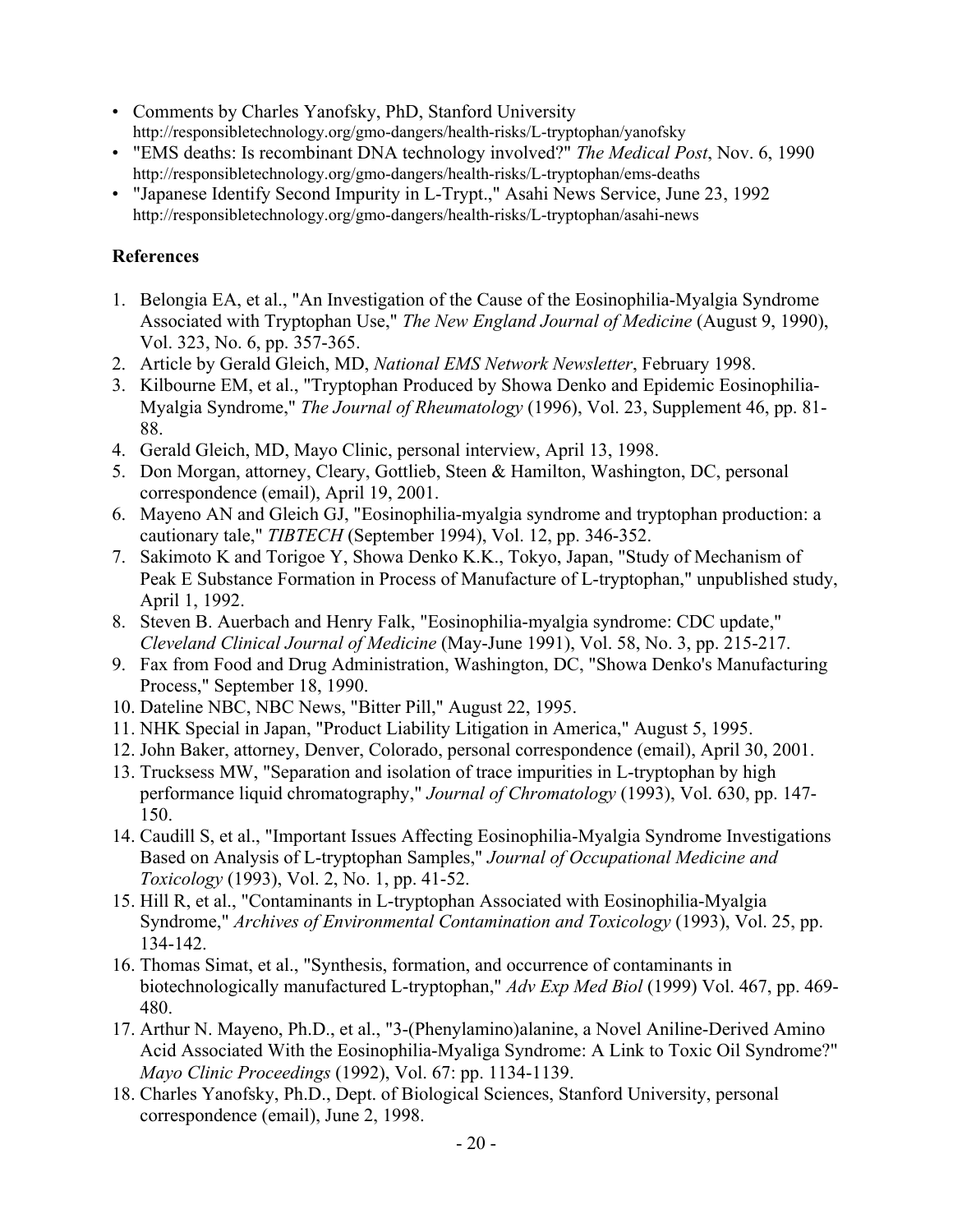- Comments by Charles Yanofsky, PhD, Stanford University http://responsibletechnology.org/gmo-dangers/health-risks/L-tryptophan/yanofsky
- "EMS deaths: Is recombinant DNA technology involved?" *The Medical Post*, Nov. 6, 1990 http://responsibletechnology.org/gmo-dangers/health-risks/L-tryptophan/ems-deaths
- "Japanese Identify Second Impurity in L-Trypt.," Asahi News Service, June 23, 1992 http://responsibletechnology.org/gmo-dangers/health-risks/L-tryptophan/asahi-news

## **References**

- 1. Belongia EA, et al., "An Investigation of the Cause of the Eosinophilia-Myalgia Syndrome Associated with Tryptophan Use," *The New England Journal of Medicine* (August 9, 1990), Vol. 323, No. 6, pp. 357-365.
- 2. Article by Gerald Gleich, MD, *National EMS Network Newsletter*, February 1998.
- 3. Kilbourne EM, et al., "Tryptophan Produced by Showa Denko and Epidemic Eosinophilia-Myalgia Syndrome," *The Journal of Rheumatology* (1996), Vol. 23, Supplement 46, pp. 81- 88.
- 4. Gerald Gleich, MD, Mayo Clinic, personal interview, April 13, 1998.
- 5. Don Morgan, attorney, Cleary, Gottlieb, Steen & Hamilton, Washington, DC, personal correspondence (email), April 19, 2001.
- 6. Mayeno AN and Gleich GJ, "Eosinophilia-myalgia syndrome and tryptophan production: a cautionary tale," *TIBTECH* (September 1994), Vol. 12, pp. 346-352.
- 7. Sakimoto K and Torigoe Y, Showa Denko K.K., Tokyo, Japan, "Study of Mechanism of Peak E Substance Formation in Process of Manufacture of L-tryptophan," unpublished study, April 1, 1992.
- 8. Steven B. Auerbach and Henry Falk, "Eosinophilia-myalgia syndrome: CDC update," *Cleveland Clinical Journal of Medicine* (May-June 1991), Vol. 58, No. 3, pp. 215-217.
- 9. Fax from Food and Drug Administration, Washington, DC, "Showa Denko's Manufacturing Process," September 18, 1990.
- 10. Dateline NBC, NBC News, "Bitter Pill," August 22, 1995.
- 11. NHK Special in Japan, "Product Liability Litigation in America," August 5, 1995.
- 12. John Baker, attorney, Denver, Colorado, personal correspondence (email), April 30, 2001.
- 13. Trucksess MW, "Separation and isolation of trace impurities in L-tryptophan by high performance liquid chromatography," *Journal of Chromatology* (1993), Vol. 630, pp. 147- 150.
- 14. Caudill S, et al., "Important Issues Affecting Eosinophilia-Myalgia Syndrome Investigations Based on Analysis of L-tryptophan Samples," *Journal of Occupational Medicine and Toxicology* (1993), Vol. 2, No. 1, pp. 41-52.
- 15. Hill R, et al., "Contaminants in L-tryptophan Associated with Eosinophilia-Myalgia Syndrome," *Archives of Environmental Contamination and Toxicology* (1993), Vol. 25, pp. 134-142.
- 16. Thomas Simat, et al., "Synthesis, formation, and occurrence of contaminants in biotechnologically manufactured L-tryptophan," *Adv Exp Med Biol* (1999) Vol. 467, pp. 469- 480.
- 17. Arthur N. Mayeno, Ph.D., et al., "3-(Phenylamino)alanine, a Novel Aniline-Derived Amino Acid Associated With the Eosinophilia-Myaliga Syndrome: A Link to Toxic Oil Syndrome?" *Mayo Clinic Proceedings* (1992), Vol. 67: pp. 1134-1139.
- 18. Charles Yanofsky, Ph.D., Dept. of Biological Sciences, Stanford University, personal correspondence (email), June 2, 1998.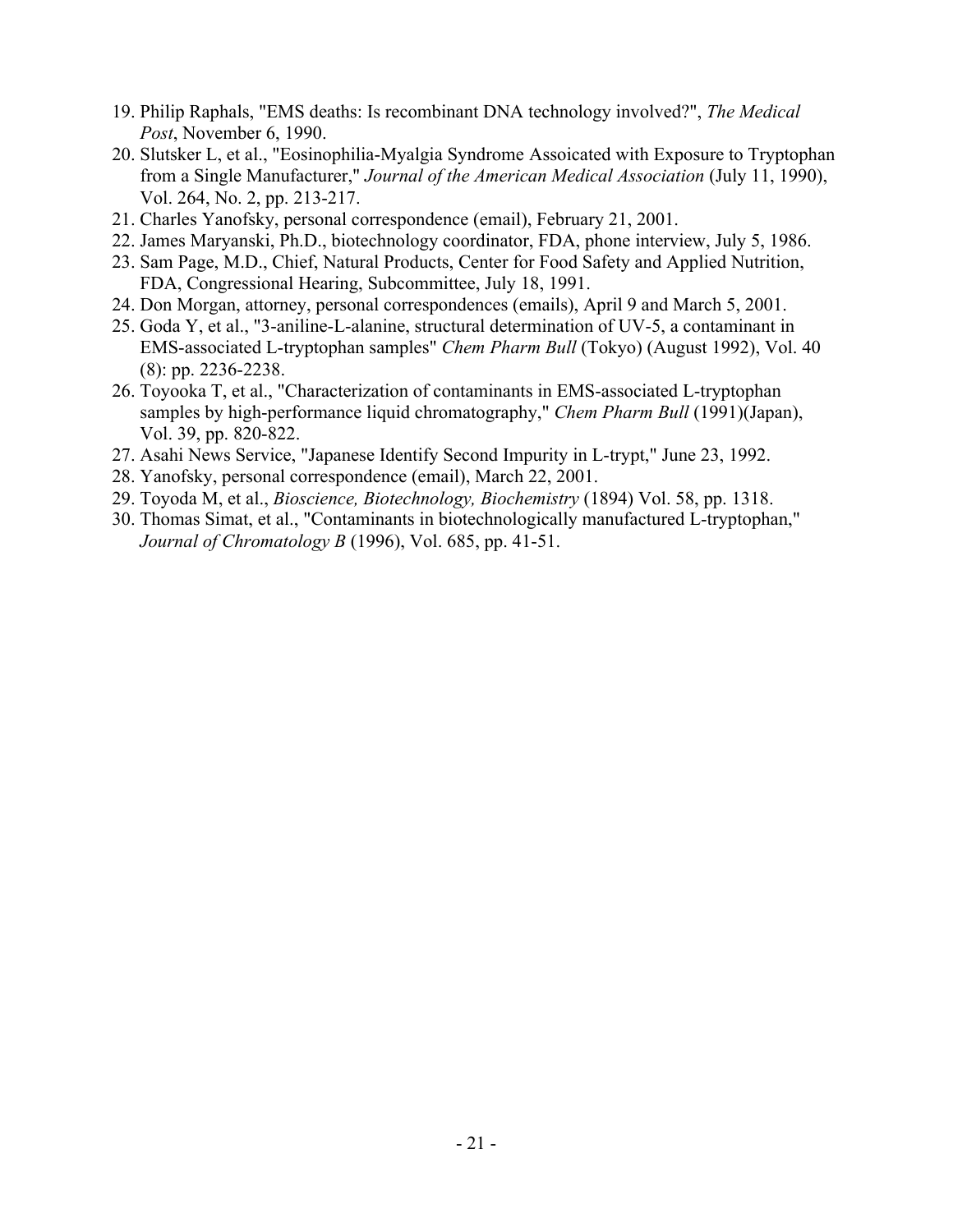- 19. Philip Raphals, "EMS deaths: Is recombinant DNA technology involved?", *The Medical Post*, November 6, 1990.
- 20. Slutsker L, et al., "Eosinophilia-Myalgia Syndrome Assoicated with Exposure to Tryptophan from a Single Manufacturer," *Journal of the American Medical Association* (July 11, 1990), Vol. 264, No. 2, pp. 213-217.
- 21. Charles Yanofsky, personal correspondence (email), February 21, 2001.
- 22. James Maryanski, Ph.D., biotechnology coordinator, FDA, phone interview, July 5, 1986.
- 23. Sam Page, M.D., Chief, Natural Products, Center for Food Safety and Applied Nutrition, FDA, Congressional Hearing, Subcommittee, July 18, 1991.
- 24. Don Morgan, attorney, personal correspondences (emails), April 9 and March 5, 2001.
- 25. Goda Y, et al., "3-aniline-L-alanine, structural determination of UV-5, a contaminant in EMS-associated L-tryptophan samples" *Chem Pharm Bull* (Tokyo) (August 1992), Vol. 40 (8): pp. 2236-2238.
- 26. Toyooka T, et al., "Characterization of contaminants in EMS-associated L-tryptophan samples by high-performance liquid chromatography," *Chem Pharm Bull* (1991)(Japan), Vol. 39, pp. 820-822.
- 27. Asahi News Service, "Japanese Identify Second Impurity in L-trypt," June 23, 1992.
- 28. Yanofsky, personal correspondence (email), March 22, 2001.
- 29. Toyoda M, et al., *Bioscience, Biotechnology, Biochemistry* (1894) Vol. 58, pp. 1318.
- 30. Thomas Simat, et al., "Contaminants in biotechnologically manufactured L-tryptophan," *Journal of Chromatology B* (1996), Vol. 685, pp. 41-51.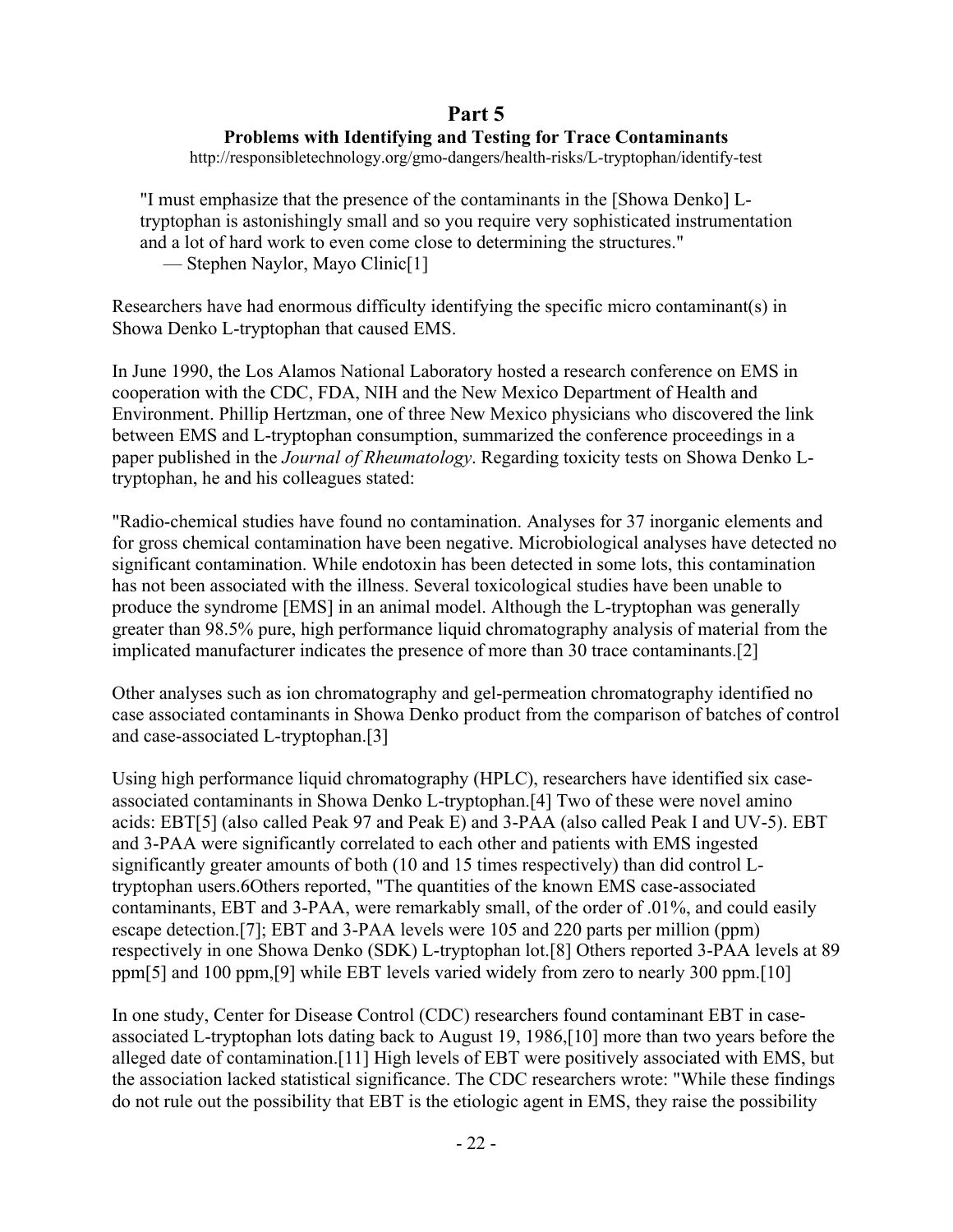## **Part 5**

### **Problems with Identifying and Testing for Trace Contaminants**

http://responsibletechnology.org/gmo-dangers/health-risks/L-tryptophan/identify-test

"I must emphasize that the presence of the contaminants in the [Showa Denko] Ltryptophan is astonishingly small and so you require very sophisticated instrumentation and a lot of hard work to even come close to determining the structures." — Stephen Naylor, Mayo Clinic[1]

Researchers have had enormous difficulty identifying the specific micro contaminant(s) in Showa Denko L-tryptophan that caused EMS.

In June 1990, the Los Alamos National Laboratory hosted a research conference on EMS in cooperation with the CDC, FDA, NIH and the New Mexico Department of Health and Environment. Phillip Hertzman, one of three New Mexico physicians who discovered the link between EMS and L-tryptophan consumption, summarized the conference proceedings in a paper published in the *Journal of Rheumatology*. Regarding toxicity tests on Showa Denko Ltryptophan, he and his colleagues stated:

"Radio-chemical studies have found no contamination. Analyses for 37 inorganic elements and for gross chemical contamination have been negative. Microbiological analyses have detected no significant contamination. While endotoxin has been detected in some lots, this contamination has not been associated with the illness. Several toxicological studies have been unable to produce the syndrome [EMS] in an animal model. Although the L-tryptophan was generally greater than 98.5% pure, high performance liquid chromatography analysis of material from the implicated manufacturer indicates the presence of more than 30 trace contaminants.[2]

Other analyses such as ion chromatography and gel-permeation chromatography identified no case associated contaminants in Showa Denko product from the comparison of batches of control and case-associated L-tryptophan.[3]

Using high performance liquid chromatography (HPLC), researchers have identified six caseassociated contaminants in Showa Denko L-tryptophan.[4] Two of these were novel amino acids: EBT[5] (also called Peak 97 and Peak E) and 3-PAA (also called Peak I and UV-5). EBT and 3-PAA were significantly correlated to each other and patients with EMS ingested significantly greater amounts of both (10 and 15 times respectively) than did control Ltryptophan users.6Others reported, "The quantities of the known EMS case-associated contaminants, EBT and 3-PAA, were remarkably small, of the order of .01%, and could easily escape detection.[7]; EBT and 3-PAA levels were 105 and 220 parts per million (ppm) respectively in one Showa Denko (SDK) L-tryptophan lot.[8] Others reported 3-PAA levels at 89 ppm[5] and 100 ppm,[9] while EBT levels varied widely from zero to nearly 300 ppm.[10]

In one study, Center for Disease Control (CDC) researchers found contaminant EBT in caseassociated L-tryptophan lots dating back to August 19, 1986,[10] more than two years before the alleged date of contamination.[11] High levels of EBT were positively associated with EMS, but the association lacked statistical significance. The CDC researchers wrote: "While these findings do not rule out the possibility that EBT is the etiologic agent in EMS, they raise the possibility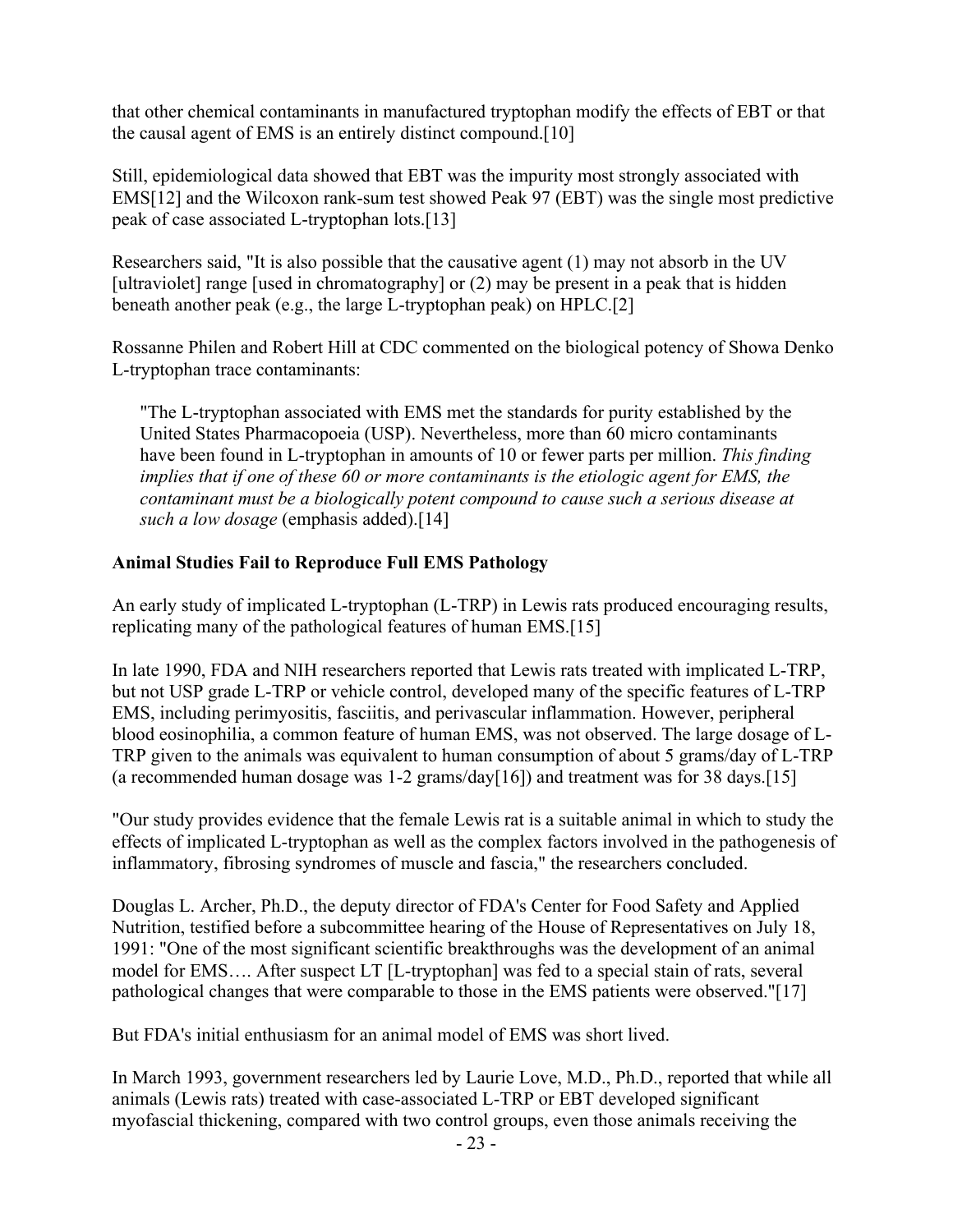that other chemical contaminants in manufactured tryptophan modify the effects of EBT or that the causal agent of EMS is an entirely distinct compound.[10]

Still, epidemiological data showed that EBT was the impurity most strongly associated with EMS[12] and the Wilcoxon rank-sum test showed Peak 97 (EBT) was the single most predictive peak of case associated L-tryptophan lots.[13]

Researchers said, "It is also possible that the causative agent (1) may not absorb in the UV [ultraviolet] range [used in chromatography] or (2) may be present in a peak that is hidden beneath another peak (e.g., the large L-tryptophan peak) on HPLC.[2]

Rossanne Philen and Robert Hill at CDC commented on the biological potency of Showa Denko L-tryptophan trace contaminants:

"The L-tryptophan associated with EMS met the standards for purity established by the United States Pharmacopoeia (USP). Nevertheless, more than 60 micro contaminants have been found in L-tryptophan in amounts of 10 or fewer parts per million. *This finding implies that if one of these 60 or more contaminants is the etiologic agent for EMS, the contaminant must be a biologically potent compound to cause such a serious disease at such a low dosage* (emphasis added).[14]

### **Animal Studies Fail to Reproduce Full EMS Pathology**

An early study of implicated L-tryptophan (L-TRP) in Lewis rats produced encouraging results, replicating many of the pathological features of human EMS.[15]

In late 1990, FDA and NIH researchers reported that Lewis rats treated with implicated L-TRP, but not USP grade L-TRP or vehicle control, developed many of the specific features of L-TRP EMS, including perimyositis, fasciitis, and perivascular inflammation. However, peripheral blood eosinophilia, a common feature of human EMS, was not observed. The large dosage of L-TRP given to the animals was equivalent to human consumption of about 5 grams/day of L-TRP (a recommended human dosage was 1-2 grams/day[16]) and treatment was for 38 days.[15]

"Our study provides evidence that the female Lewis rat is a suitable animal in which to study the effects of implicated L-tryptophan as well as the complex factors involved in the pathogenesis of inflammatory, fibrosing syndromes of muscle and fascia," the researchers concluded.

Douglas L. Archer, Ph.D., the deputy director of FDA's Center for Food Safety and Applied Nutrition, testified before a subcommittee hearing of the House of Representatives on July 18, 1991: "One of the most significant scientific breakthroughs was the development of an animal model for EMS…. After suspect LT [L-tryptophan] was fed to a special stain of rats, several pathological changes that were comparable to those in the EMS patients were observed."[17]

But FDA's initial enthusiasm for an animal model of EMS was short lived.

In March 1993, government researchers led by Laurie Love, M.D., Ph.D., reported that while all animals (Lewis rats) treated with case-associated L-TRP or EBT developed significant myofascial thickening, compared with two control groups, even those animals receiving the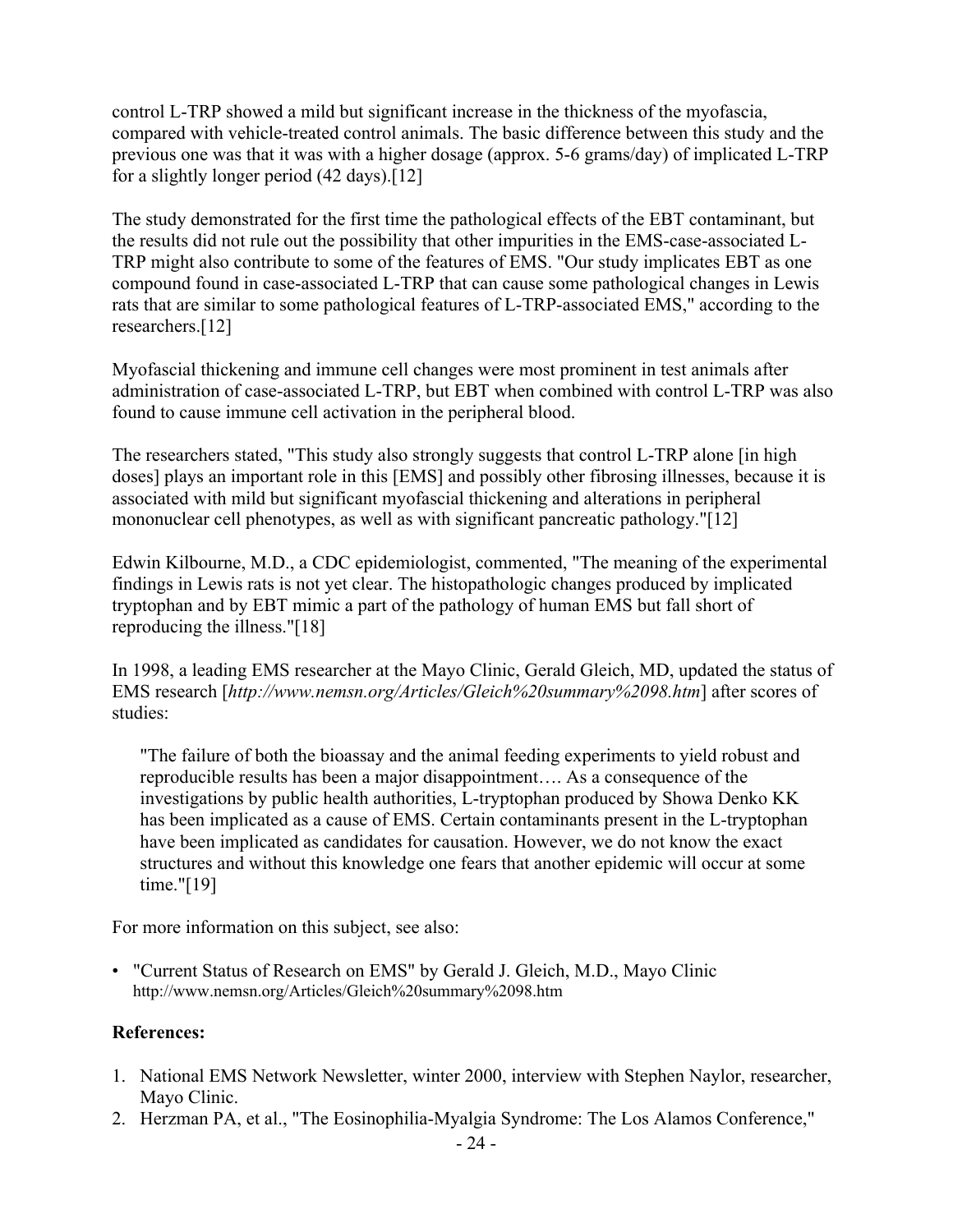control L-TRP showed a mild but significant increase in the thickness of the myofascia, compared with vehicle-treated control animals. The basic difference between this study and the previous one was that it was with a higher dosage (approx. 5-6 grams/day) of implicated L-TRP for a slightly longer period (42 days).[12]

The study demonstrated for the first time the pathological effects of the EBT contaminant, but the results did not rule out the possibility that other impurities in the EMS-case-associated L-TRP might also contribute to some of the features of EMS. "Our study implicates EBT as one compound found in case-associated L-TRP that can cause some pathological changes in Lewis rats that are similar to some pathological features of L-TRP-associated EMS," according to the researchers.[12]

Myofascial thickening and immune cell changes were most prominent in test animals after administration of case-associated L-TRP, but EBT when combined with control L-TRP was also found to cause immune cell activation in the peripheral blood.

The researchers stated, "This study also strongly suggests that control L-TRP alone [in high doses] plays an important role in this [EMS] and possibly other fibrosing illnesses, because it is associated with mild but significant myofascial thickening and alterations in peripheral mononuclear cell phenotypes, as well as with significant pancreatic pathology."[12]

Edwin Kilbourne, M.D., a CDC epidemiologist, commented, "The meaning of the experimental findings in Lewis rats is not yet clear. The histopathologic changes produced by implicated tryptophan and by EBT mimic a part of the pathology of human EMS but fall short of reproducing the illness."[18]

In 1998, a leading EMS researcher at the Mayo Clinic, Gerald Gleich, MD, updated the status of EMS research [*http://www.nemsn.org/Articles/Gleich%20summary%2098.htm*] after scores of studies:

"The failure of both the bioassay and the animal feeding experiments to yield robust and reproducible results has been a major disappointment…. As a consequence of the investigations by public health authorities, L-tryptophan produced by Showa Denko KK has been implicated as a cause of EMS. Certain contaminants present in the L-tryptophan have been implicated as candidates for causation. However, we do not know the exact structures and without this knowledge one fears that another epidemic will occur at some time."[19]

For more information on this subject, see also:

• "Current Status of Research on EMS" by Gerald J. Gleich, M.D., Mayo Clinic http://www.nemsn.org/Articles/Gleich%20summary%2098.htm

## **References:**

- 1. National EMS Network Newsletter, winter 2000, interview with Stephen Naylor, researcher, Mayo Clinic.
- 2. Herzman PA, et al., "The Eosinophilia-Myalgia Syndrome: The Los Alamos Conference,"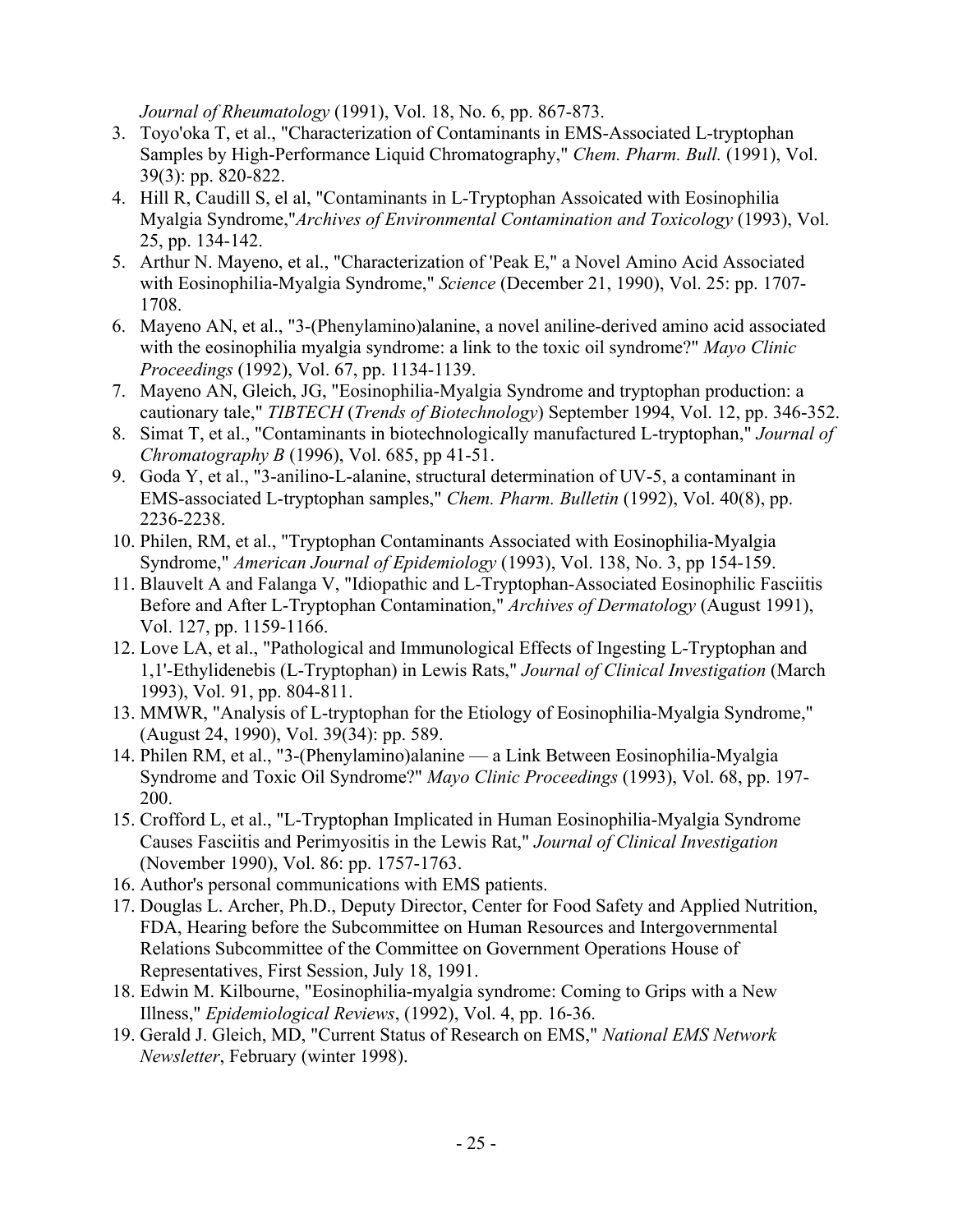*Journal of Rheumatology* (1991), Vol. 18, No. 6, pp. 867-873.

- 3. Toyo'oka T, et al., "Characterization of Contaminants in EMS-Associated L-tryptophan Samples by High-Performance Liquid Chromatography," *Chem. Pharm. Bull.* (1991), Vol. 39(3): pp. 820-822.
- 4. Hill R, Caudill S, el al, "Contaminants in L-Tryptophan Assoicated with Eosinophilia Myalgia Syndrome,"*Archives of Environmental Contamination and Toxicology* (1993), Vol. 25, pp. 134-142.
- 5. Arthur N. Mayeno, et al., "Characterization of 'Peak E," a Novel Amino Acid Associated with Eosinophilia-Myalgia Syndrome," *Science* (December 21, 1990), Vol. 25: pp. 1707- 1708.
- 6. Mayeno AN, et al., "3-(Phenylamino)alanine, a novel aniline-derived amino acid associated with the eosinophilia myalgia syndrome: a link to the toxic oil syndrome?" *Mayo Clinic Proceedings* (1992), Vol. 67, pp. 1134-1139.
- 7. Mayeno AN, Gleich, JG, "Eosinophilia-Myalgia Syndrome and tryptophan production: a cautionary tale," *TIBTECH* (*Trends of Biotechnology*) September 1994, Vol. 12, pp. 346-352.
- 8. Simat T, et al., "Contaminants in biotechnologically manufactured L-tryptophan," *Journal of Chromatography B* (1996), Vol. 685, pp 41-51.
- 9. Goda Y, et al., "3-anilino-L-alanine, structural determination of UV-5, a contaminant in EMS-associated L-tryptophan samples," *Chem. Pharm. Bulletin* (1992), Vol. 40(8), pp. 2236-2238.
- 10. Philen, RM, et al., "Tryptophan Contaminants Associated with Eosinophilia-Myalgia Syndrome," *American Journal of Epidemiology* (1993), Vol. 138, No. 3, pp 154-159.
- 11. Blauvelt A and Falanga V, "Idiopathic and L-Tryptophan-Associated Eosinophilic Fasciitis Before and After L-Tryptophan Contamination," *Archives of Dermatology* (August 1991), Vol. 127, pp. 1159-1166.
- 12. Love LA, et al., "Pathological and Immunological Effects of Ingesting L-Tryptophan and 1,1'-Ethylidenebis (L-Tryptophan) in Lewis Rats," *Journal of Clinical Investigation* (March 1993), Vol. 91, pp. 804-811.
- 13. MMWR, "Analysis of L-tryptophan for the Etiology of Eosinophilia-Myalgia Syndrome," (August 24, 1990), Vol. 39(34): pp. 589.
- 14. Philen RM, et al., "3-(Phenylamino)alanine a Link Between Eosinophilia-Myalgia Syndrome and Toxic Oil Syndrome?" *Mayo Clinic Proceedings* (1993), Vol. 68, pp. 197- 200.
- 15. Crofford L, et al., "L-Tryptophan Implicated in Human Eosinophilia-Myalgia Syndrome Causes Fasciitis and Perimyositis in the Lewis Rat," *Journal of Clinical Investigation* (November 1990), Vol. 86: pp. 1757-1763.
- 16. Author's personal communications with EMS patients.
- 17. Douglas L. Archer, Ph.D., Deputy Director, Center for Food Safety and Applied Nutrition, FDA, Hearing before the Subcommittee on Human Resources and Intergovernmental Relations Subcommittee of the Committee on Government Operations House of Representatives, First Session, July 18, 1991.
- 18. Edwin M. Kilbourne, "Eosinophilia-myalgia syndrome: Coming to Grips with a New Illness," *Epidemiological Reviews*, (1992), Vol. 4, pp. 16-36.
- 19. Gerald J. Gleich, MD, "Current Status of Research on EMS," *National EMS Network Newsletter*, February (winter 1998).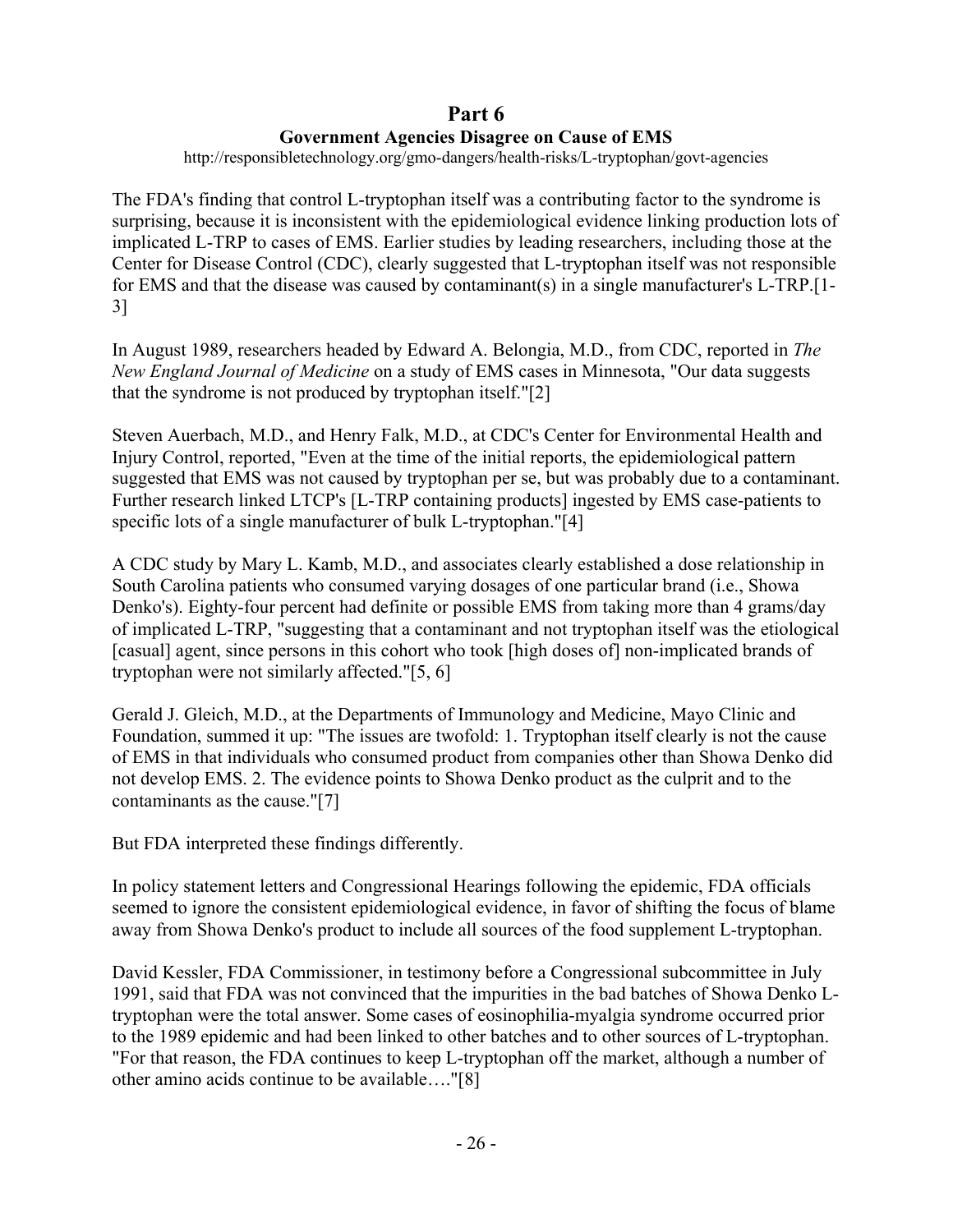## **Part 6 Government Agencies Disagree on Cause of EMS**

http://responsibletechnology.org/gmo-dangers/health-risks/L-tryptophan/govt-agencies

The FDA's finding that control L-tryptophan itself was a contributing factor to the syndrome is surprising, because it is inconsistent with the epidemiological evidence linking production lots of implicated L-TRP to cases of EMS. Earlier studies by leading researchers, including those at the Center for Disease Control (CDC), clearly suggested that L-tryptophan itself was not responsible for EMS and that the disease was caused by contaminant(s) in a single manufacturer's L-TRP.[1- 3]

In August 1989, researchers headed by Edward A. Belongia, M.D., from CDC, reported in *The New England Journal of Medicine* on a study of EMS cases in Minnesota, "Our data suggests that the syndrome is not produced by tryptophan itself."[2]

Steven Auerbach, M.D., and Henry Falk, M.D., at CDC's Center for Environmental Health and Injury Control, reported, "Even at the time of the initial reports, the epidemiological pattern suggested that EMS was not caused by tryptophan per se, but was probably due to a contaminant. Further research linked LTCP's [L-TRP containing products] ingested by EMS case-patients to specific lots of a single manufacturer of bulk L-tryptophan."[4]

A CDC study by Mary L. Kamb, M.D., and associates clearly established a dose relationship in South Carolina patients who consumed varying dosages of one particular brand (i.e., Showa Denko's). Eighty-four percent had definite or possible EMS from taking more than 4 grams/day of implicated L-TRP, "suggesting that a contaminant and not tryptophan itself was the etiological [casual] agent, since persons in this cohort who took [high doses of] non-implicated brands of tryptophan were not similarly affected."[5, 6]

Gerald J. Gleich, M.D., at the Departments of Immunology and Medicine, Mayo Clinic and Foundation, summed it up: "The issues are twofold: 1. Tryptophan itself clearly is not the cause of EMS in that individuals who consumed product from companies other than Showa Denko did not develop EMS. 2. The evidence points to Showa Denko product as the culprit and to the contaminants as the cause."[7]

But FDA interpreted these findings differently.

In policy statement letters and Congressional Hearings following the epidemic, FDA officials seemed to ignore the consistent epidemiological evidence, in favor of shifting the focus of blame away from Showa Denko's product to include all sources of the food supplement L-tryptophan.

David Kessler, FDA Commissioner, in testimony before a Congressional subcommittee in July 1991, said that FDA was not convinced that the impurities in the bad batches of Showa Denko Ltryptophan were the total answer. Some cases of eosinophilia-myalgia syndrome occurred prior to the 1989 epidemic and had been linked to other batches and to other sources of L-tryptophan. "For that reason, the FDA continues to keep L-tryptophan off the market, although a number of other amino acids continue to be available…."[8]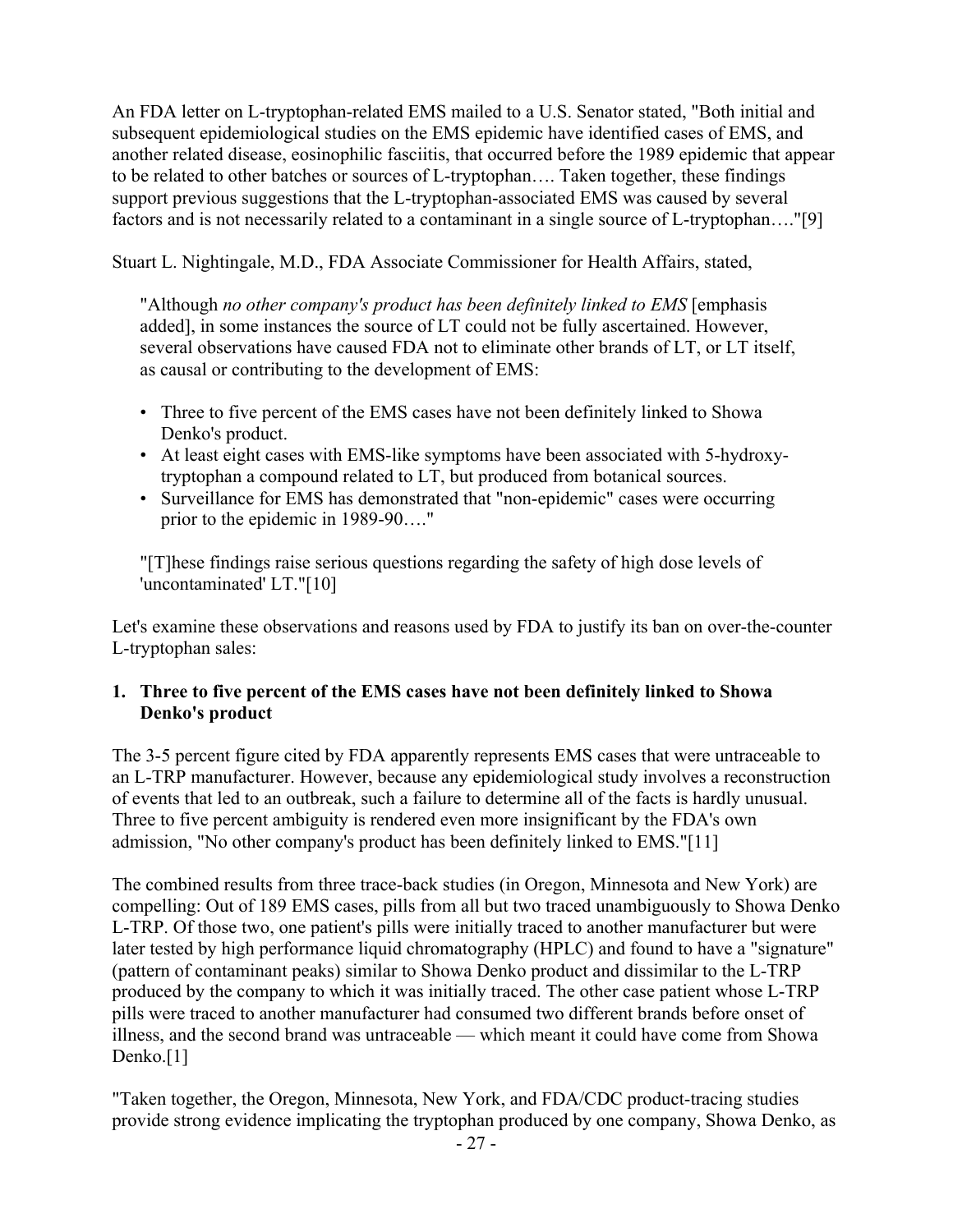An FDA letter on L-tryptophan-related EMS mailed to a U.S. Senator stated, "Both initial and subsequent epidemiological studies on the EMS epidemic have identified cases of EMS, and another related disease, eosinophilic fasciitis, that occurred before the 1989 epidemic that appear to be related to other batches or sources of L-tryptophan…. Taken together, these findings support previous suggestions that the L-tryptophan-associated EMS was caused by several factors and is not necessarily related to a contaminant in a single source of L-tryptophan…."[9]

Stuart L. Nightingale, M.D., FDA Associate Commissioner for Health Affairs, stated,

"Although *no other company's product has been definitely linked to EMS* [emphasis added], in some instances the source of LT could not be fully ascertained. However, several observations have caused FDA not to eliminate other brands of LT, or LT itself, as causal or contributing to the development of EMS:

- Three to five percent of the EMS cases have not been definitely linked to Showa Denko's product.
- At least eight cases with EMS-like symptoms have been associated with 5-hydroxytryptophan a compound related to LT, but produced from botanical sources.
- Surveillance for EMS has demonstrated that "non-epidemic" cases were occurring prior to the epidemic in 1989-90…."

"[T]hese findings raise serious questions regarding the safety of high dose levels of 'uncontaminated' LT."[10]

Let's examine these observations and reasons used by FDA to justify its ban on over-the-counter L-tryptophan sales:

### **1. Three to five percent of the EMS cases have not been definitely linked to Showa Denko's product**

The 3-5 percent figure cited by FDA apparently represents EMS cases that were untraceable to an L-TRP manufacturer. However, because any epidemiological study involves a reconstruction of events that led to an outbreak, such a failure to determine all of the facts is hardly unusual. Three to five percent ambiguity is rendered even more insignificant by the FDA's own admission, "No other company's product has been definitely linked to EMS."[11]

The combined results from three trace-back studies (in Oregon, Minnesota and New York) are compelling: Out of 189 EMS cases, pills from all but two traced unambiguously to Showa Denko L-TRP. Of those two, one patient's pills were initially traced to another manufacturer but were later tested by high performance liquid chromatography (HPLC) and found to have a "signature" (pattern of contaminant peaks) similar to Showa Denko product and dissimilar to the L-TRP produced by the company to which it was initially traced. The other case patient whose L-TRP pills were traced to another manufacturer had consumed two different brands before onset of illness, and the second brand was untraceable — which meant it could have come from Showa Denko.<sup>[1]</sup>

"Taken together, the Oregon, Minnesota, New York, and FDA/CDC product-tracing studies provide strong evidence implicating the tryptophan produced by one company, Showa Denko, as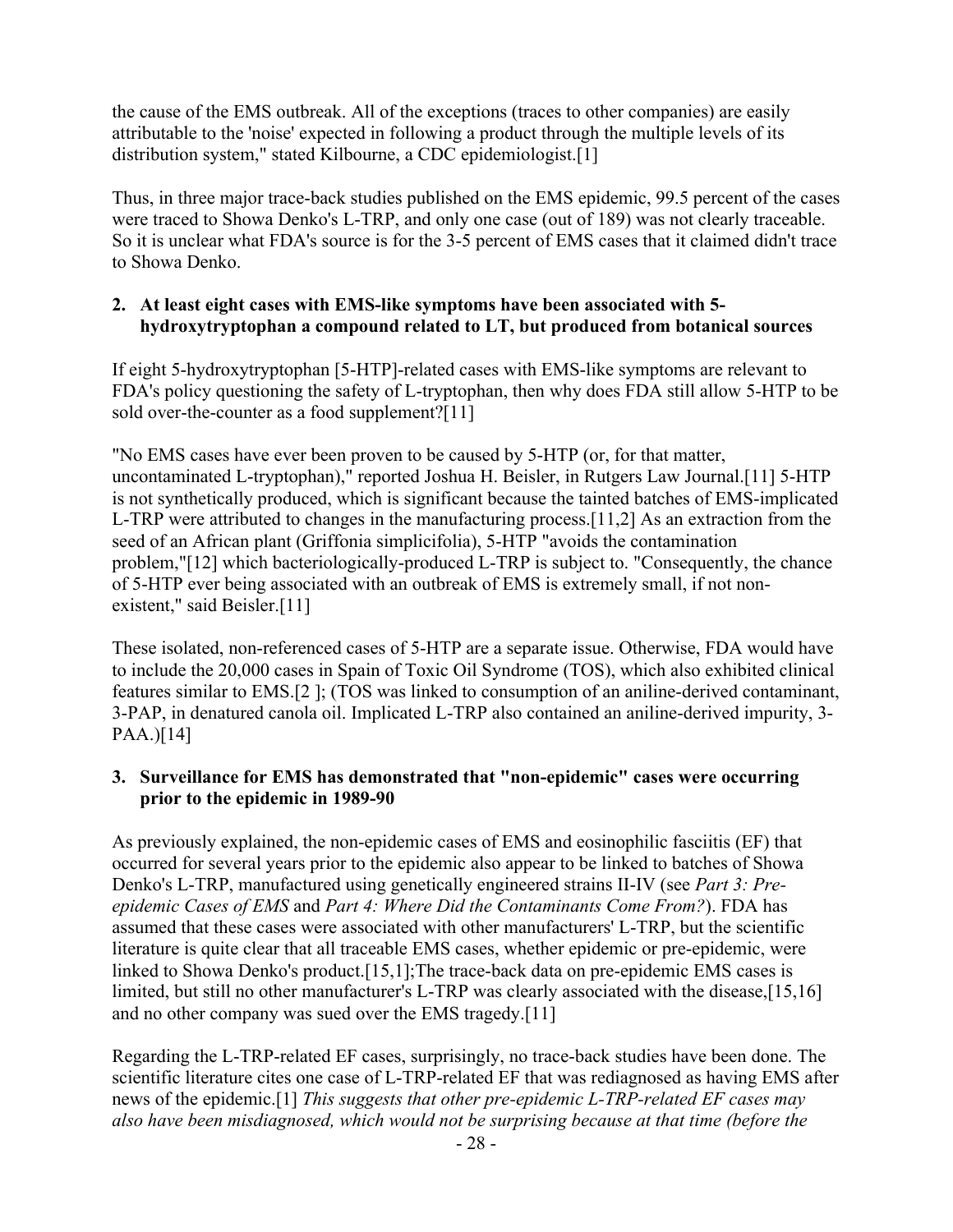the cause of the EMS outbreak. All of the exceptions (traces to other companies) are easily attributable to the 'noise' expected in following a product through the multiple levels of its distribution system," stated Kilbourne, a CDC epidemiologist.[1]

Thus, in three major trace-back studies published on the EMS epidemic, 99.5 percent of the cases were traced to Showa Denko's L-TRP, and only one case (out of 189) was not clearly traceable. So it is unclear what FDA's source is for the 3-5 percent of EMS cases that it claimed didn't trace to Showa Denko.

### **2. At least eight cases with EMS-like symptoms have been associated with 5 hydroxytryptophan a compound related to LT, but produced from botanical sources**

If eight 5-hydroxytryptophan [5-HTP]-related cases with EMS-like symptoms are relevant to FDA's policy questioning the safety of L-tryptophan, then why does FDA still allow 5-HTP to be sold over-the-counter as a food supplement?[11]

"No EMS cases have ever been proven to be caused by 5-HTP (or, for that matter, uncontaminated L-tryptophan)," reported Joshua H. Beisler, in Rutgers Law Journal.[11] 5-HTP is not synthetically produced, which is significant because the tainted batches of EMS-implicated L-TRP were attributed to changes in the manufacturing process.[11,2] As an extraction from the seed of an African plant (Griffonia simplicifolia), 5-HTP "avoids the contamination problem,"[12] which bacteriologically-produced L-TRP is subject to. "Consequently, the chance of 5-HTP ever being associated with an outbreak of EMS is extremely small, if not nonexistent," said Beisler.[11]

These isolated, non-referenced cases of 5-HTP are a separate issue. Otherwise, FDA would have to include the 20,000 cases in Spain of Toxic Oil Syndrome (TOS), which also exhibited clinical features similar to EMS.[2 ]; (TOS was linked to consumption of an aniline-derived contaminant, 3-PAP, in denatured canola oil. Implicated L-TRP also contained an aniline-derived impurity, 3-  $PAA.$ ][14]

### **3. Surveillance for EMS has demonstrated that "non-epidemic" cases were occurring prior to the epidemic in 1989-90**

As previously explained, the non-epidemic cases of EMS and eosinophilic fasciitis (EF) that occurred for several years prior to the epidemic also appear to be linked to batches of Showa Denko's L-TRP, manufactured using genetically engineered strains II-IV (see *Part 3: Preepidemic Cases of EMS* and *Part 4: Where Did the Contaminants Come From?*). FDA has assumed that these cases were associated with other manufacturers' L-TRP, but the scientific literature is quite clear that all traceable EMS cases, whether epidemic or pre-epidemic, were linked to Showa Denko's product.[15,1];The trace-back data on pre-epidemic EMS cases is limited, but still no other manufacturer's L-TRP was clearly associated with the disease,[15,16] and no other company was sued over the EMS tragedy.[11]

Regarding the L-TRP-related EF cases, surprisingly, no trace-back studies have been done. The scientific literature cites one case of L-TRP-related EF that was rediagnosed as having EMS after news of the epidemic.[1] *This suggests that other pre-epidemic L-TRP-related EF cases may also have been misdiagnosed, which would not be surprising because at that time (before the*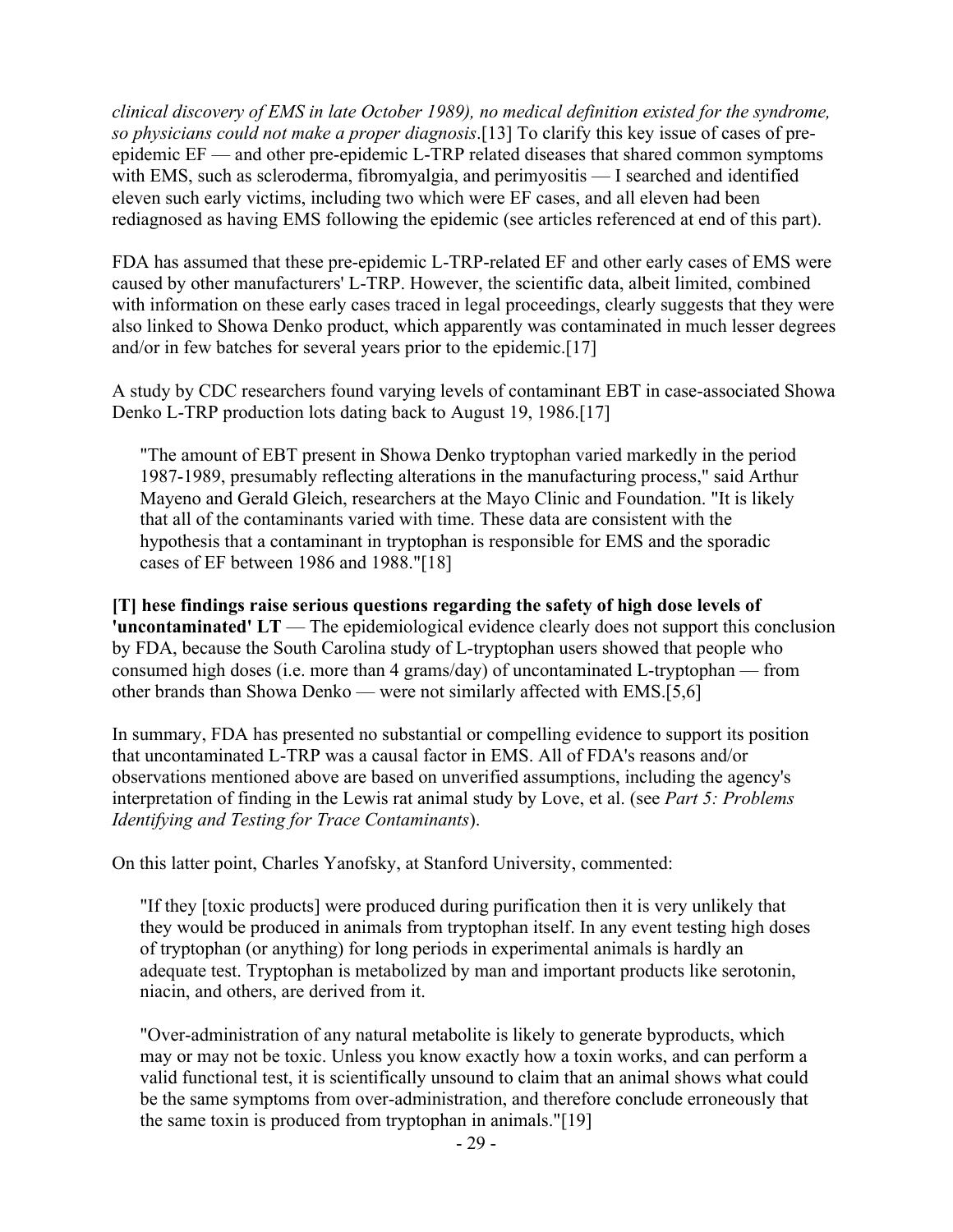*clinical discovery of EMS in late October 1989), no medical definition existed for the syndrome, so physicians could not make a proper diagnosis*.[13] To clarify this key issue of cases of preepidemic EF — and other pre-epidemic L-TRP related diseases that shared common symptoms with EMS, such as scleroderma, fibromyalgia, and perimyositis — I searched and identified eleven such early victims, including two which were EF cases, and all eleven had been rediagnosed as having EMS following the epidemic (see articles referenced at end of this part).

FDA has assumed that these pre-epidemic L-TRP-related EF and other early cases of EMS were caused by other manufacturers' L-TRP. However, the scientific data, albeit limited, combined with information on these early cases traced in legal proceedings, clearly suggests that they were also linked to Showa Denko product, which apparently was contaminated in much lesser degrees and/or in few batches for several years prior to the epidemic.[17]

A study by CDC researchers found varying levels of contaminant EBT in case-associated Showa Denko L-TRP production lots dating back to August 19, 1986.[17]

"The amount of EBT present in Showa Denko tryptophan varied markedly in the period 1987-1989, presumably reflecting alterations in the manufacturing process," said Arthur Mayeno and Gerald Gleich, researchers at the Mayo Clinic and Foundation. "It is likely that all of the contaminants varied with time. These data are consistent with the hypothesis that a contaminant in tryptophan is responsible for EMS and the sporadic cases of EF between 1986 and 1988."[18]

**[T] hese findings raise serious questions regarding the safety of high dose levels of 'uncontaminated'** LT — The epidemiological evidence clearly does not support this conclusion by FDA, because the South Carolina study of L-tryptophan users showed that people who consumed high doses (i.e. more than 4 grams/day) of uncontaminated L-tryptophan — from other brands than Showa Denko — were not similarly affected with EMS.[5,6]

In summary, FDA has presented no substantial or compelling evidence to support its position that uncontaminated L-TRP was a causal factor in EMS. All of FDA's reasons and/or observations mentioned above are based on unverified assumptions, including the agency's interpretation of finding in the Lewis rat animal study by Love, et al. (see *Part 5: Problems Identifying and Testing for Trace Contaminants*).

On this latter point, Charles Yanofsky, at Stanford University, commented:

"If they [toxic products] were produced during purification then it is very unlikely that they would be produced in animals from tryptophan itself. In any event testing high doses of tryptophan (or anything) for long periods in experimental animals is hardly an adequate test. Tryptophan is metabolized by man and important products like serotonin, niacin, and others, are derived from it.

"Over-administration of any natural metabolite is likely to generate byproducts, which may or may not be toxic. Unless you know exactly how a toxin works, and can perform a valid functional test, it is scientifically unsound to claim that an animal shows what could be the same symptoms from over-administration, and therefore conclude erroneously that the same toxin is produced from tryptophan in animals."[19]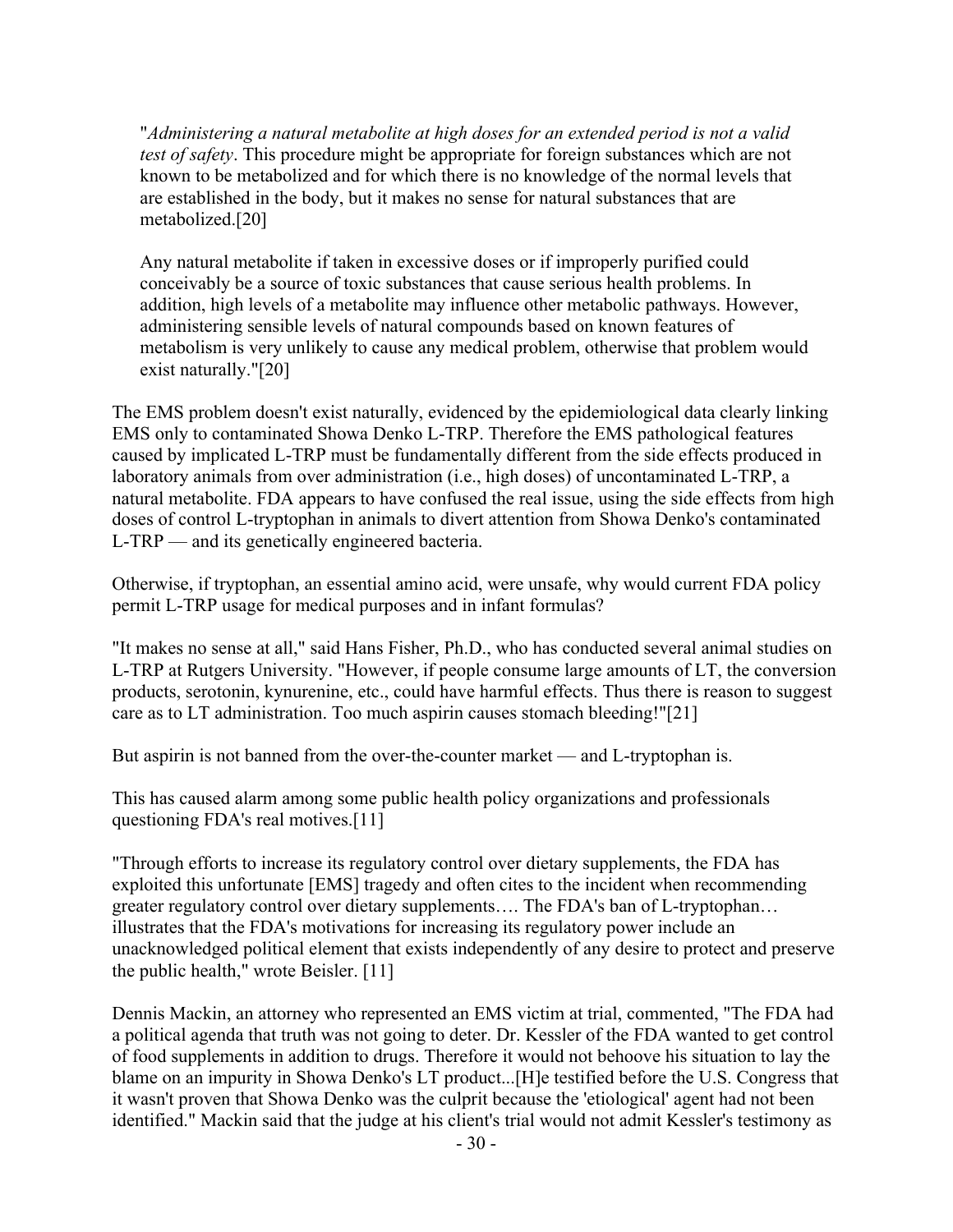"*Administering a natural metabolite at high doses for an extended period is not a valid test of safety*. This procedure might be appropriate for foreign substances which are not known to be metabolized and for which there is no knowledge of the normal levels that are established in the body, but it makes no sense for natural substances that are metabolized.[20]

Any natural metabolite if taken in excessive doses or if improperly purified could conceivably be a source of toxic substances that cause serious health problems. In addition, high levels of a metabolite may influence other metabolic pathways. However, administering sensible levels of natural compounds based on known features of metabolism is very unlikely to cause any medical problem, otherwise that problem would exist naturally."[20]

The EMS problem doesn't exist naturally, evidenced by the epidemiological data clearly linking EMS only to contaminated Showa Denko L-TRP. Therefore the EMS pathological features caused by implicated L-TRP must be fundamentally different from the side effects produced in laboratory animals from over administration (i.e., high doses) of uncontaminated L-TRP, a natural metabolite. FDA appears to have confused the real issue, using the side effects from high doses of control L-tryptophan in animals to divert attention from Showa Denko's contaminated L-TRP — and its genetically engineered bacteria.

Otherwise, if tryptophan, an essential amino acid, were unsafe, why would current FDA policy permit L-TRP usage for medical purposes and in infant formulas?

"It makes no sense at all," said Hans Fisher, Ph.D., who has conducted several animal studies on L-TRP at Rutgers University. "However, if people consume large amounts of LT, the conversion products, serotonin, kynurenine, etc., could have harmful effects. Thus there is reason to suggest care as to LT administration. Too much aspirin causes stomach bleeding!"[21]

But aspirin is not banned from the over-the-counter market — and L-tryptophan is.

This has caused alarm among some public health policy organizations and professionals questioning FDA's real motives.[11]

"Through efforts to increase its regulatory control over dietary supplements, the FDA has exploited this unfortunate [EMS] tragedy and often cites to the incident when recommending greater regulatory control over dietary supplements…. The FDA's ban of L-tryptophan… illustrates that the FDA's motivations for increasing its regulatory power include an unacknowledged political element that exists independently of any desire to protect and preserve the public health," wrote Beisler. [11]

Dennis Mackin, an attorney who represented an EMS victim at trial, commented, "The FDA had a political agenda that truth was not going to deter. Dr. Kessler of the FDA wanted to get control of food supplements in addition to drugs. Therefore it would not behoove his situation to lay the blame on an impurity in Showa Denko's LT product...[H]e testified before the U.S. Congress that it wasn't proven that Showa Denko was the culprit because the 'etiological' agent had not been identified." Mackin said that the judge at his client's trial would not admit Kessler's testimony as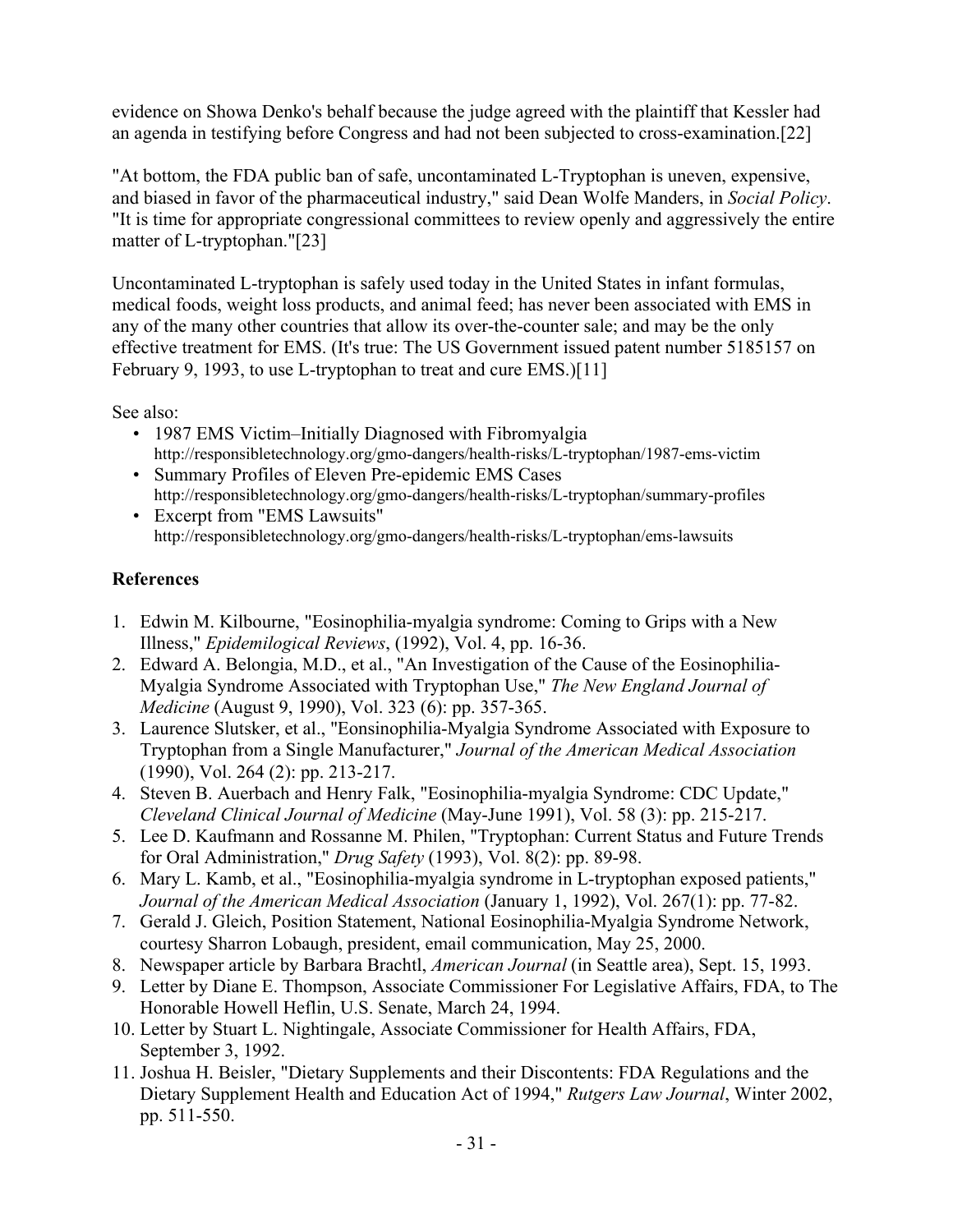evidence on Showa Denko's behalf because the judge agreed with the plaintiff that Kessler had an agenda in testifying before Congress and had not been subjected to cross-examination.[22]

"At bottom, the FDA public ban of safe, uncontaminated L-Tryptophan is uneven, expensive, and biased in favor of the pharmaceutical industry," said Dean Wolfe Manders, in *Social Policy*. "It is time for appropriate congressional committees to review openly and aggressively the entire matter of L-tryptophan."[23]

Uncontaminated L-tryptophan is safely used today in the United States in infant formulas, medical foods, weight loss products, and animal feed; has never been associated with EMS in any of the many other countries that allow its over-the-counter sale; and may be the only effective treatment for EMS. (It's true: The US Government issued patent number 5185157 on February 9, 1993, to use L-tryptophan to treat and cure EMS.)[11]

See also:

- 1987 EMS Victim–Initially Diagnosed with Fibromyalgia http://responsibletechnology.org/gmo-dangers/health-risks/L-tryptophan/1987-ems-victim
- Summary Profiles of Eleven Pre-epidemic EMS Cases http://responsibletechnology.org/gmo-dangers/health-risks/L-tryptophan/summary-profiles
- Excerpt from "EMS Lawsuits" http://responsibletechnology.org/gmo-dangers/health-risks/L-tryptophan/ems-lawsuits

## **References**

- 1. Edwin M. Kilbourne, "Eosinophilia-myalgia syndrome: Coming to Grips with a New Illness," *Epidemilogical Reviews*, (1992), Vol. 4, pp. 16-36.
- 2. Edward A. Belongia, M.D., et al., "An Investigation of the Cause of the Eosinophilia-Myalgia Syndrome Associated with Tryptophan Use," *The New England Journal of Medicine* (August 9, 1990), Vol. 323 (6): pp. 357-365.
- 3. Laurence Slutsker, et al., "Eonsinophilia-Myalgia Syndrome Associated with Exposure to Tryptophan from a Single Manufacturer," *Journal of the American Medical Association* (1990), Vol. 264 (2): pp. 213-217.
- 4. Steven B. Auerbach and Henry Falk, "Eosinophilia-myalgia Syndrome: CDC Update," *Cleveland Clinical Journal of Medicine* (May-June 1991), Vol. 58 (3): pp. 215-217.
- 5. Lee D. Kaufmann and Rossanne M. Philen, "Tryptophan: Current Status and Future Trends for Oral Administration," *Drug Safety* (1993), Vol. 8(2): pp. 89-98.
- 6. Mary L. Kamb, et al., "Eosinophilia-myalgia syndrome in L-tryptophan exposed patients," *Journal of the American Medical Association* (January 1, 1992), Vol. 267(1): pp. 77-82.
- 7. Gerald J. Gleich, Position Statement, National Eosinophilia-Myalgia Syndrome Network, courtesy Sharron Lobaugh, president, email communication, May 25, 2000.
- 8. Newspaper article by Barbara Brachtl, *American Journal* (in Seattle area), Sept. 15, 1993.
- 9. Letter by Diane E. Thompson, Associate Commissioner For Legislative Affairs, FDA, to The Honorable Howell Heflin, U.S. Senate, March 24, 1994.
- 10. Letter by Stuart L. Nightingale, Associate Commissioner for Health Affairs, FDA, September 3, 1992.
- 11. Joshua H. Beisler, "Dietary Supplements and their Discontents: FDA Regulations and the Dietary Supplement Health and Education Act of 1994," *Rutgers Law Journal*, Winter 2002, pp. 511-550.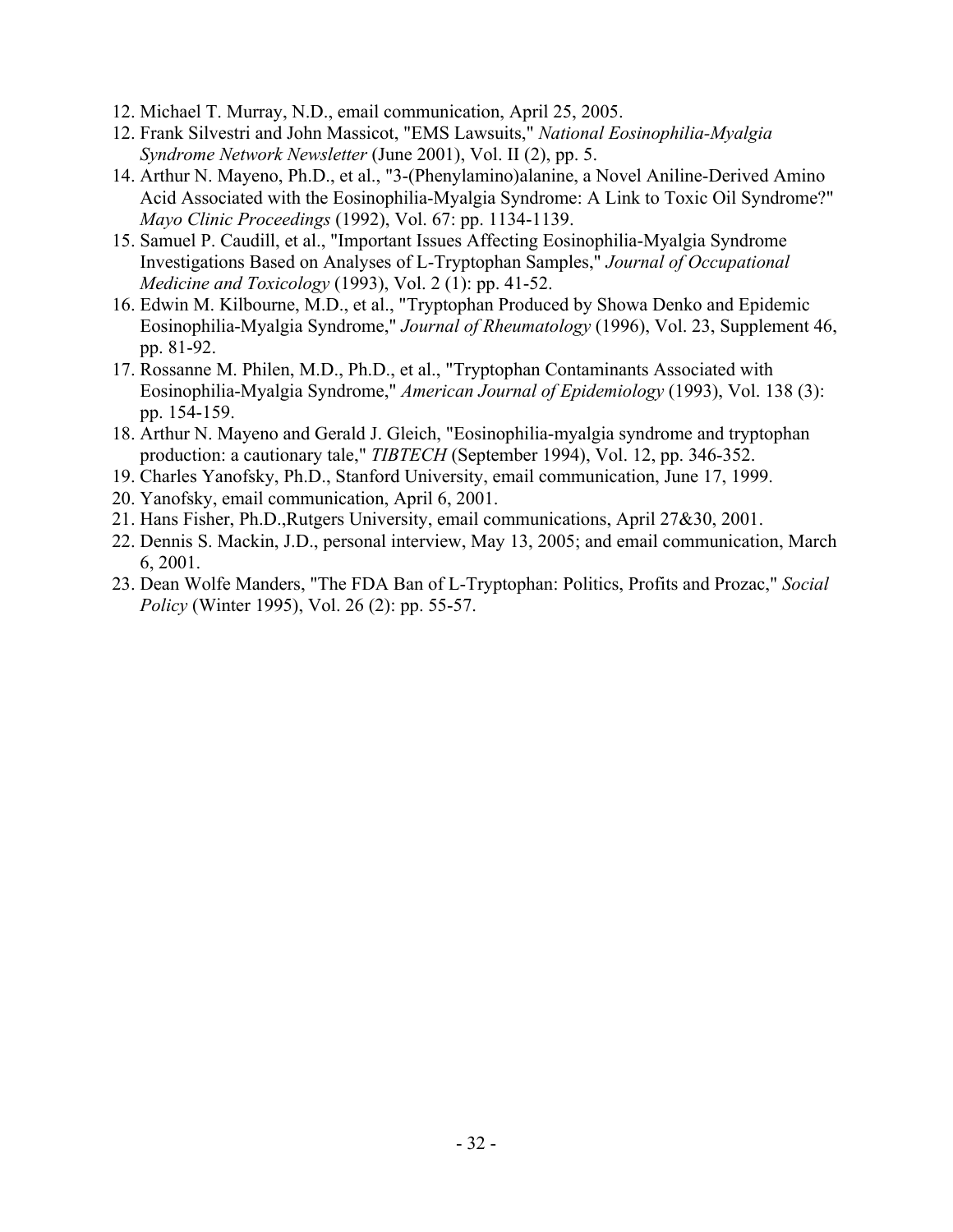- 12. Michael T. Murray, N.D., email communication, April 25, 2005.
- 12. Frank Silvestri and John Massicot, "EMS Lawsuits," *National Eosinophilia-Myalgia Syndrome Network Newsletter* (June 2001), Vol. II (2), pp. 5.
- 14. Arthur N. Mayeno, Ph.D., et al., "3-(Phenylamino)alanine, a Novel Aniline-Derived Amino Acid Associated with the Eosinophilia-Myalgia Syndrome: A Link to Toxic Oil Syndrome?" *Mayo Clinic Proceedings* (1992), Vol. 67: pp. 1134-1139.
- 15. Samuel P. Caudill, et al., "Important Issues Affecting Eosinophilia-Myalgia Syndrome Investigations Based on Analyses of L-Tryptophan Samples," *Journal of Occupational Medicine and Toxicology* (1993), Vol. 2 (1): pp. 41-52.
- 16. Edwin M. Kilbourne, M.D., et al., "Tryptophan Produced by Showa Denko and Epidemic Eosinophilia-Myalgia Syndrome," *Journal of Rheumatology* (1996), Vol. 23, Supplement 46, pp. 81-92.
- 17. Rossanne M. Philen, M.D., Ph.D., et al., "Tryptophan Contaminants Associated with Eosinophilia-Myalgia Syndrome," *American Journal of Epidemiology* (1993), Vol. 138 (3): pp. 154-159.
- 18. Arthur N. Mayeno and Gerald J. Gleich, "Eosinophilia-myalgia syndrome and tryptophan production: a cautionary tale," *TIBTECH* (September 1994), Vol. 12, pp. 346-352.
- 19. Charles Yanofsky, Ph.D., Stanford University, email communication, June 17, 1999.
- 20. Yanofsky, email communication, April 6, 2001.
- 21. Hans Fisher, Ph.D.,Rutgers University, email communications, April 27&30, 2001.
- 22. Dennis S. Mackin, J.D., personal interview, May 13, 2005; and email communication, March 6, 2001.
- 23. Dean Wolfe Manders, "The FDA Ban of L-Tryptophan: Politics, Profits and Prozac," *Social Policy* (Winter 1995), Vol. 26 (2): pp. 55-57.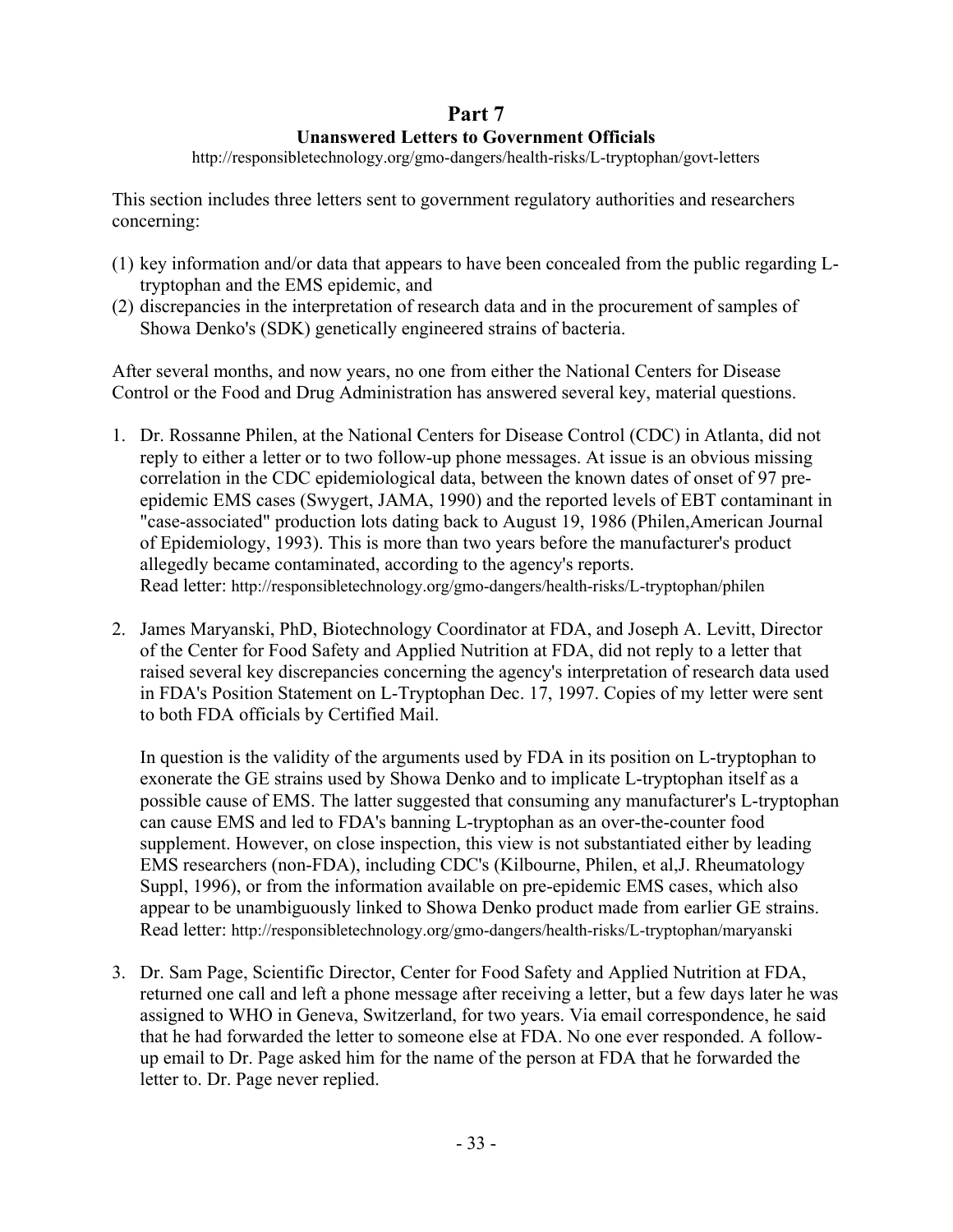## **Part 7 Unanswered Letters to Government Officials**

http://responsibletechnology.org/gmo-dangers/health-risks/L-tryptophan/govt-letters

This section includes three letters sent to government regulatory authorities and researchers concerning:

- (1) key information and/or data that appears to have been concealed from the public regarding Ltryptophan and the EMS epidemic, and
- (2) discrepancies in the interpretation of research data and in the procurement of samples of Showa Denko's (SDK) genetically engineered strains of bacteria.

After several months, and now years, no one from either the National Centers for Disease Control or the Food and Drug Administration has answered several key, material questions.

- 1. Dr. Rossanne Philen, at the National Centers for Disease Control (CDC) in Atlanta, did not reply to either a letter or to two follow-up phone messages. At issue is an obvious missing correlation in the CDC epidemiological data, between the known dates of onset of 97 preepidemic EMS cases (Swygert, JAMA, 1990) and the reported levels of EBT contaminant in "case-associated" production lots dating back to August 19, 1986 (Philen,American Journal of Epidemiology, 1993). This is more than two years before the manufacturer's product allegedly became contaminated, according to the agency's reports. Read letter: http://responsibletechnology.org/gmo-dangers/health-risks/L-tryptophan/philen
- 2. James Maryanski, PhD, Biotechnology Coordinator at FDA, and Joseph A. Levitt, Director of the Center for Food Safety and Applied Nutrition at FDA, did not reply to a letter that raised several key discrepancies concerning the agency's interpretation of research data used in FDA's Position Statement on L-Tryptophan Dec. 17, 1997. Copies of my letter were sent to both FDA officials by Certified Mail.

In question is the validity of the arguments used by FDA in its position on L-tryptophan to exonerate the GE strains used by Showa Denko and to implicate L-tryptophan itself as a possible cause of EMS. The latter suggested that consuming any manufacturer's L-tryptophan can cause EMS and led to FDA's banning L-tryptophan as an over-the-counter food supplement. However, on close inspection, this view is not substantiated either by leading EMS researchers (non-FDA), including CDC's (Kilbourne, Philen, et al,J. Rheumatology Suppl, 1996), or from the information available on pre-epidemic EMS cases, which also appear to be unambiguously linked to Showa Denko product made from earlier GE strains. Read letter: http://responsibletechnology.org/gmo-dangers/health-risks/L-tryptophan/maryanski

3. Dr. Sam Page, Scientific Director, Center for Food Safety and Applied Nutrition at FDA, returned one call and left a phone message after receiving a letter, but a few days later he was assigned to WHO in Geneva, Switzerland, for two years. Via email correspondence, he said that he had forwarded the letter to someone else at FDA. No one ever responded. A followup email to Dr. Page asked him for the name of the person at FDA that he forwarded the letter to. Dr. Page never replied.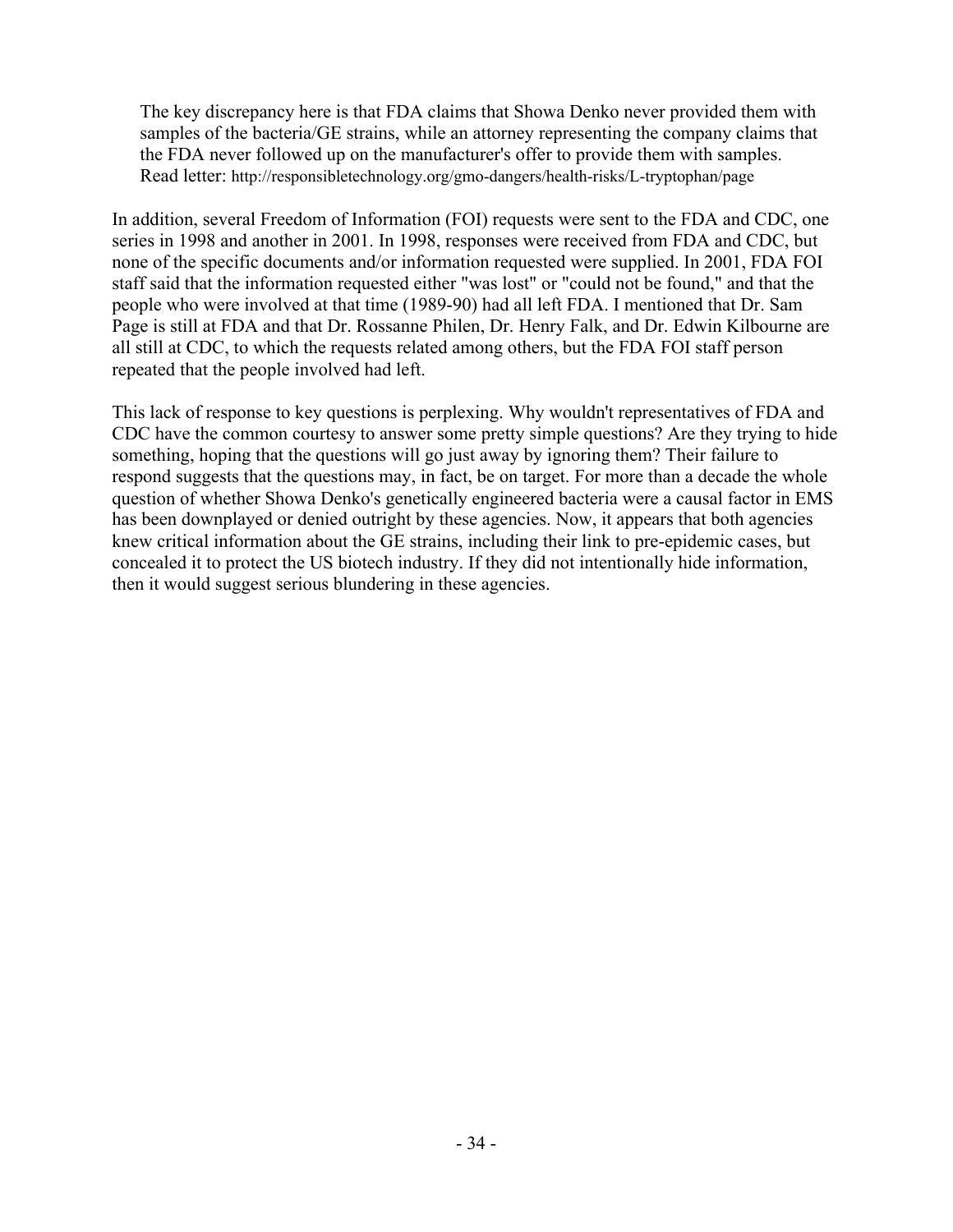The key discrepancy here is that FDA claims that Showa Denko never provided them with samples of the bacteria/GE strains, while an attorney representing the company claims that the FDA never followed up on the manufacturer's offer to provide them with samples. Read letter: http://responsibletechnology.org/gmo-dangers/health-risks/L-tryptophan/page

In addition, several Freedom of Information (FOI) requests were sent to the FDA and CDC, one series in 1998 and another in 2001. In 1998, responses were received from FDA and CDC, but none of the specific documents and/or information requested were supplied. In 2001, FDA FOI staff said that the information requested either "was lost" or "could not be found," and that the people who were involved at that time (1989-90) had all left FDA. I mentioned that Dr. Sam Page is still at FDA and that Dr. Rossanne Philen, Dr. Henry Falk, and Dr. Edwin Kilbourne are all still at CDC, to which the requests related among others, but the FDA FOI staff person repeated that the people involved had left.

This lack of response to key questions is perplexing. Why wouldn't representatives of FDA and CDC have the common courtesy to answer some pretty simple questions? Are they trying to hide something, hoping that the questions will go just away by ignoring them? Their failure to respond suggests that the questions may, in fact, be on target. For more than a decade the whole question of whether Showa Denko's genetically engineered bacteria were a causal factor in EMS has been downplayed or denied outright by these agencies. Now, it appears that both agencies knew critical information about the GE strains, including their link to pre-epidemic cases, but concealed it to protect the US biotech industry. If they did not intentionally hide information, then it would suggest serious blundering in these agencies.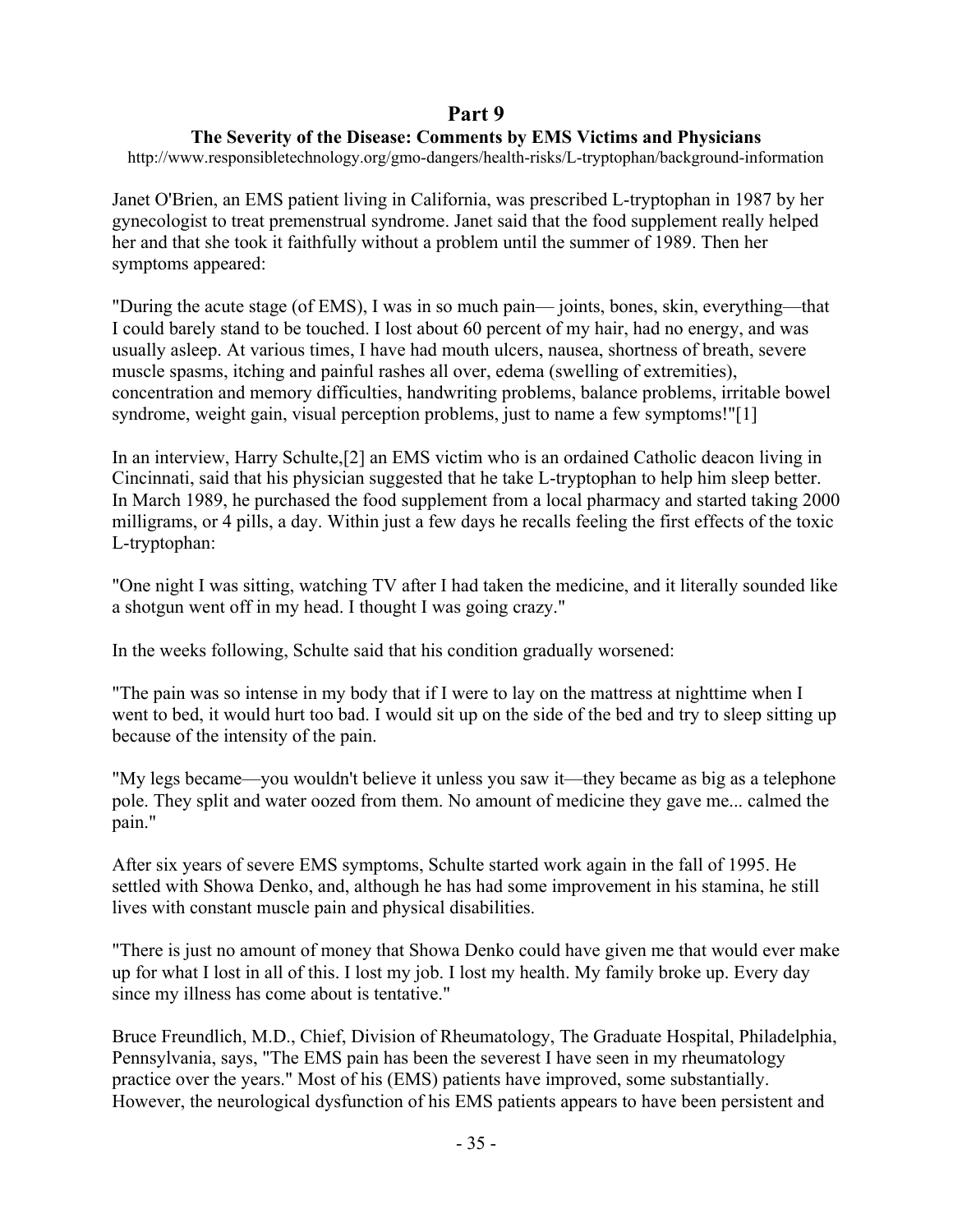## **Part 9**

### **The Severity of the Disease: Comments by EMS Victims and Physicians**

http://www.responsibletechnology.org/gmo-dangers/health-risks/L-tryptophan/background-information

Janet O'Brien, an EMS patient living in California, was prescribed L-tryptophan in 1987 by her gynecologist to treat premenstrual syndrome. Janet said that the food supplement really helped her and that she took it faithfully without a problem until the summer of 1989. Then her symptoms appeared:

"During the acute stage (of EMS), I was in so much pain— joints, bones, skin, everything—that I could barely stand to be touched. I lost about 60 percent of my hair, had no energy, and was usually asleep. At various times, I have had mouth ulcers, nausea, shortness of breath, severe muscle spasms, itching and painful rashes all over, edema (swelling of extremities), concentration and memory difficulties, handwriting problems, balance problems, irritable bowel syndrome, weight gain, visual perception problems, just to name a few symptoms!"[1]

In an interview, Harry Schulte,[2] an EMS victim who is an ordained Catholic deacon living in Cincinnati, said that his physician suggested that he take L-tryptophan to help him sleep better. In March 1989, he purchased the food supplement from a local pharmacy and started taking 2000 milligrams, or 4 pills, a day. Within just a few days he recalls feeling the first effects of the toxic L-tryptophan:

"One night I was sitting, watching TV after I had taken the medicine, and it literally sounded like a shotgun went off in my head. I thought I was going crazy."

In the weeks following, Schulte said that his condition gradually worsened:

"The pain was so intense in my body that if I were to lay on the mattress at nighttime when I went to bed, it would hurt too bad. I would sit up on the side of the bed and try to sleep sitting up because of the intensity of the pain.

"My legs became—you wouldn't believe it unless you saw it—they became as big as a telephone pole. They split and water oozed from them. No amount of medicine they gave me... calmed the pain."

After six years of severe EMS symptoms, Schulte started work again in the fall of 1995. He settled with Showa Denko, and, although he has had some improvement in his stamina, he still lives with constant muscle pain and physical disabilities.

"There is just no amount of money that Showa Denko could have given me that would ever make up for what I lost in all of this. I lost my job. I lost my health. My family broke up. Every day since my illness has come about is tentative."

Bruce Freundlich, M.D., Chief, Division of Rheumatology, The Graduate Hospital, Philadelphia, Pennsylvania, says, "The EMS pain has been the severest I have seen in my rheumatology practice over the years." Most of his (EMS) patients have improved, some substantially. However, the neurological dysfunction of his EMS patients appears to have been persistent and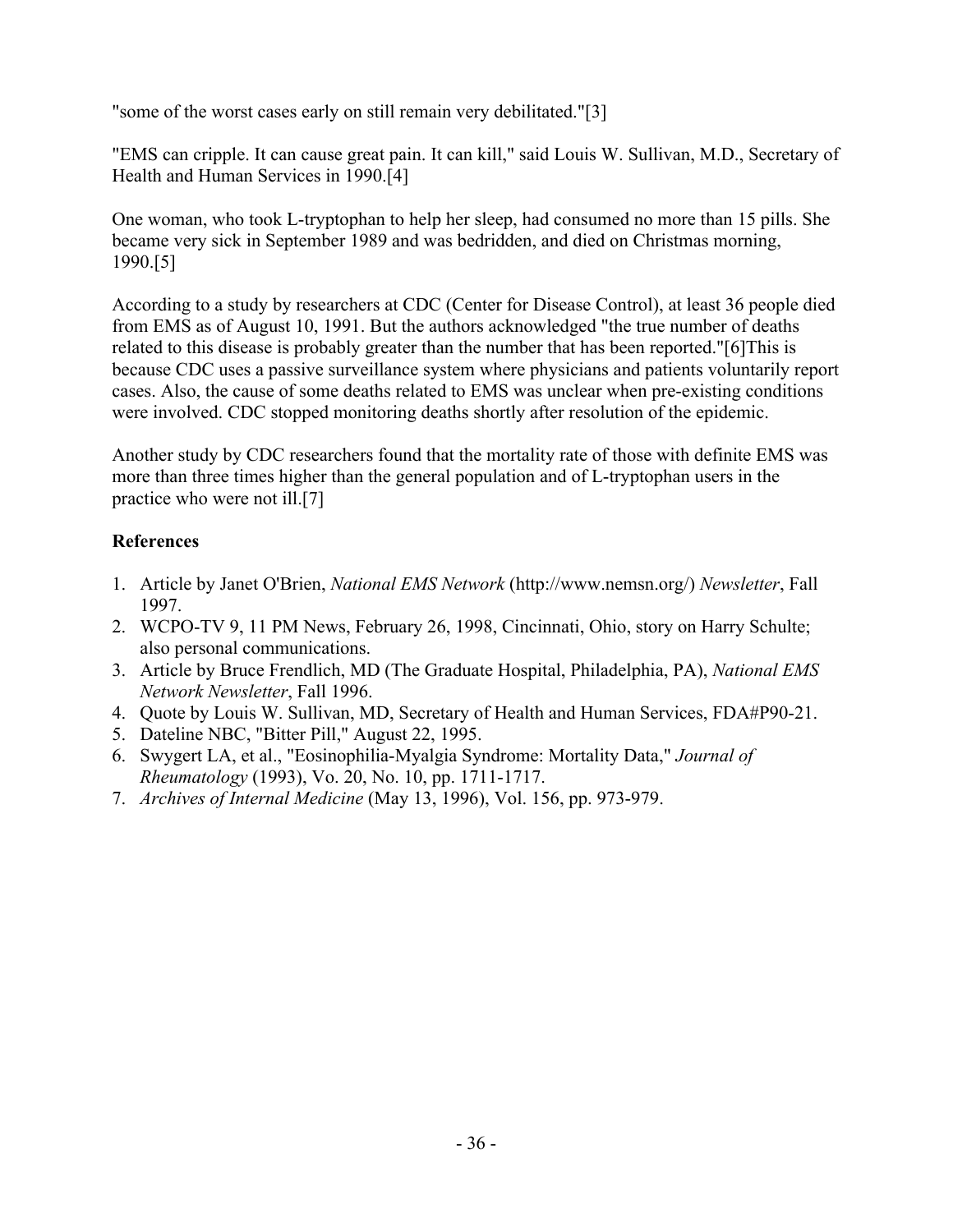"some of the worst cases early on still remain very debilitated."[3]

"EMS can cripple. It can cause great pain. It can kill," said Louis W. Sullivan, M.D., Secretary of Health and Human Services in 1990.[4]

One woman, who took L-tryptophan to help her sleep, had consumed no more than 15 pills. She became very sick in September 1989 and was bedridden, and died on Christmas morning, 1990.[5]

According to a study by researchers at CDC (Center for Disease Control), at least 36 people died from EMS as of August 10, 1991. But the authors acknowledged "the true number of deaths related to this disease is probably greater than the number that has been reported."[6]This is because CDC uses a passive surveillance system where physicians and patients voluntarily report cases. Also, the cause of some deaths related to EMS was unclear when pre-existing conditions were involved. CDC stopped monitoring deaths shortly after resolution of the epidemic.

Another study by CDC researchers found that the mortality rate of those with definite EMS was more than three times higher than the general population and of L-tryptophan users in the practice who were not ill.[7]

## **References**

- 1. Article by Janet O'Brien, *National EMS Network* (http://www.nemsn.org/) *Newsletter*, Fall 1997.
- 2. WCPO-TV 9, 11 PM News, February 26, 1998, Cincinnati, Ohio, story on Harry Schulte; also personal communications.
- 3. Article by Bruce Frendlich, MD (The Graduate Hospital, Philadelphia, PA), *National EMS Network Newsletter*, Fall 1996.
- 4. Quote by Louis W. Sullivan, MD, Secretary of Health and Human Services, FDA#P90-21.
- 5. Dateline NBC, "Bitter Pill," August 22, 1995.
- 6. Swygert LA, et al., "Eosinophilia-Myalgia Syndrome: Mortality Data," *Journal of Rheumatology* (1993), Vo. 20, No. 10, pp. 1711-1717.
- 7. *Archives of Internal Medicine* (May 13, 1996), Vol. 156, pp. 973-979.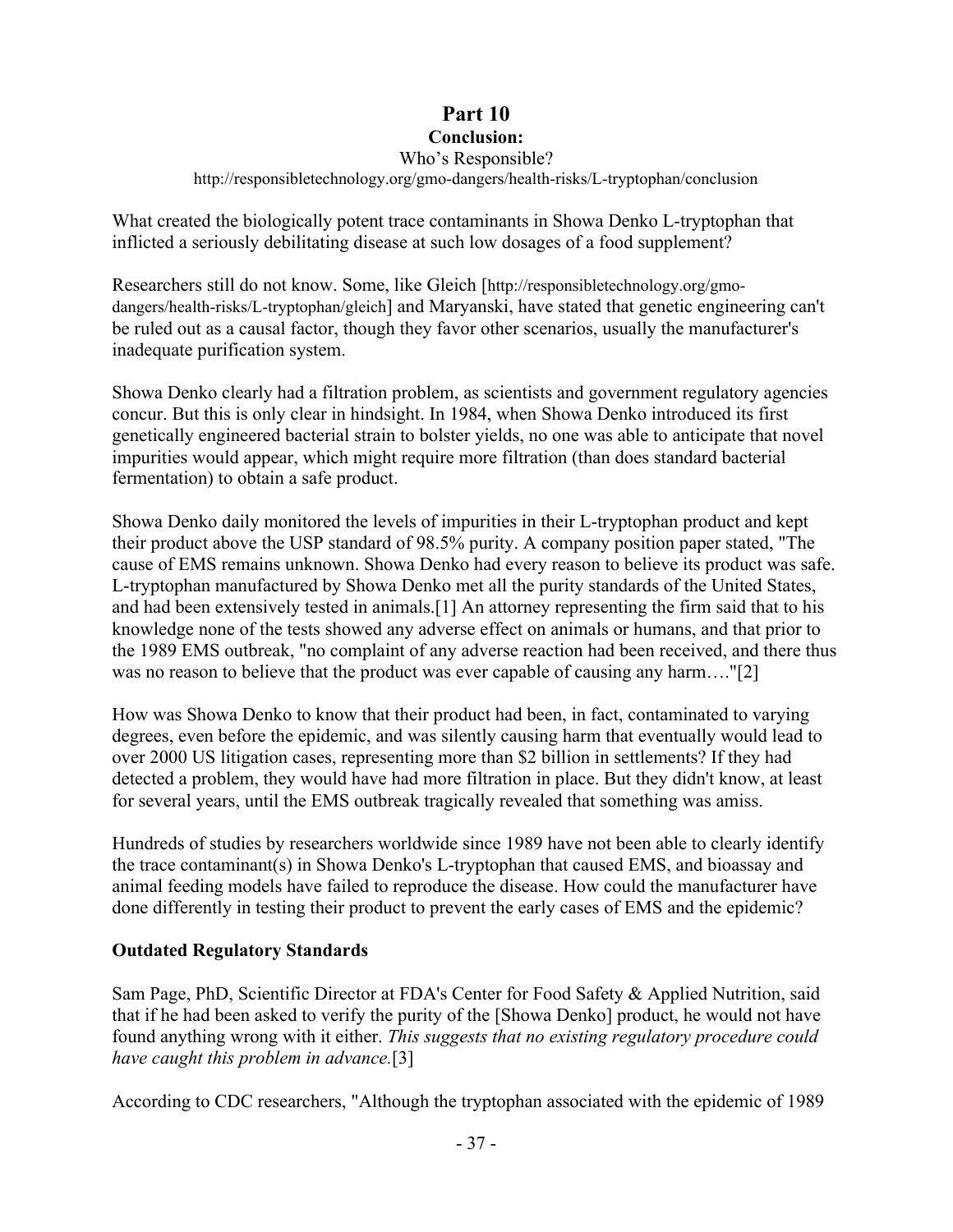#### **Part 10 Conclusion:**

#### Who's Responsible? http://responsibletechnology.org/gmo-dangers/health-risks/L-tryptophan/conclusion

What created the biologically potent trace contaminants in Showa Denko L-tryptophan that inflicted a seriously debilitating disease at such low dosages of a food supplement?

Researchers still do not know. Some, like Gleich [http://responsibletechnology.org/gmodangers/health-risks/L-tryptophan/gleich] and Maryanski, have stated that genetic engineering can't be ruled out as a causal factor, though they favor other scenarios, usually the manufacturer's inadequate purification system.

Showa Denko clearly had a filtration problem, as scientists and government regulatory agencies concur. But this is only clear in hindsight. In 1984, when Showa Denko introduced its first genetically engineered bacterial strain to bolster yields, no one was able to anticipate that novel impurities would appear, which might require more filtration (than does standard bacterial fermentation) to obtain a safe product.

Showa Denko daily monitored the levels of impurities in their L-tryptophan product and kept their product above the USP standard of 98.5% purity. A company position paper stated, "The cause of EMS remains unknown. Showa Denko had every reason to believe its product was safe. L-tryptophan manufactured by Showa Denko met all the purity standards of the United States, and had been extensively tested in animals.[1] An attorney representing the firm said that to his knowledge none of the tests showed any adverse effect on animals or humans, and that prior to the 1989 EMS outbreak, "no complaint of any adverse reaction had been received, and there thus was no reason to believe that the product was ever capable of causing any harm...."[2]

How was Showa Denko to know that their product had been, in fact, contaminated to varying degrees, even before the epidemic, and was silently causing harm that eventually would lead to over 2000 US litigation cases, representing more than \$2 billion in settlements? If they had detected a problem, they would have had more filtration in place. But they didn't know, at least for several years, until the EMS outbreak tragically revealed that something was amiss.

Hundreds of studies by researchers worldwide since 1989 have not been able to clearly identify the trace contaminant(s) in Showa Denko's L-tryptophan that caused EMS, and bioassay and animal feeding models have failed to reproduce the disease. How could the manufacturer have done differently in testing their product to prevent the early cases of EMS and the epidemic?

### **Outdated Regulatory Standards**

Sam Page, PhD, Scientific Director at FDA's Center for Food Safety & Applied Nutrition, said that if he had been asked to verify the purity of the [Showa Denko] product, he would not have found anything wrong with it either. *This suggests that no existing regulatory procedure could have caught this problem in advance.*[3]

According to CDC researchers, "Although the tryptophan associated with the epidemic of 1989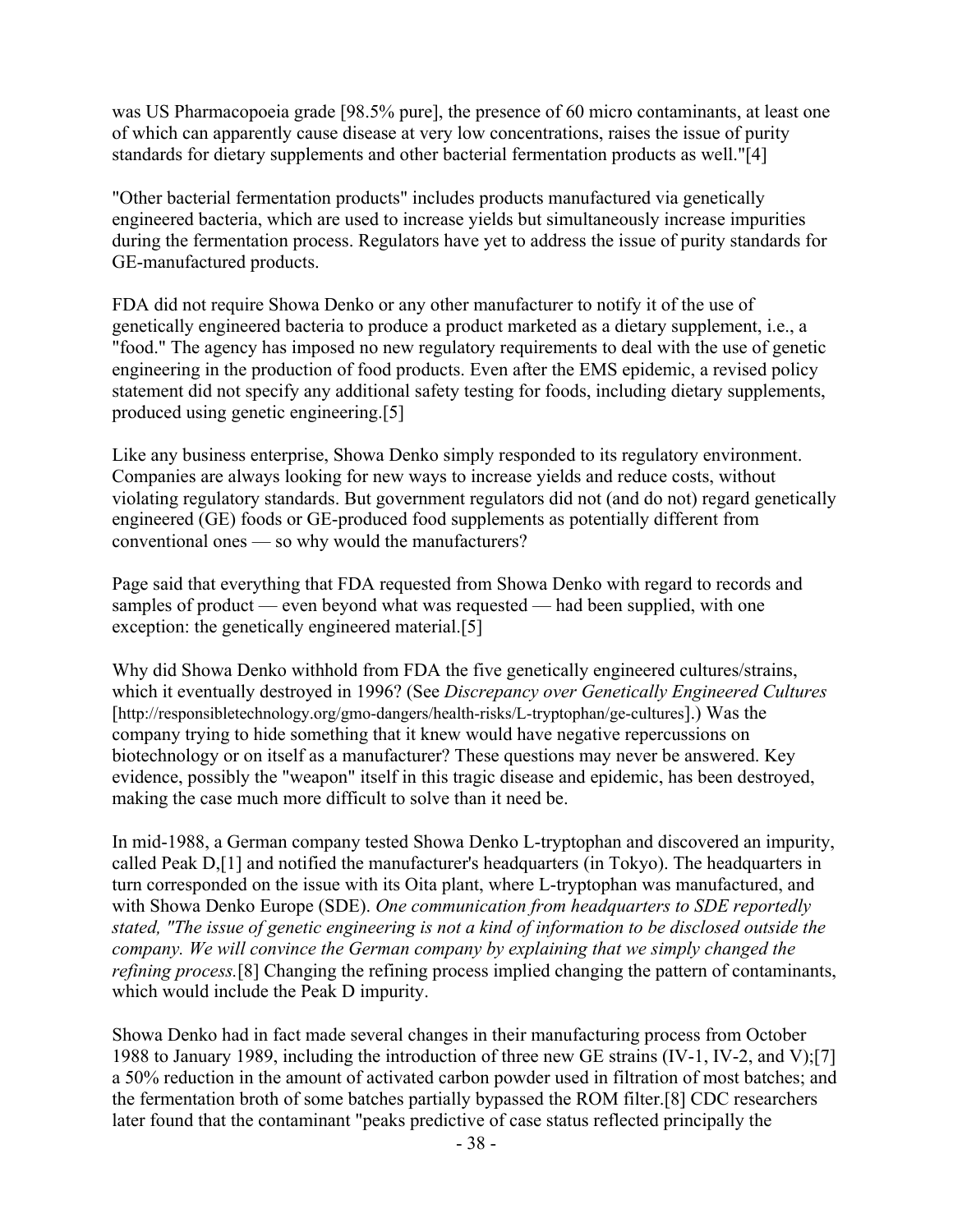was US Pharmacopoeia grade [98.5% pure], the presence of 60 micro contaminants, at least one of which can apparently cause disease at very low concentrations, raises the issue of purity standards for dietary supplements and other bacterial fermentation products as well."[4]

"Other bacterial fermentation products" includes products manufactured via genetically engineered bacteria, which are used to increase yields but simultaneously increase impurities during the fermentation process. Regulators have yet to address the issue of purity standards for GE-manufactured products.

FDA did not require Showa Denko or any other manufacturer to notify it of the use of genetically engineered bacteria to produce a product marketed as a dietary supplement, i.e., a "food." The agency has imposed no new regulatory requirements to deal with the use of genetic engineering in the production of food products. Even after the EMS epidemic, a revised policy statement did not specify any additional safety testing for foods, including dietary supplements, produced using genetic engineering.[5]

Like any business enterprise, Showa Denko simply responded to its regulatory environment. Companies are always looking for new ways to increase yields and reduce costs, without violating regulatory standards. But government regulators did not (and do not) regard genetically engineered (GE) foods or GE-produced food supplements as potentially different from conventional ones — so why would the manufacturers?

Page said that everything that FDA requested from Showa Denko with regard to records and samples of product — even beyond what was requested — had been supplied, with one exception: the genetically engineered material.[5]

Why did Showa Denko withhold from FDA the five genetically engineered cultures/strains, which it eventually destroyed in 1996? (See *Discrepancy over Genetically Engineered Cultures* [http://responsibletechnology.org/gmo-dangers/health-risks/L-tryptophan/ge-cultures].) Was the company trying to hide something that it knew would have negative repercussions on biotechnology or on itself as a manufacturer? These questions may never be answered. Key evidence, possibly the "weapon" itself in this tragic disease and epidemic, has been destroyed, making the case much more difficult to solve than it need be.

In mid-1988, a German company tested Showa Denko L-tryptophan and discovered an impurity, called Peak D,[1] and notified the manufacturer's headquarters (in Tokyo). The headquarters in turn corresponded on the issue with its Oita plant, where L-tryptophan was manufactured, and with Showa Denko Europe (SDE). *One communication from headquarters to SDE reportedly stated, "The issue of genetic engineering is not a kind of information to be disclosed outside the company. We will convince the German company by explaining that we simply changed the refining process.*[8] Changing the refining process implied changing the pattern of contaminants, which would include the Peak D impurity.

Showa Denko had in fact made several changes in their manufacturing process from October 1988 to January 1989, including the introduction of three new GE strains (IV-1, IV-2, and V);[7] a 50% reduction in the amount of activated carbon powder used in filtration of most batches; and the fermentation broth of some batches partially bypassed the ROM filter.[8] CDC researchers later found that the contaminant "peaks predictive of case status reflected principally the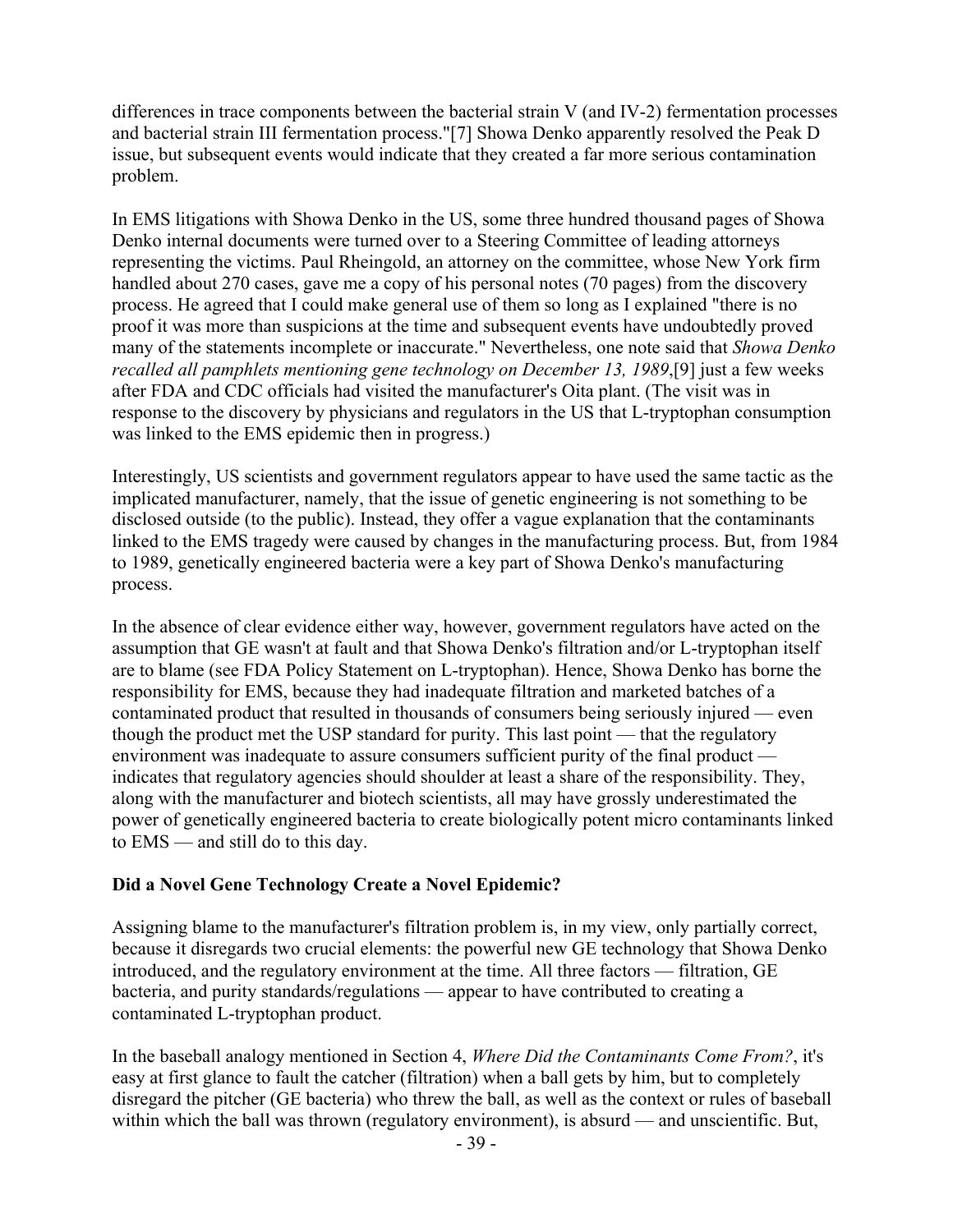differences in trace components between the bacterial strain V (and IV-2) fermentation processes and bacterial strain III fermentation process."[7] Showa Denko apparently resolved the Peak D issue, but subsequent events would indicate that they created a far more serious contamination problem.

In EMS litigations with Showa Denko in the US, some three hundred thousand pages of Showa Denko internal documents were turned over to a Steering Committee of leading attorneys representing the victims. Paul Rheingold, an attorney on the committee, whose New York firm handled about 270 cases, gave me a copy of his personal notes (70 pages) from the discovery process. He agreed that I could make general use of them so long as I explained "there is no proof it was more than suspicions at the time and subsequent events have undoubtedly proved many of the statements incomplete or inaccurate." Nevertheless, one note said that *Showa Denko recalled all pamphlets mentioning gene technology on December 13, 1989*,[9] just a few weeks after FDA and CDC officials had visited the manufacturer's Oita plant. (The visit was in response to the discovery by physicians and regulators in the US that L-tryptophan consumption was linked to the EMS epidemic then in progress.)

Interestingly, US scientists and government regulators appear to have used the same tactic as the implicated manufacturer, namely, that the issue of genetic engineering is not something to be disclosed outside (to the public). Instead, they offer a vague explanation that the contaminants linked to the EMS tragedy were caused by changes in the manufacturing process. But, from 1984 to 1989, genetically engineered bacteria were a key part of Showa Denko's manufacturing process.

In the absence of clear evidence either way, however, government regulators have acted on the assumption that GE wasn't at fault and that Showa Denko's filtration and/or L-tryptophan itself are to blame (see FDA Policy Statement on L-tryptophan). Hence, Showa Denko has borne the responsibility for EMS, because they had inadequate filtration and marketed batches of a contaminated product that resulted in thousands of consumers being seriously injured — even though the product met the USP standard for purity. This last point — that the regulatory environment was inadequate to assure consumers sufficient purity of the final product indicates that regulatory agencies should shoulder at least a share of the responsibility. They, along with the manufacturer and biotech scientists, all may have grossly underestimated the power of genetically engineered bacteria to create biologically potent micro contaminants linked to EMS — and still do to this day.

### **Did a Novel Gene Technology Create a Novel Epidemic?**

Assigning blame to the manufacturer's filtration problem is, in my view, only partially correct, because it disregards two crucial elements: the powerful new GE technology that Showa Denko introduced, and the regulatory environment at the time. All three factors — filtration, GE bacteria, and purity standards/regulations — appear to have contributed to creating a contaminated L-tryptophan product.

In the baseball analogy mentioned in Section 4, *Where Did the Contaminants Come From?*, it's easy at first glance to fault the catcher (filtration) when a ball gets by him, but to completely disregard the pitcher (GE bacteria) who threw the ball, as well as the context or rules of baseball within which the ball was thrown (regulatory environment), is absurd — and unscientific. But,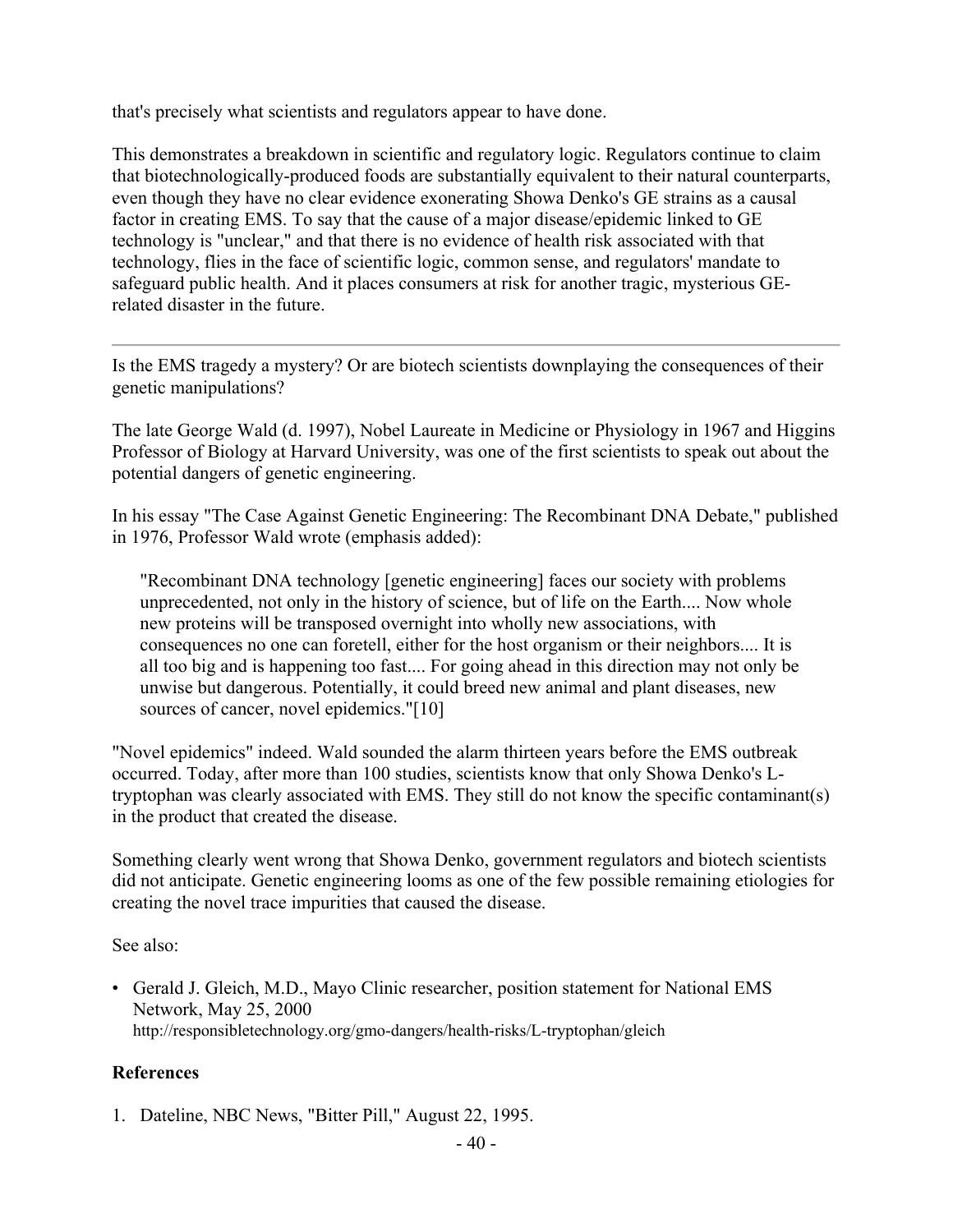that's precisely what scientists and regulators appear to have done.

This demonstrates a breakdown in scientific and regulatory logic. Regulators continue to claim that biotechnologically-produced foods are substantially equivalent to their natural counterparts, even though they have no clear evidence exonerating Showa Denko's GE strains as a causal factor in creating EMS. To say that the cause of a major disease/epidemic linked to GE technology is "unclear," and that there is no evidence of health risk associated with that technology, flies in the face of scientific logic, common sense, and regulators' mandate to safeguard public health. And it places consumers at risk for another tragic, mysterious GErelated disaster in the future.

Is the EMS tragedy a mystery? Or are biotech scientists downplaying the consequences of their genetic manipulations?

The late George Wald (d. 1997), Nobel Laureate in Medicine or Physiology in 1967 and Higgins Professor of Biology at Harvard University, was one of the first scientists to speak out about the potential dangers of genetic engineering.

In his essay "The Case Against Genetic Engineering: The Recombinant DNA Debate," published in 1976, Professor Wald wrote (emphasis added):

"Recombinant DNA technology [genetic engineering] faces our society with problems unprecedented, not only in the history of science, but of life on the Earth.... Now whole new proteins will be transposed overnight into wholly new associations, with consequences no one can foretell, either for the host organism or their neighbors.... It is all too big and is happening too fast.... For going ahead in this direction may not only be unwise but dangerous. Potentially, it could breed new animal and plant diseases, new sources of cancer, novel epidemics."[10]

"Novel epidemics" indeed. Wald sounded the alarm thirteen years before the EMS outbreak occurred. Today, after more than 100 studies, scientists know that only Showa Denko's Ltryptophan was clearly associated with EMS. They still do not know the specific contaminant(s) in the product that created the disease.

Something clearly went wrong that Showa Denko, government regulators and biotech scientists did not anticipate. Genetic engineering looms as one of the few possible remaining etiologies for creating the novel trace impurities that caused the disease.

See also:

• Gerald J. Gleich, M.D., Mayo Clinic researcher, position statement for National EMS Network, May 25, 2000 http://responsibletechnology.org/gmo-dangers/health-risks/L-tryptophan/gleich

### **References**

1. Dateline, NBC News, "Bitter Pill," August 22, 1995.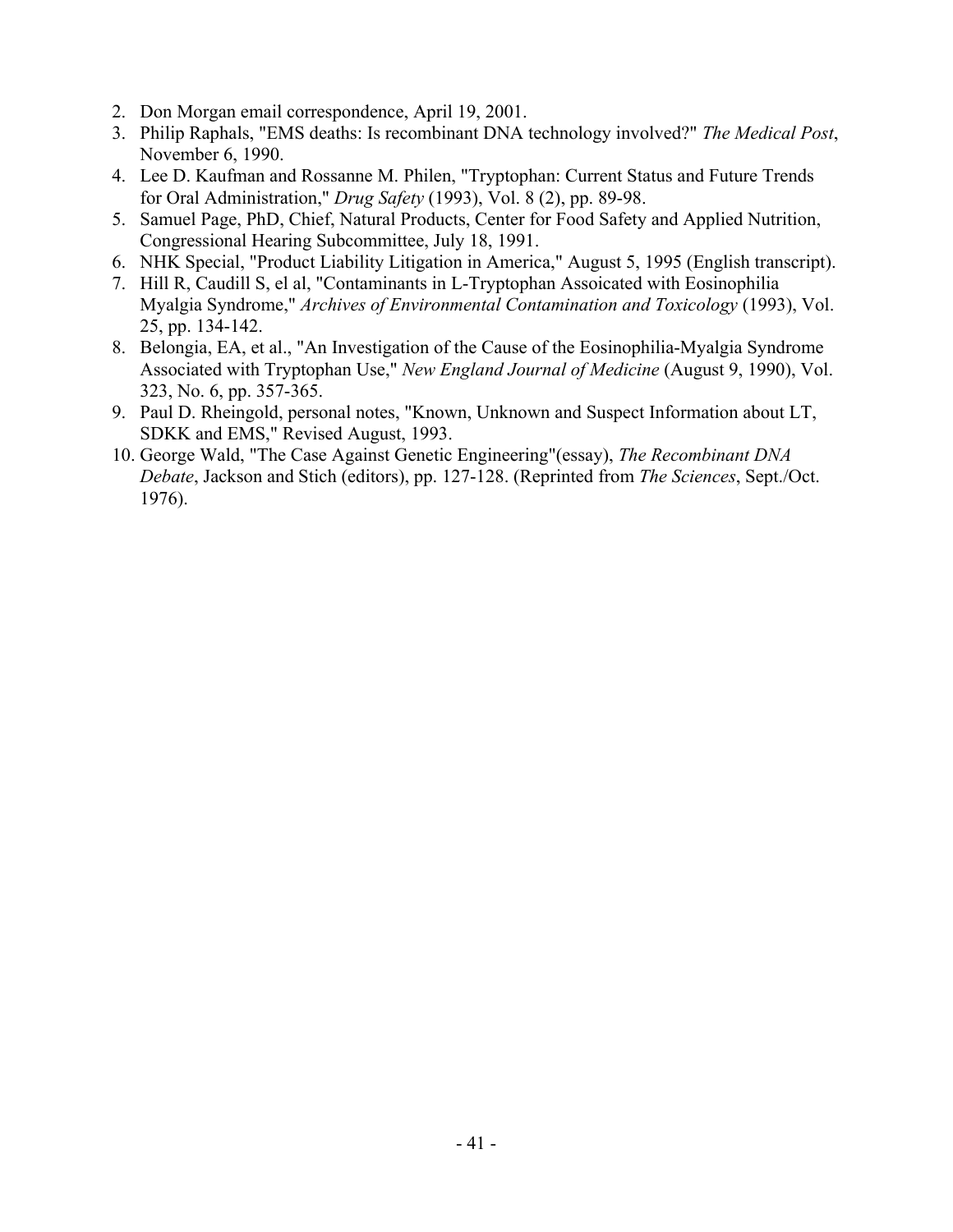- 2. Don Morgan email correspondence, April 19, 2001.
- 3. Philip Raphals, "EMS deaths: Is recombinant DNA technology involved?" *The Medical Post*, November 6, 1990.
- 4. Lee D. Kaufman and Rossanne M. Philen, "Tryptophan: Current Status and Future Trends for Oral Administration," *Drug Safety* (1993), Vol. 8 (2), pp. 89-98.
- 5. Samuel Page, PhD, Chief, Natural Products, Center for Food Safety and Applied Nutrition, Congressional Hearing Subcommittee, July 18, 1991.
- 6. NHK Special, "Product Liability Litigation in America," August 5, 1995 (English transcript).
- 7. Hill R, Caudill S, el al, "Contaminants in L-Tryptophan Assoicated with Eosinophilia Myalgia Syndrome," *Archives of Environmental Contamination and Toxicology* (1993), Vol. 25, pp. 134-142.
- 8. Belongia, EA, et al., "An Investigation of the Cause of the Eosinophilia-Myalgia Syndrome Associated with Tryptophan Use," *New England Journal of Medicine* (August 9, 1990), Vol. 323, No. 6, pp. 357-365.
- 9. Paul D. Rheingold, personal notes, "Known, Unknown and Suspect Information about LT, SDKK and EMS," Revised August, 1993.
- 10. George Wald, "The Case Against Genetic Engineering"(essay), *The Recombinant DNA Debate*, Jackson and Stich (editors), pp. 127-128. (Reprinted from *The Sciences*, Sept./Oct. 1976).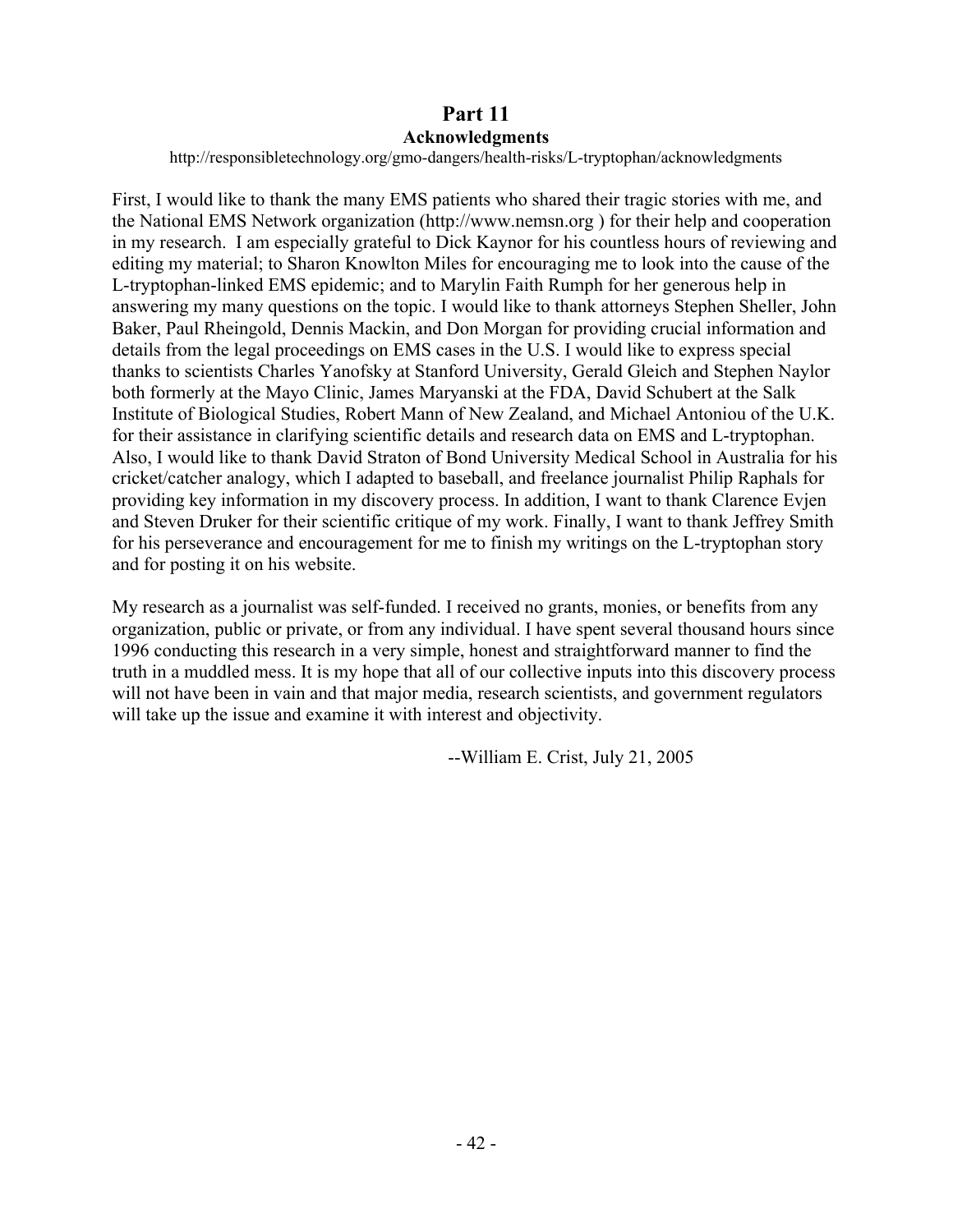## **Part 11 Acknowledgments**

http://responsibletechnology.org/gmo-dangers/health-risks/L-tryptophan/acknowledgments

First, I would like to thank the many EMS patients who shared their tragic stories with me, and the National EMS Network organization (http://www.nemsn.org ) for their help and cooperation in my research. I am especially grateful to Dick Kaynor for his countless hours of reviewing and editing my material; to Sharon Knowlton Miles for encouraging me to look into the cause of the L-tryptophan-linked EMS epidemic; and to Marylin Faith Rumph for her generous help in answering my many questions on the topic. I would like to thank attorneys Stephen Sheller, John Baker, Paul Rheingold, Dennis Mackin, and Don Morgan for providing crucial information and details from the legal proceedings on EMS cases in the U.S. I would like to express special thanks to scientists Charles Yanofsky at Stanford University, Gerald Gleich and Stephen Naylor both formerly at the Mayo Clinic, James Maryanski at the FDA, David Schubert at the Salk Institute of Biological Studies, Robert Mann of New Zealand, and Michael Antoniou of the U.K. for their assistance in clarifying scientific details and research data on EMS and L-tryptophan. Also, I would like to thank David Straton of Bond University Medical School in Australia for his cricket/catcher analogy, which I adapted to baseball, and freelance journalist Philip Raphals for providing key information in my discovery process. In addition, I want to thank Clarence Evjen and Steven Druker for their scientific critique of my work. Finally, I want to thank Jeffrey Smith for his perseverance and encouragement for me to finish my writings on the L-tryptophan story and for posting it on his website.

My research as a journalist was self-funded. I received no grants, monies, or benefits from any organization, public or private, or from any individual. I have spent several thousand hours since 1996 conducting this research in a very simple, honest and straightforward manner to find the truth in a muddled mess. It is my hope that all of our collective inputs into this discovery process will not have been in vain and that major media, research scientists, and government regulators will take up the issue and examine it with interest and objectivity.

--William E. Crist, July 21, 2005